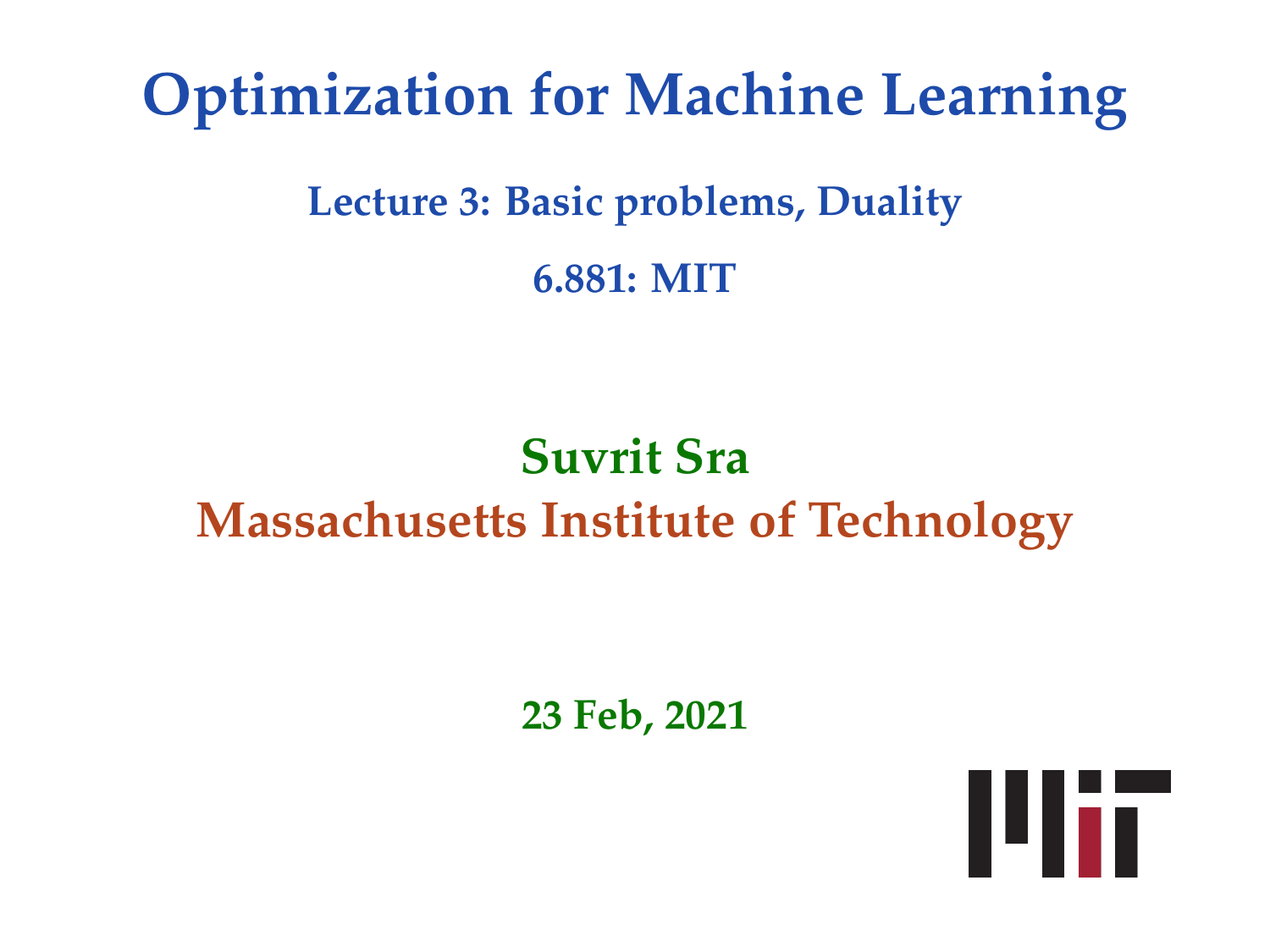# **Optimization for Machine Learning**

# **Lecture 3: Basic problems, Duality 6.881: MIT**

# **Suvrit Sra Massachusetts Institute of Technology**

**23 Feb, 2021**

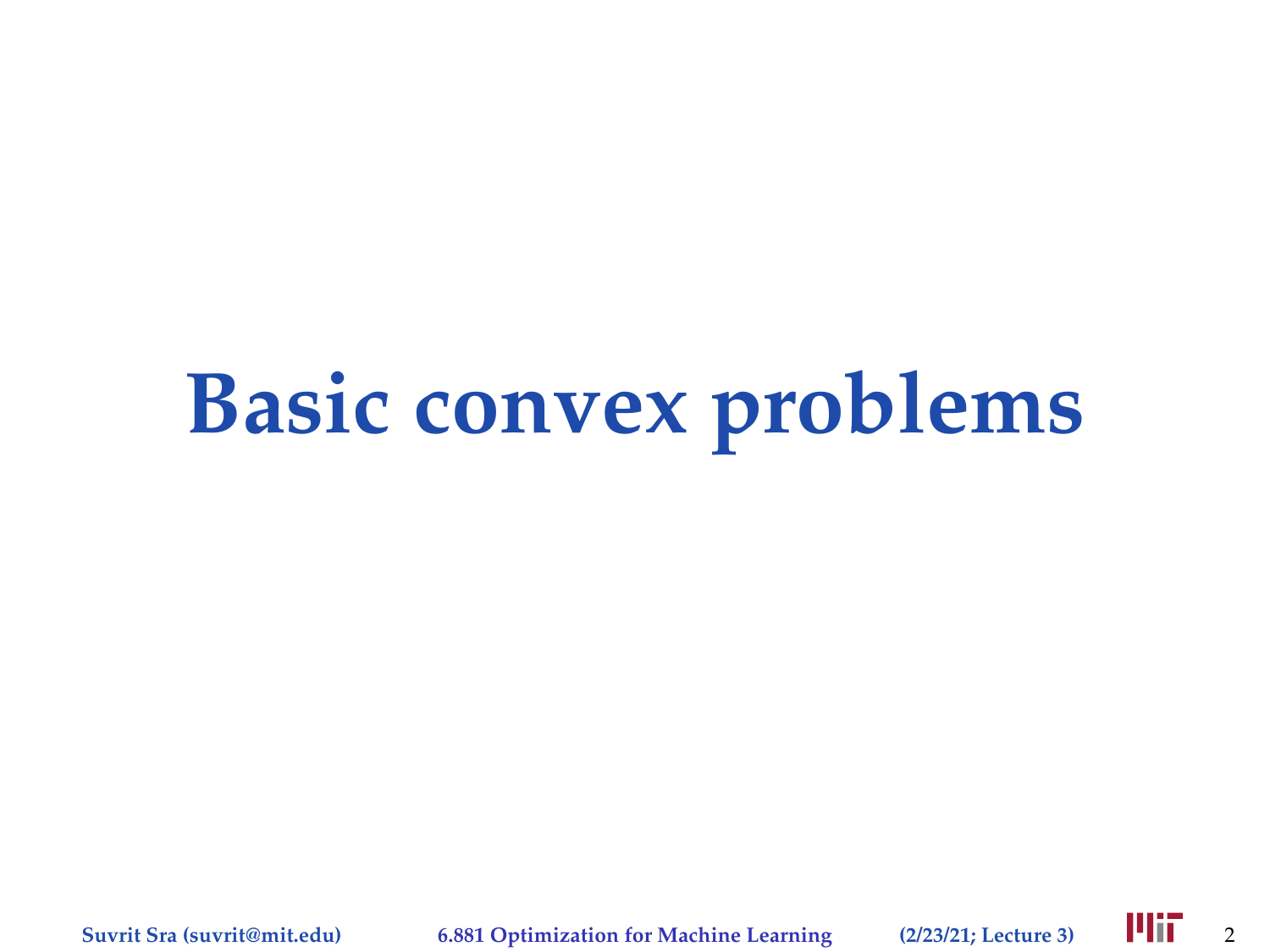# **Basic convex problems**

**Suvrit Sra (suvrit@mit.edu) 6.881 Optimization for Machine Learning (2/23/21; Lecture 3)** 2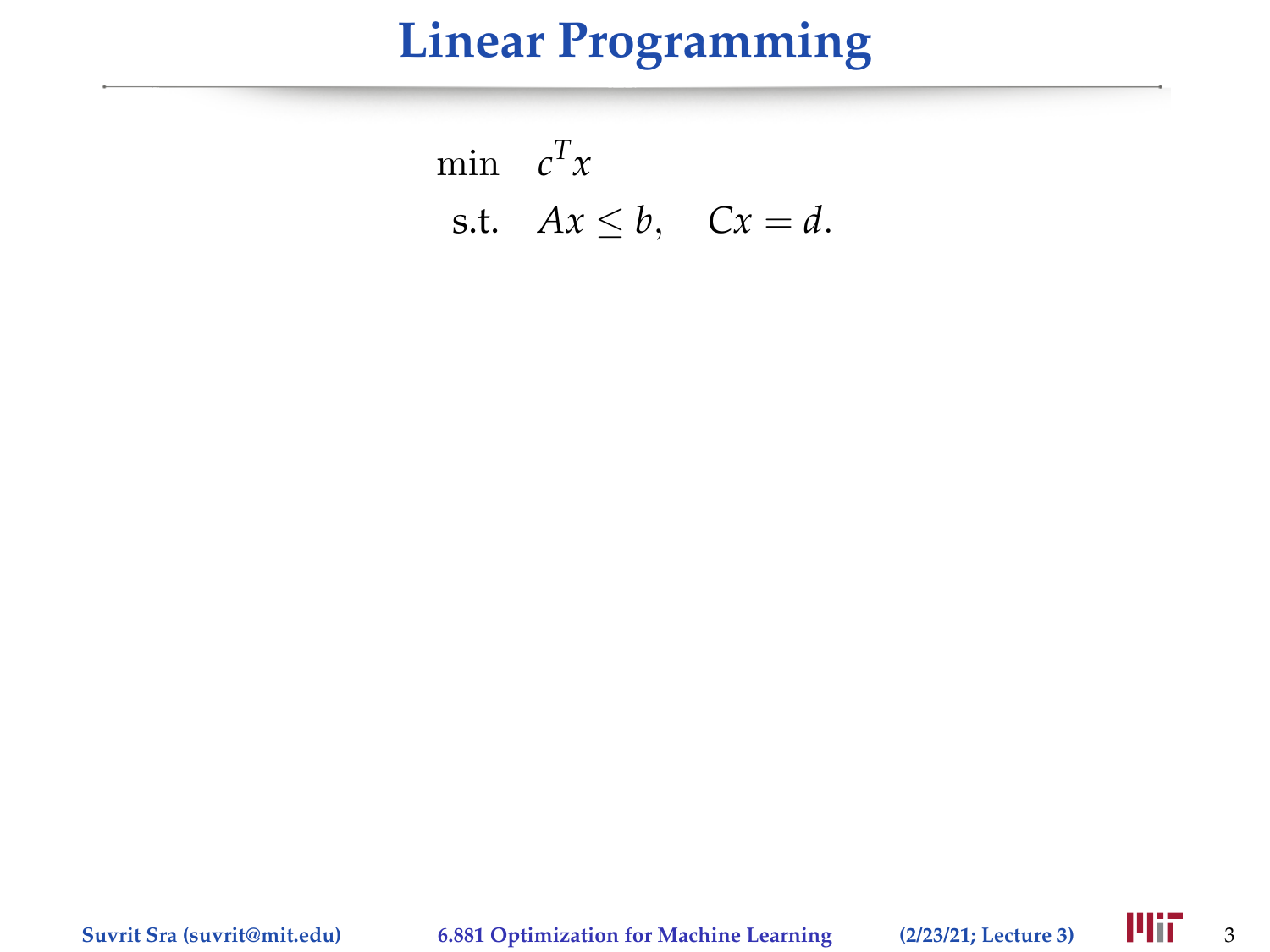# **Linear Programming**

$$
\min_{\mathbf{c}} \mathbf{c}^T x
$$
  
s.t.  $Ax \leq b$ ,  $Cx = d$ .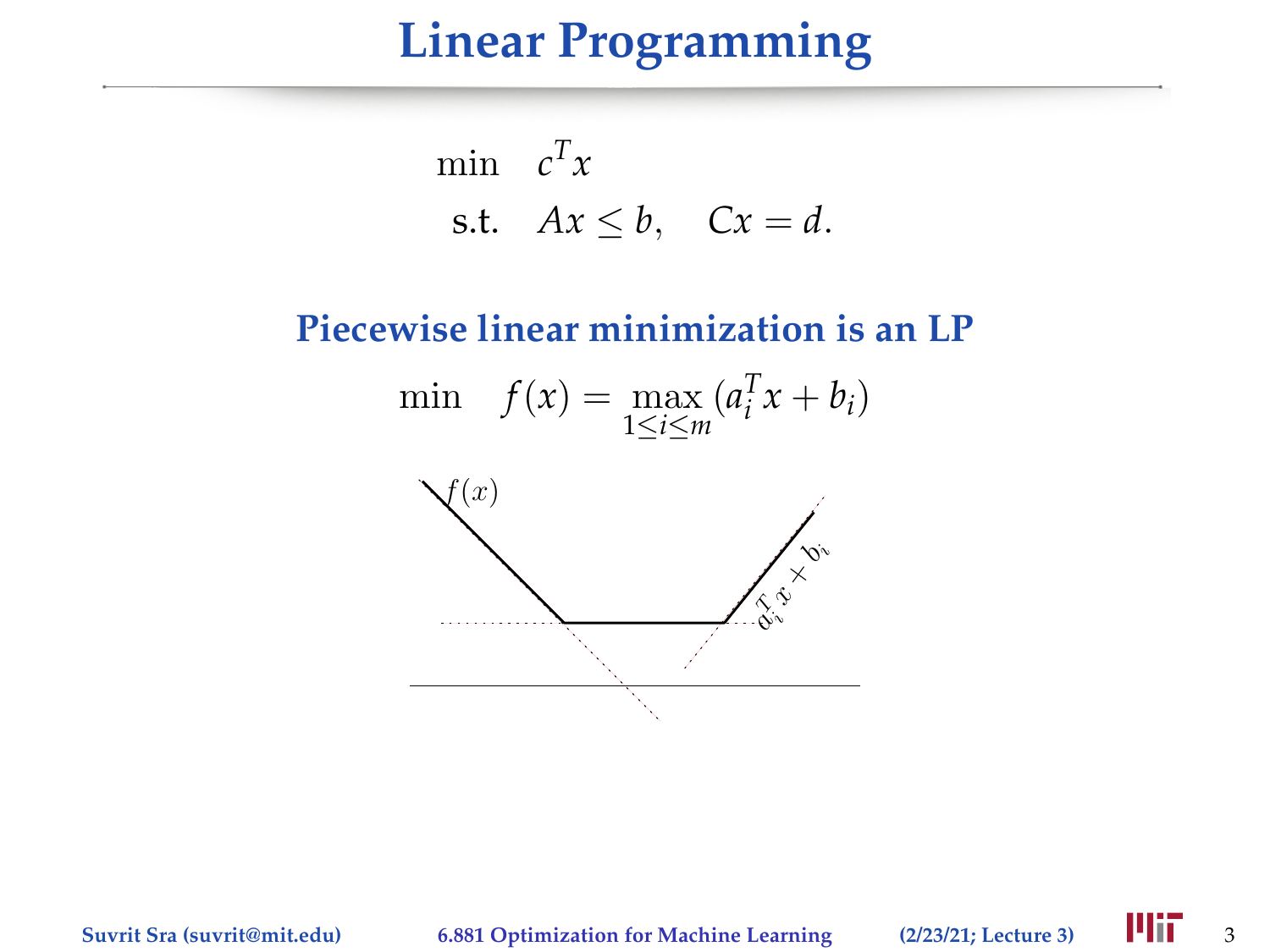# **Linear Programming**

$$
\min_{\mathbf{c}} \mathbf{c}^T x
$$
\n
$$
\text{s.t.} \quad Ax \leq b, \quad Cx = d.
$$

#### **Piecewise linear minimization is an LP**





**Suvrit Sra (suvrit@mit.edu)** 6.881 Optimization for Machine Learning (2/23/21; Lecture 3) **411** 3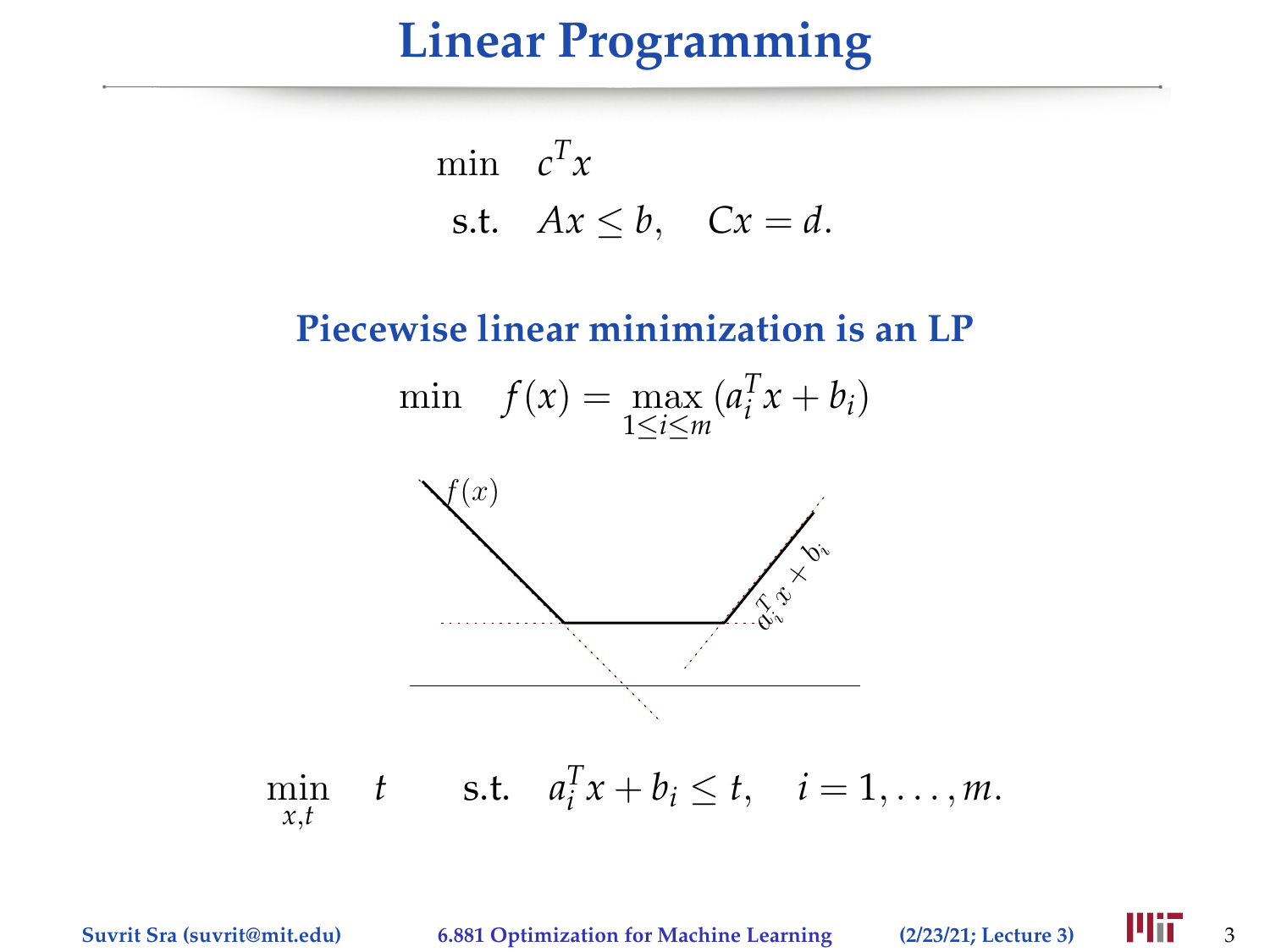## **Linear Programming**

$$
\min_{\mathbf{c}} \mathbf{c}^T x
$$
\n
$$
\text{s.t.} \quad Ax \leq b, \quad Cx = d.
$$

#### **Piecewise linear minimization is an LP**

$$
\min \quad f(x) = \max_{1 \le i \le m} (a_i^T x + b_i)
$$



**Suvrit Sra (suvrit@mit.edu)** 6.881 Optimization for Machine Learning (2/23/21; Lecture 3) **411** 3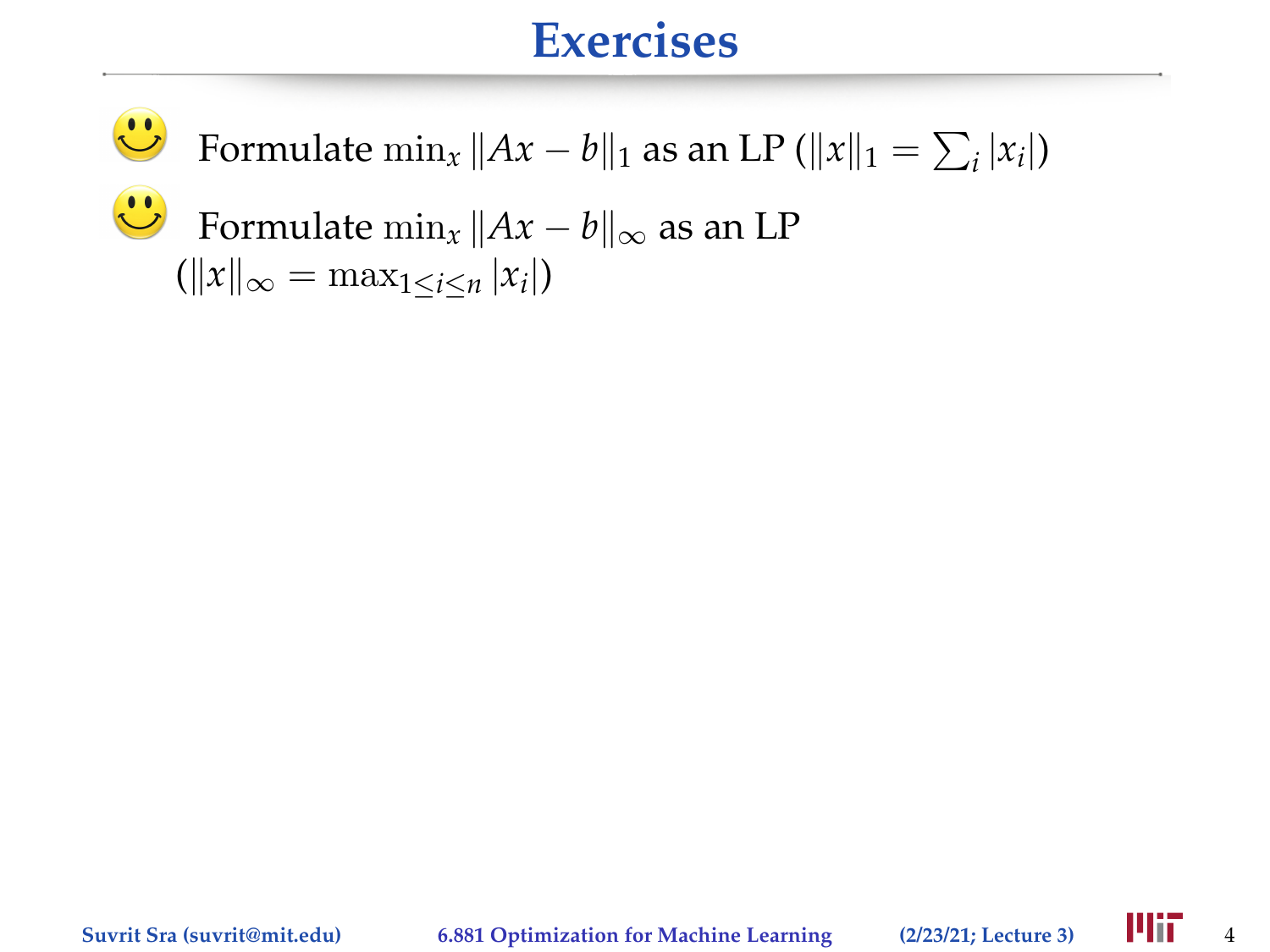$\ddot{\textbf{c}}$ Formulate  $\min_x \|Ax - b\|_1$  as an LP ( $||x||_1 = \sum_i |x_i|$ )  $\mathbf{C}$ Formulate  $\min_x ||Ax - b||_{\infty}$  as an LP  $(\|x\|_{\infty} = \max_{1 \leq i \leq n} |x_i|)$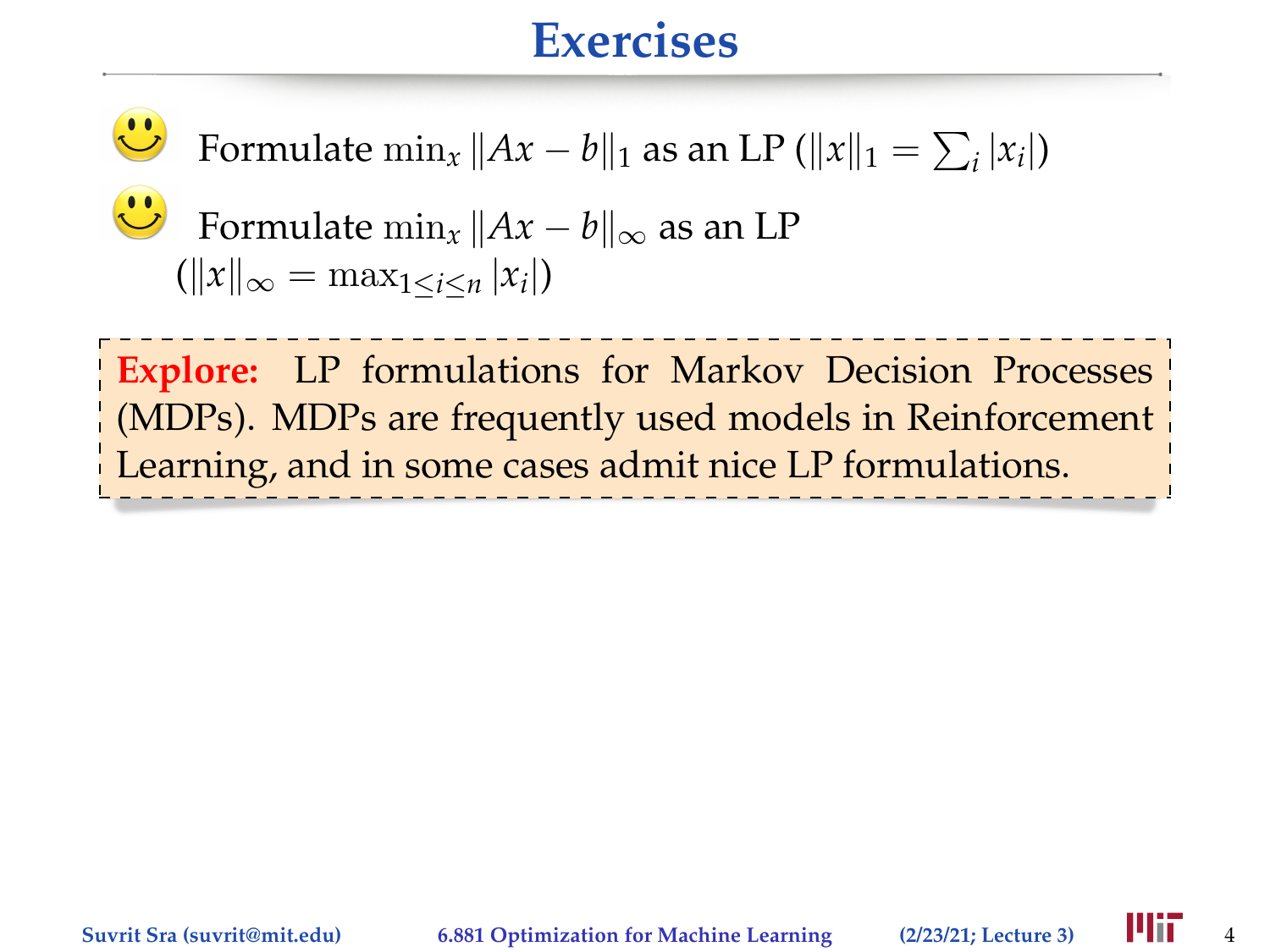$\ddot{\textbf{C}}$ Formulate  $\min_x \|Ax - b\|_1$  as an LP ( $||x||_1 = \sum_i |x_i|$ )

$$
\sum_{\substack{||x||_{\infty} = \max_{1 \le i \le n} |A_i|}} \text{Formula: } \|Ax - b\|_{\infty} \text{ as an LP}
$$

**Explore:** LP formulations for Markov Decision Processes (MDPs). MDPs are frequently used models in Reinforcement Learning, and in some cases admit nice LP formulations.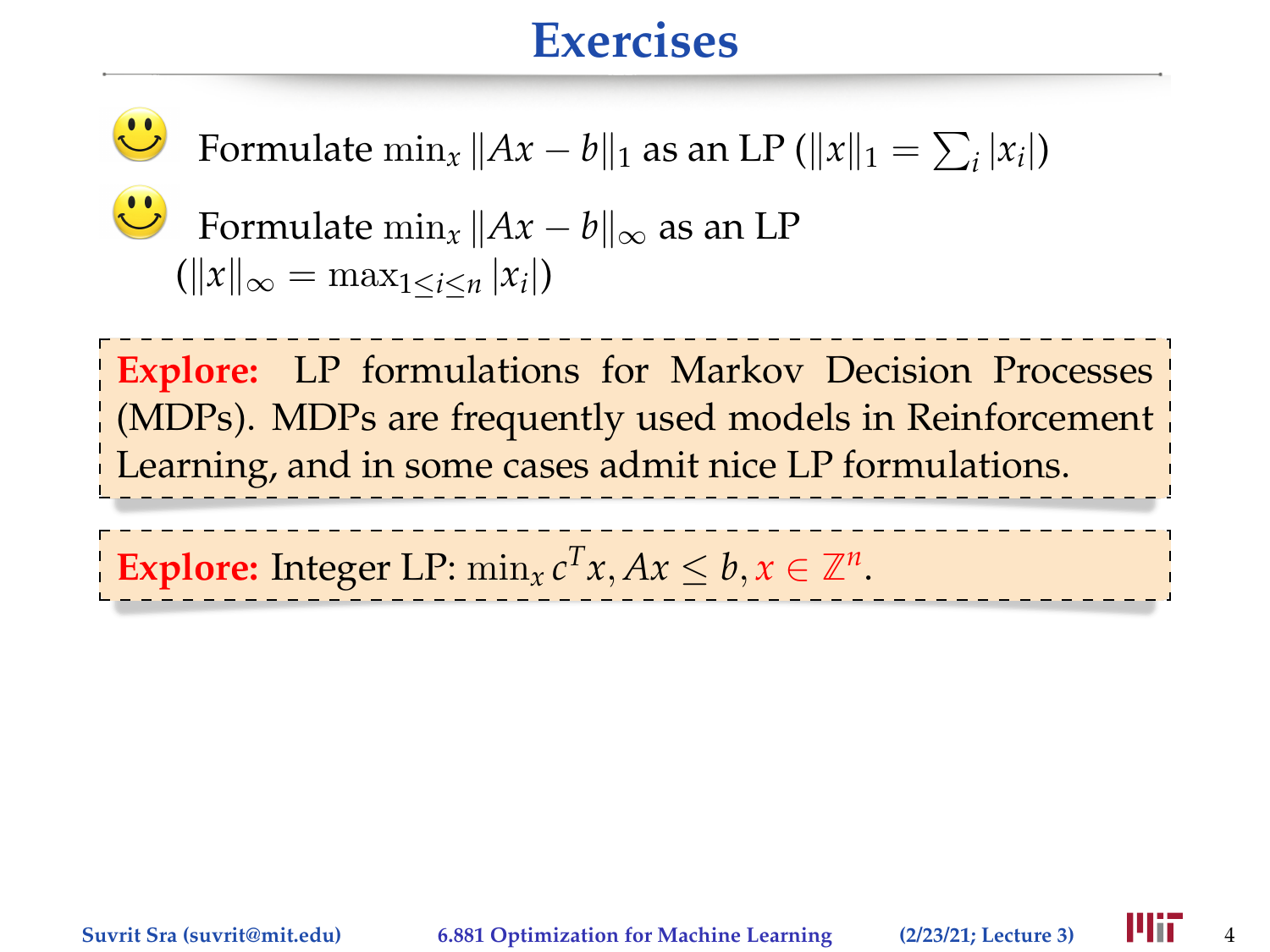Formulate  $\min_x \|Ax - b\|_1$  as an LP ( $||x||_1 = \sum_i |x_i|$ )

Formulate  $\min_{x} ||Ax - b||_{\infty}$  as an LP

 $(\|x\|_{\infty} = \max_{1 \leq i \leq n} |x_i|)$ **Explore:** LP formulations for Markov Decision Processes (MDPs). MDPs are frequently used models in Reinforcement Learning, and in some cases admit nice LP formulations. **Explore:** Integer LP:  $\min_{x} c^T x, Ax \leq b, x \in \mathbb{Z}^n$ .

 $\mathbf{C}$ 

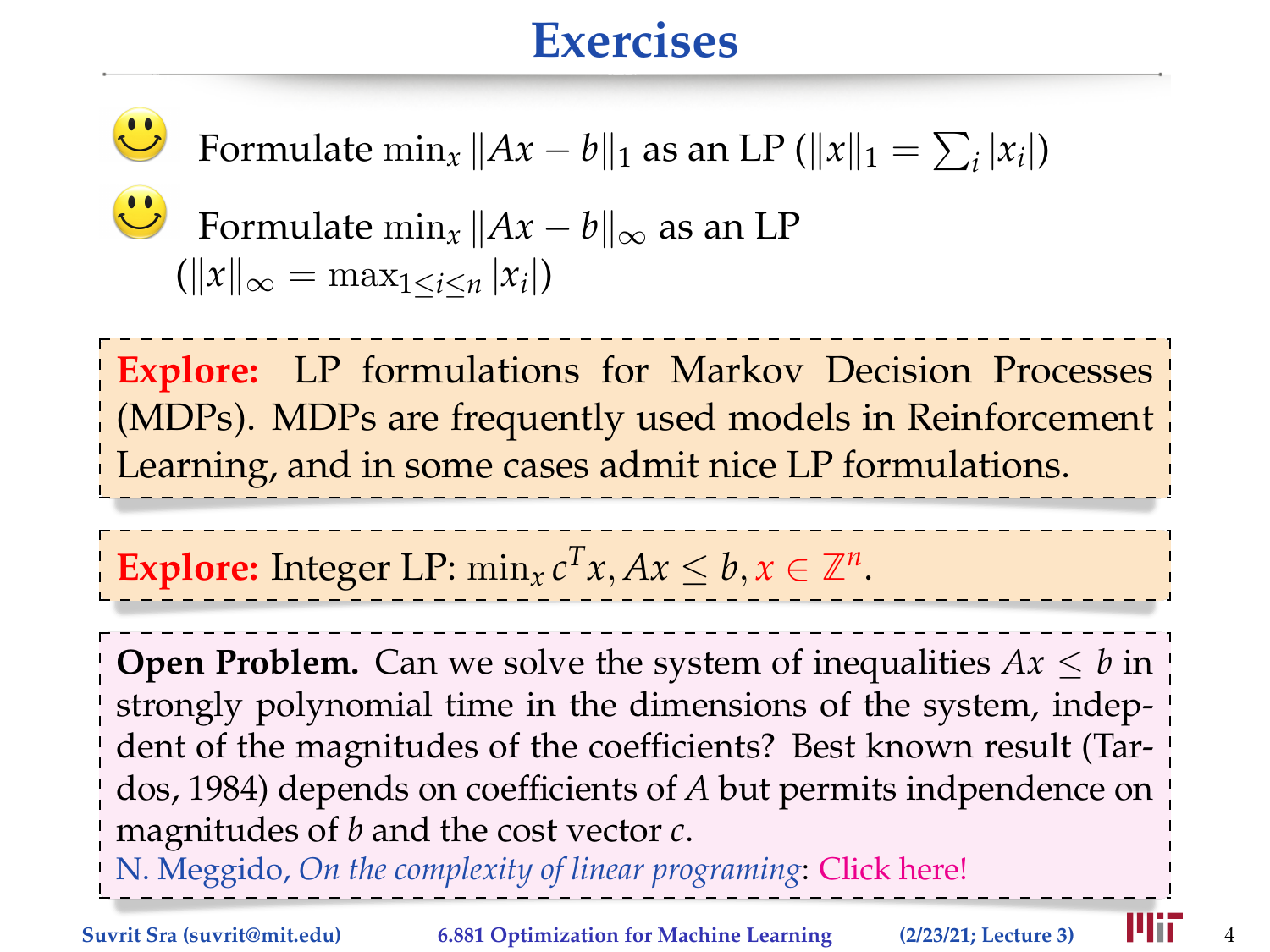Formulate  $\min_x \|Ax - b\|_1$  as an LP ( $||x||_1 = \sum_i |x_i|$ )

Formulate  $\min_x ||Ax - b||_{\infty}$  as an LP  $(\|x\|_{\infty} = \max_{1 \leq i \leq n} |x_i|)$ **Explore:** LP formulations for Markov Decision Processes (MDPs). MDPs are frequently used models in Reinforcement Learning, and in some cases admit nice LP formulations.

**Explore:** Integer LP:  $\min_{x} c^T x, Ax \leq b, x \in \mathbb{Z}^n$ .

**Open Problem.** Can we solve the system of inequalities  $Ax \leq b$  in strongly polynomial time in the dimensions of the system, indepdent of the magnitudes of the coefficients? Best known result (Tardos, 1984) depends on coefficients of *A* but permits indpendence on magnitudes of *b* and the cost vector *c*.

N. Meggido, *On the complexity of linear programing*: [Click here!](http://theory.stanford.edu/~megiddo/pdf/wcongres_4.0.a.pdf)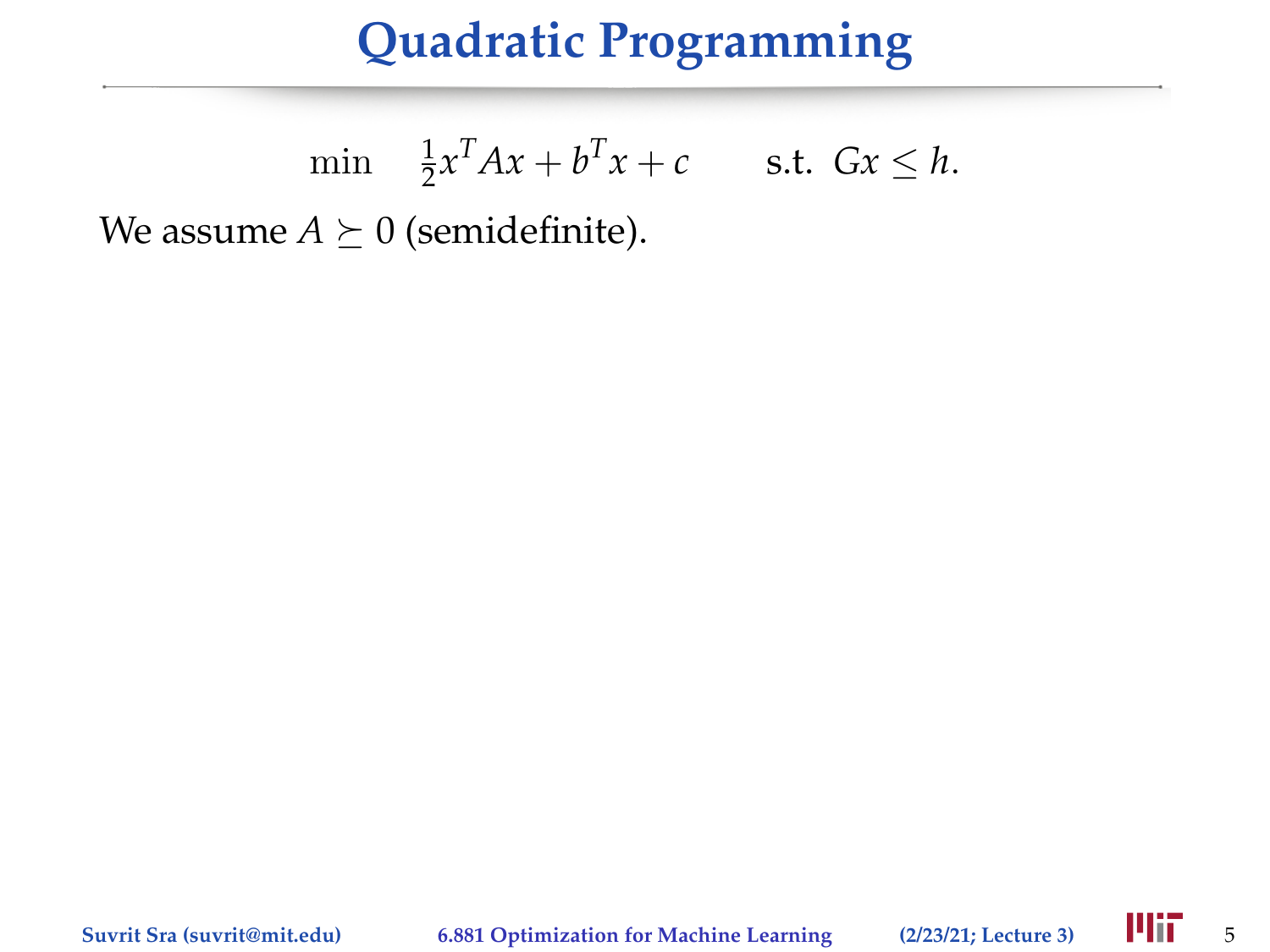# **Quadratic Programming**

$$
\min \quad \frac{1}{2}x^T A x + b^T x + c \qquad \text{s.t. } Gx \le h.
$$

We assume  $A \succeq 0$  (semidefinite).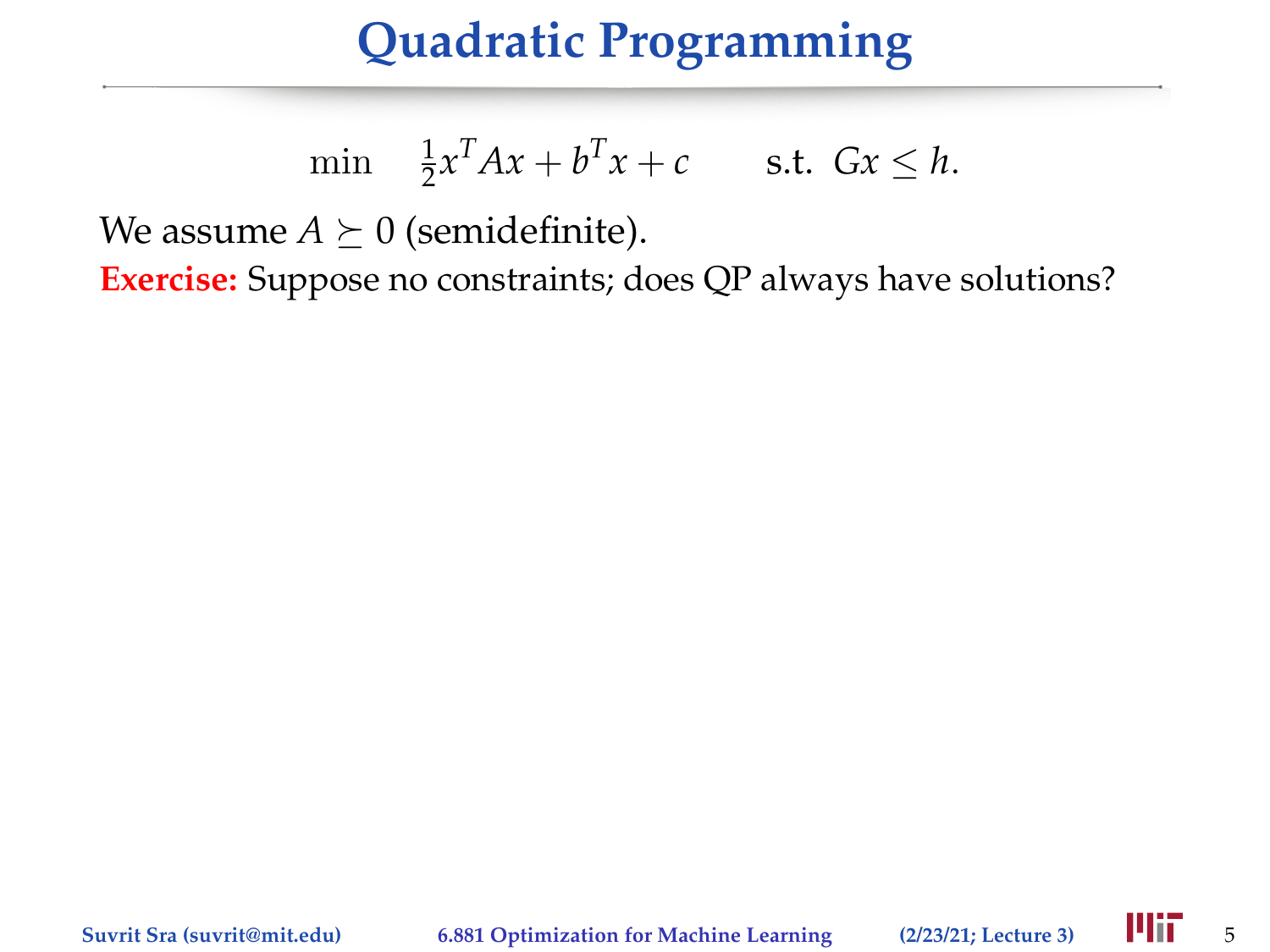# **Quadratic Programming**

$$
\min \quad \frac{1}{2}x^T A x + b^T x + c \qquad \text{s.t. } Gx \le h.
$$

We assume  $A \succeq 0$  (semidefinite).

**Exercise:** Suppose no constraints; does QP always have solutions?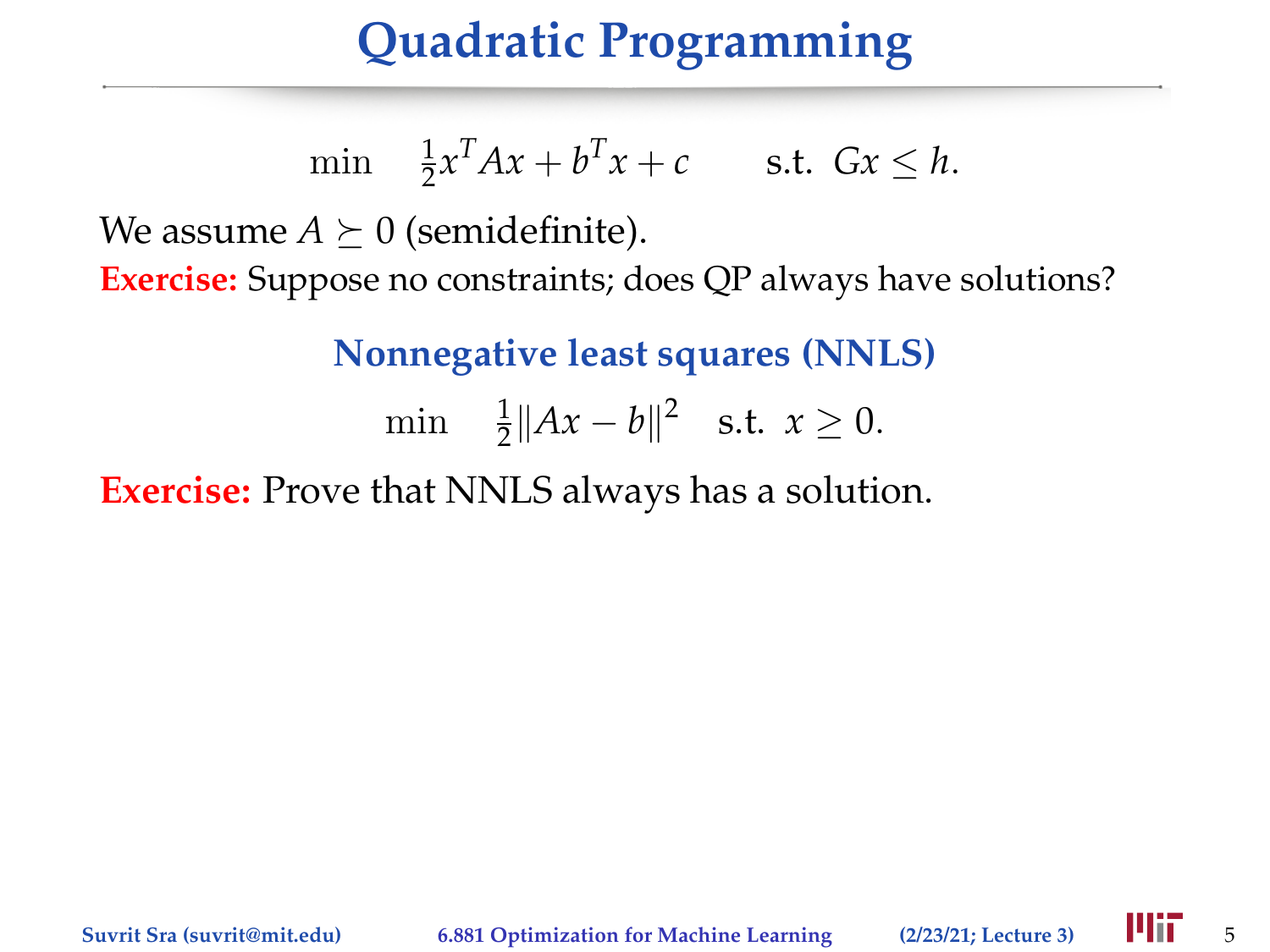# **Quadratic Programming**

$$
\min \quad \frac{1}{2}x^T A x + b^T x + c \qquad \text{s.t. } Gx \le h.
$$

We assume  $A \succeq 0$  (semidefinite).

**Exercise:** Suppose no constraints; does QP always have solutions?

**Nonnegative least squares (NNLS)**

min  $\frac{1}{2} ||Ax - b||^2$  s.t.  $x \ge 0$ .

**Exercise:** Prove that NNLS always has a solution.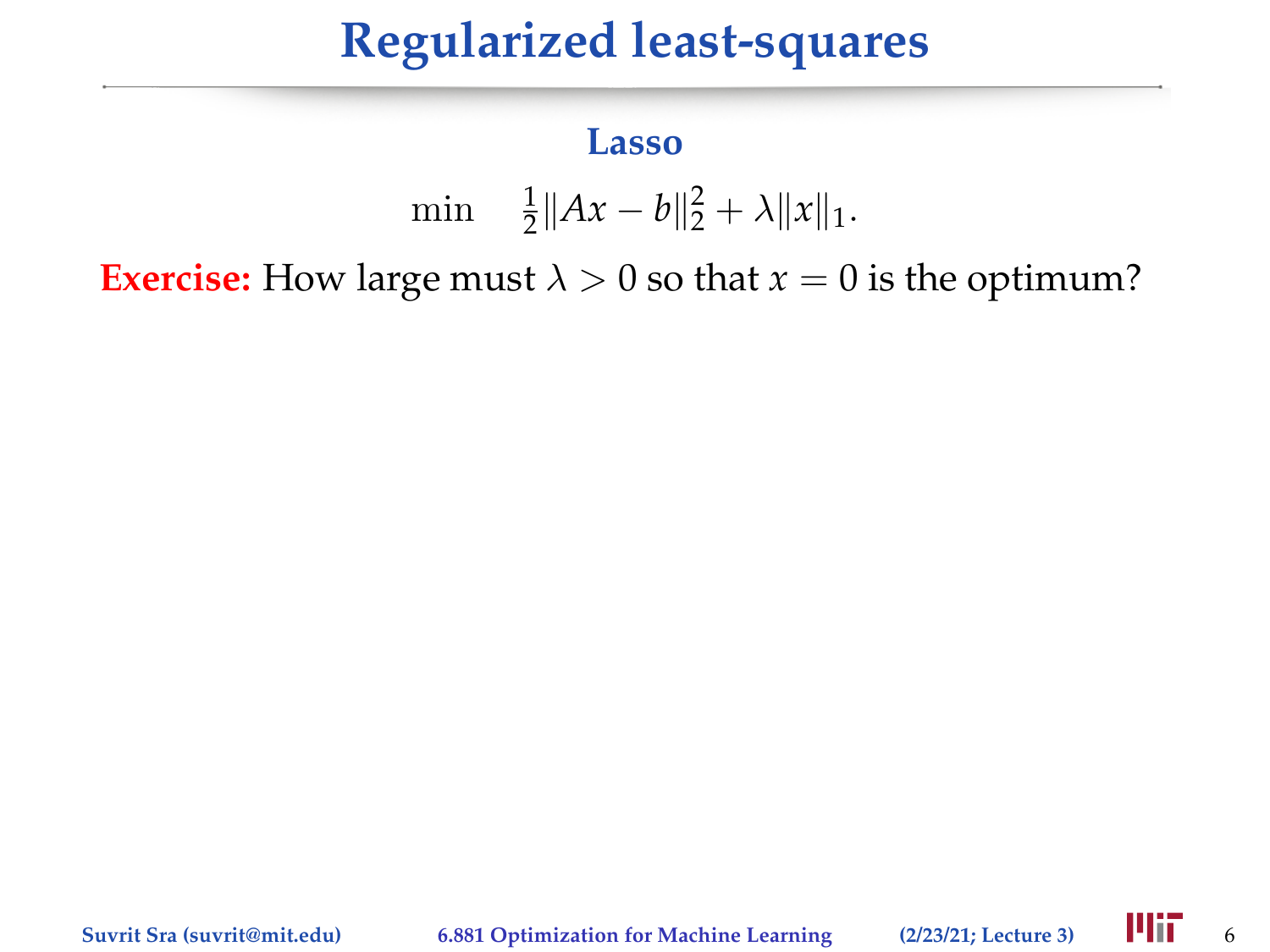# **Regularized least-squares**

#### **Lasso**

$$
\min \quad \frac{1}{2} \|Ax - b\|_2^2 + \lambda \|x\|_1.
$$

**Exercise:** How large must  $\lambda > 0$  so that  $x = 0$  is the optimum?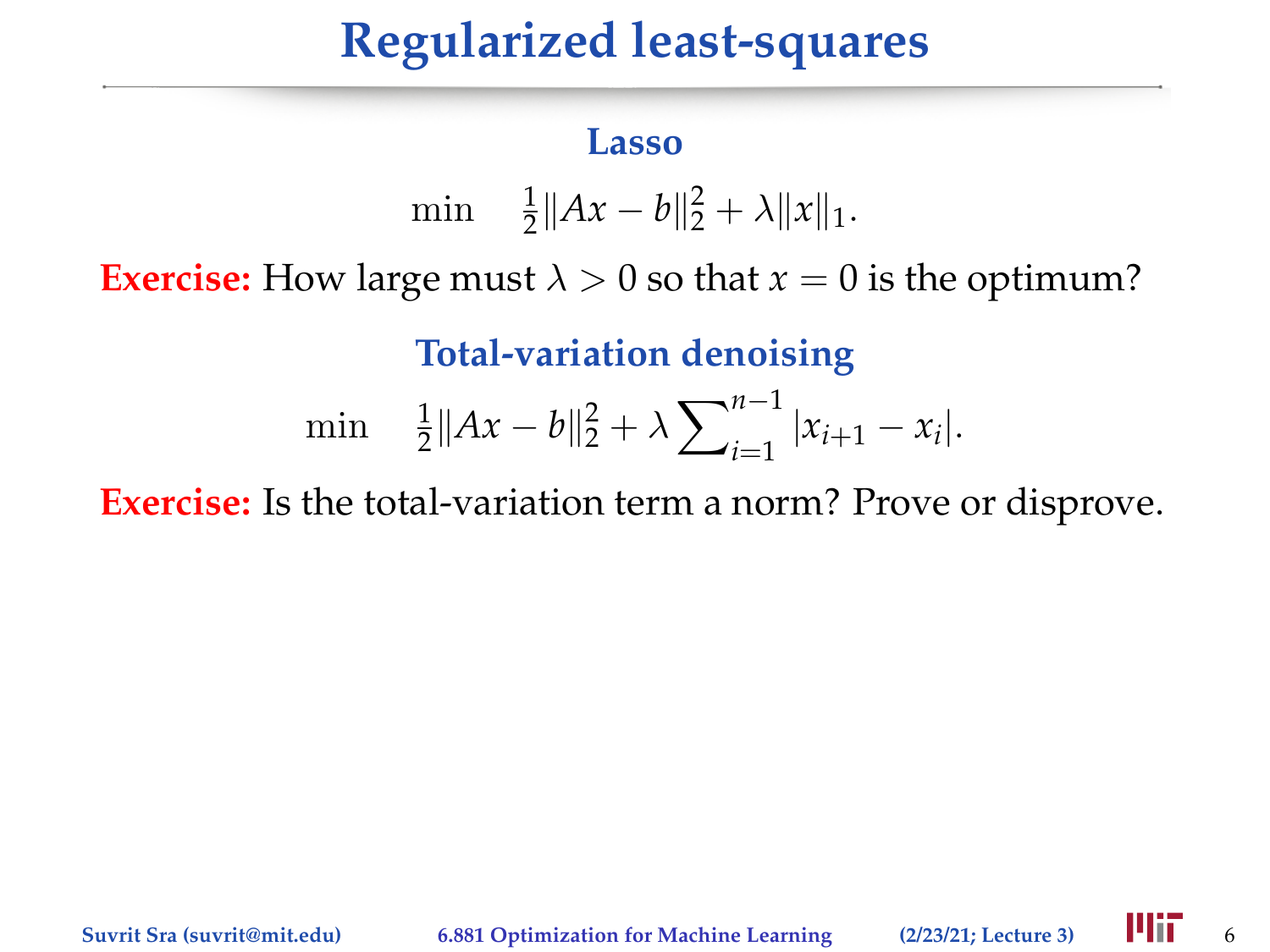# **Regularized least-squares**

#### **Lasso**

$$
\min \quad \frac{1}{2} \|Ax - b\|_2^2 + \lambda \|x\|_1.
$$

**Exercise:** How large must  $\lambda > 0$  so that  $x = 0$  is the optimum?

**Total-variation denoising**

$$
\min \quad \frac{1}{2} \|Ax - b\|_2^2 + \lambda \sum_{i=1}^{n-1} |x_{i+1} - x_i|.
$$

**Exercise:** Is the total-variation term a norm? Prove or disprove.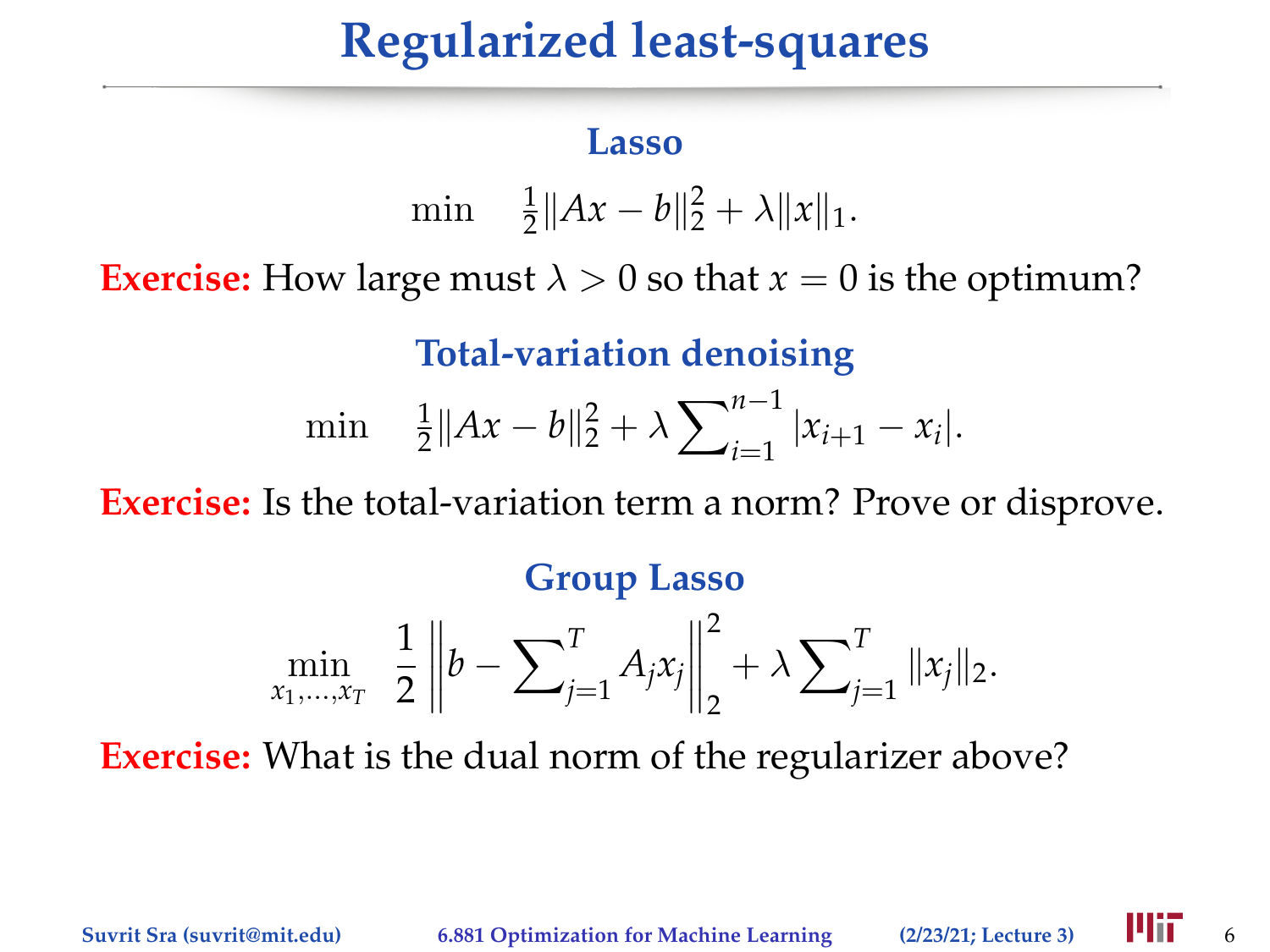# **Regularized least-squares**

#### **Lasso**

$$
\min \quad \frac{1}{2} \|Ax - b\|_2^2 + \lambda \|x\|_1.
$$

**Exercise:** How large must  $\lambda > 0$  so that  $x = 0$  is the optimum?

**Total-variation denoising**

$$
\min \quad \frac{1}{2} \|Ax - b\|_2^2 + \lambda \sum_{i=1}^{n-1} |x_{i+1} - x_i|.
$$

**Exercise:** Is the total-variation term a norm? Prove or disprove.

#### **Group Lasso**

$$
\min_{x_1,\dots,x_T} \frac{1}{2} \left\| b - \sum_{j=1}^T A_j x_j \right\|_2^2 + \lambda \sum_{j=1}^T \| x_j \|_2.
$$

**Exercise:** What is the dual norm of the regularizer above?

**Suvrit Sra (suvrit@mit.edu)** 6.881 Optimization for Machine Learning (2/23/21; Lecture 3) **FIII** 6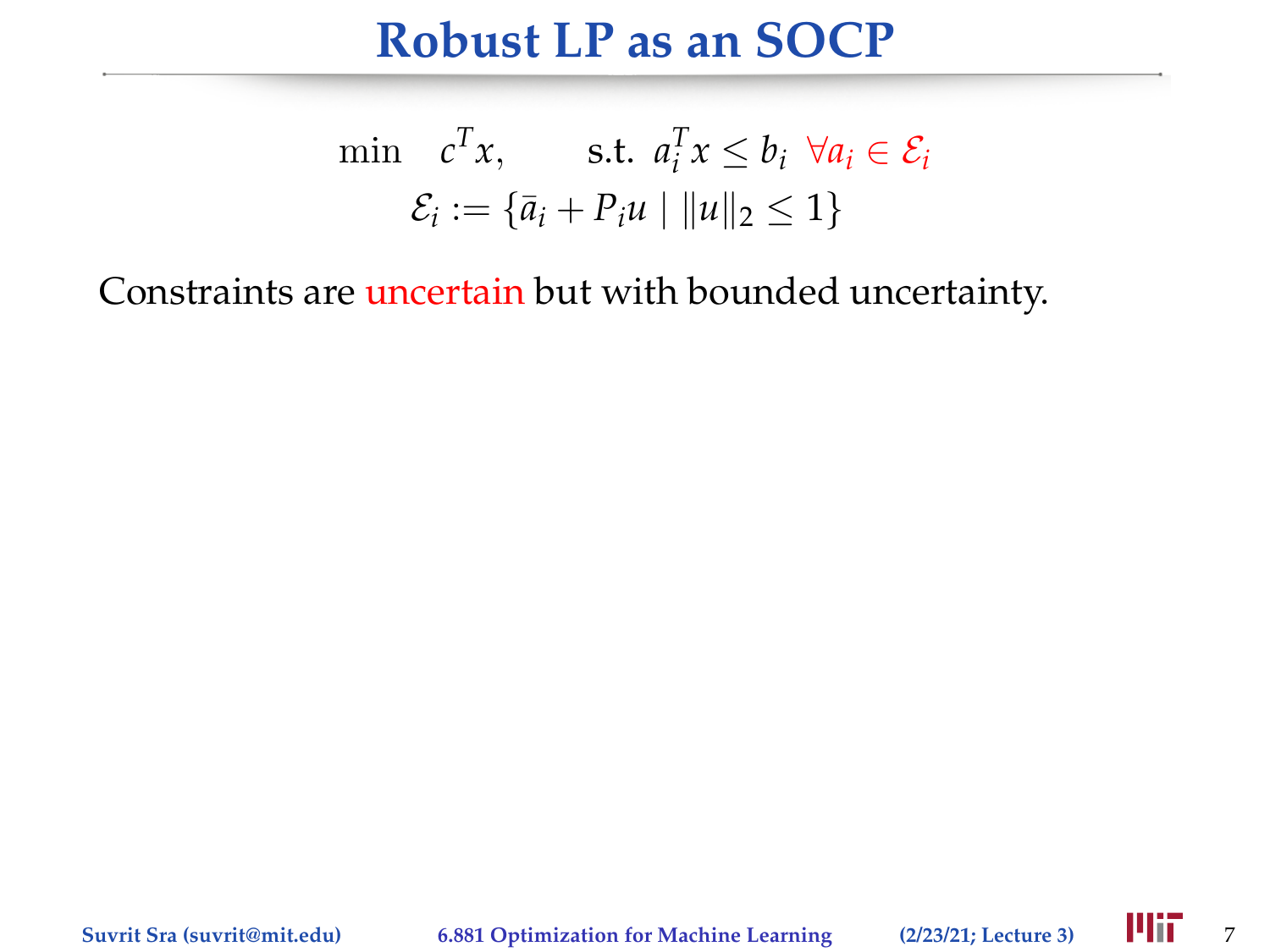### **Robust LP as an SOCP**

$$
\min \quad c^T x, \qquad \text{s.t. } a_i^T x \le b_i \ \forall a_i \in \mathcal{E}_i
$$
\n
$$
\mathcal{E}_i := \{ \bar{a}_i + P_i u \mid \|u\|_2 \le 1 \}
$$

Constraints are uncertain but with bounded uncertainty.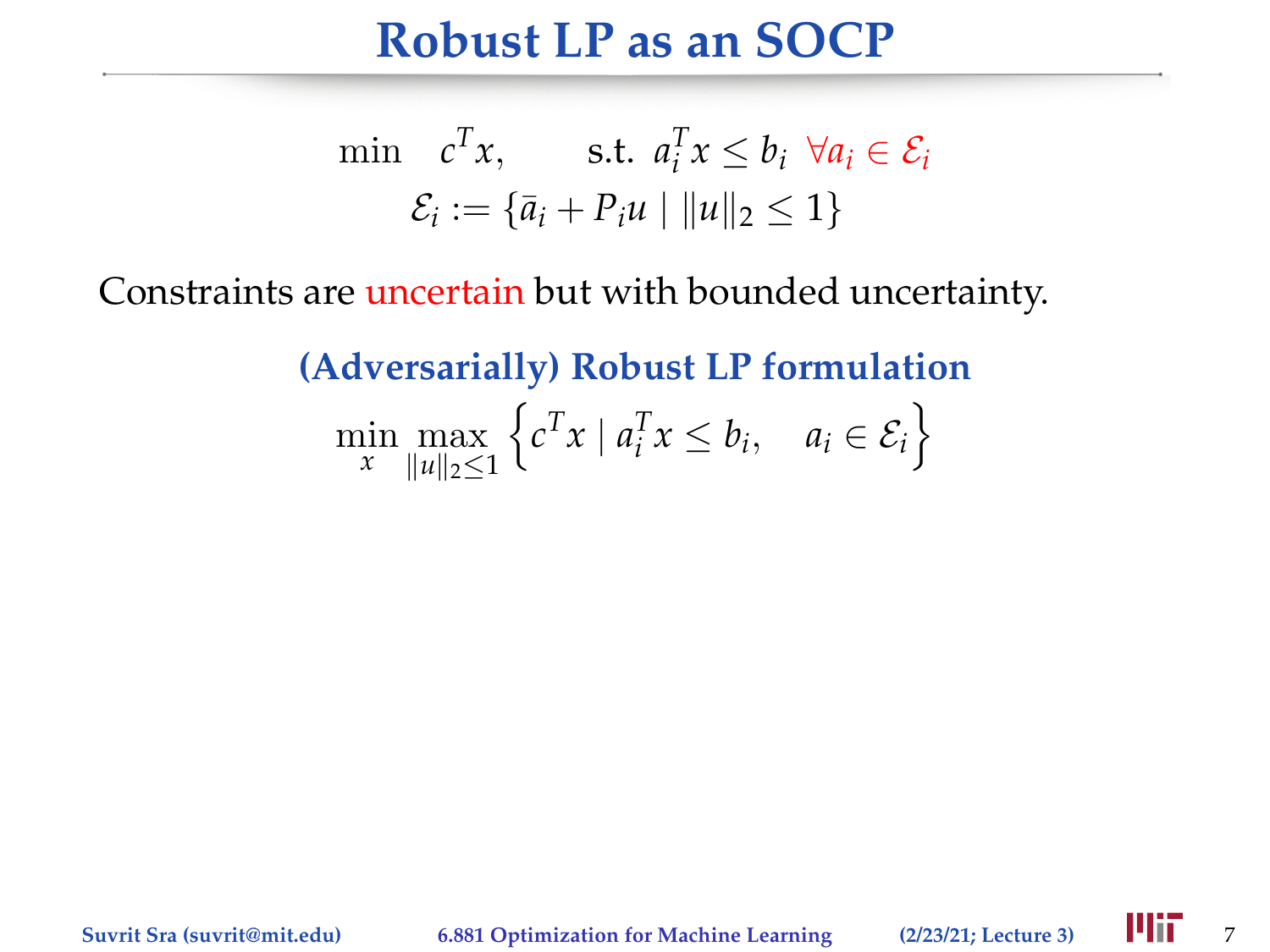### **Robust LP as an SOCP**

$$
\min \quad c^T x, \qquad \text{s.t. } a_i^T x \le b_i \ \forall a_i \in \mathcal{E}_i
$$
\n
$$
\mathcal{E}_i := \{ \bar{a}_i + P_i u \mid \|u\|_2 \le 1 \}
$$

Constraints are uncertain but with bounded uncertainty.

**(Adversarially) Robust LP formulation**

$$
\min_{x} \max_{\|u\|_2 \le 1} \left\{ c^T x \mid a_i^T x \le b_i, \quad a_i \in \mathcal{E}_i \right\}
$$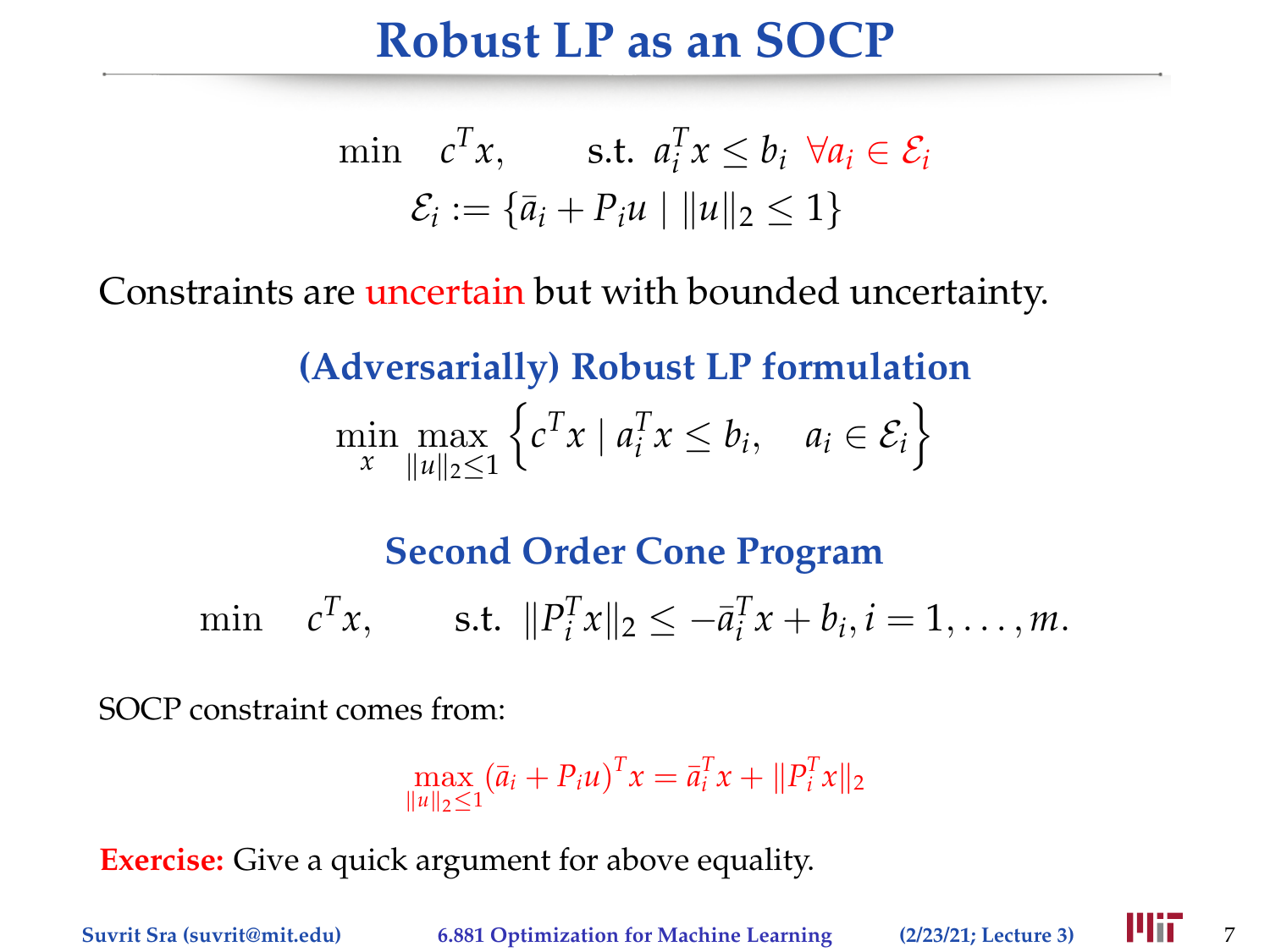### **Robust LP as an SOCP**

$$
\min \quad c^T x, \qquad \text{s.t. } a_i^T x \le b_i \ \forall a_i \in \mathcal{E}_i
$$
\n
$$
\mathcal{E}_i := \{ \bar{a}_i + P_i u \mid \|u\|_2 \le 1 \}
$$

Constraints are uncertain but with bounded uncertainty.

**(Adversarially) Robust LP formulation**

$$
\min_{x} \max_{\|u\|_2 \le 1} \left\{ c^T x \mid a_i^T x \le b_i, \quad a_i \in \mathcal{E}_i \right\}
$$

#### **Second Order Cone Program**

 $\min$   $c^T x$ , s.t.  $||P_i^T x||_2 \le -\bar{a}_i^T x + b_i, i = 1, ..., m$ .

SOCP constraint comes from:

$$
\max_{\|u\|_2\leq 1} (\bar{a}_i + P_i u)^T x = \bar{a}_i^T x + \|P_i^T x\|_2
$$

**Exercise:** Give a quick argument for above equality.

**Suvrit Sra (suvrit@mit.edu) 6.881 Optimization for Machine Learning** (2/23/21; Lecture 3) **4111** 7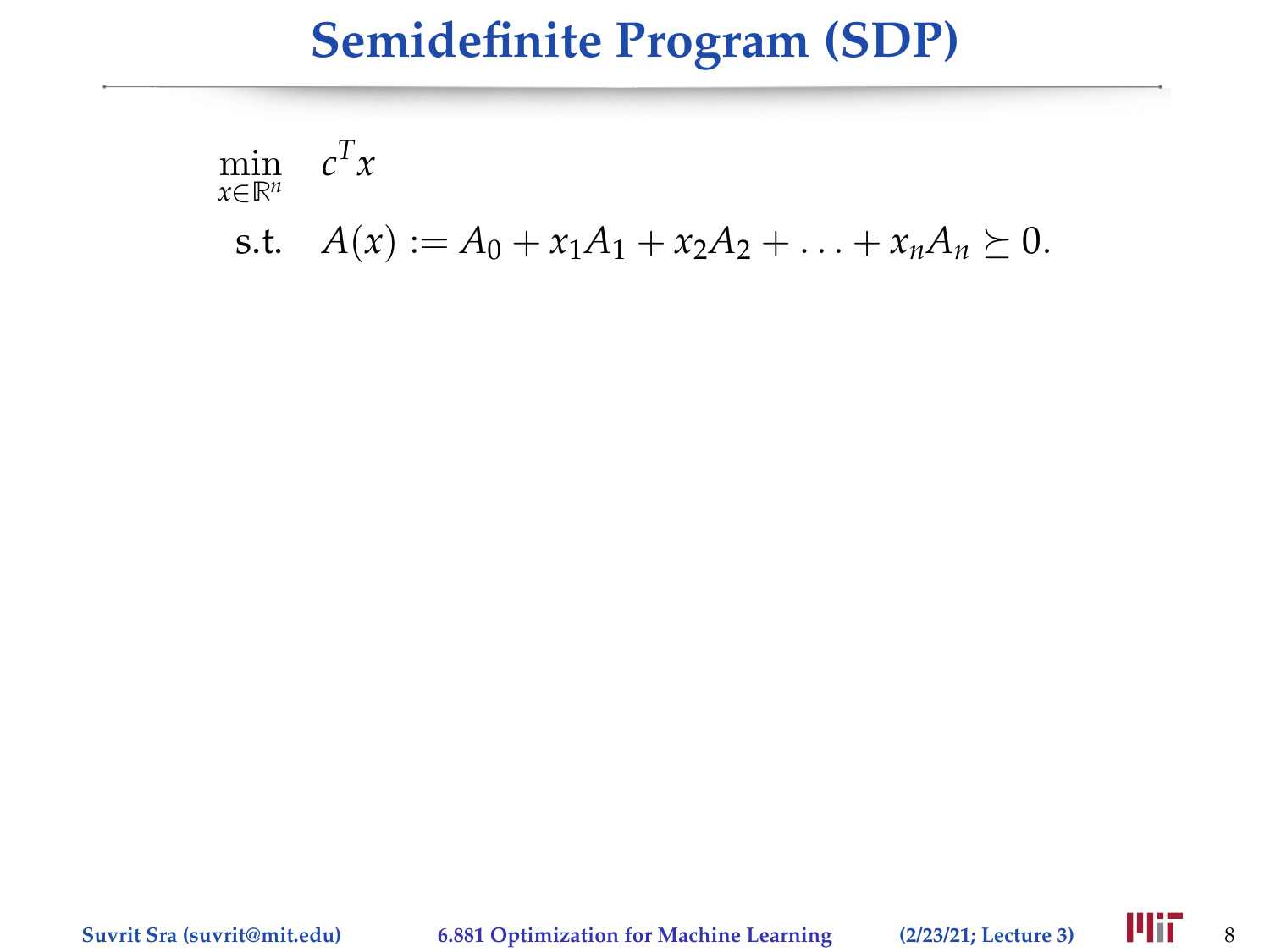$$
\min_{x \in \mathbb{R}^n} c^T x
$$
\n
$$
f(x) := A_0 + x_1 A_1 + x_2 A_2 + \dots + x_n A_n \succ
$$

s.t. 
$$
A(x) := A_0 + x_1 A_1 + x_2 A_2 + \ldots + x_n A_n \succeq 0
$$
.

**Suvrit Sra (suvrit@mit.edu) 6.881 Optimization for Machine Learning (2/23/21; Lecture 3)** 8

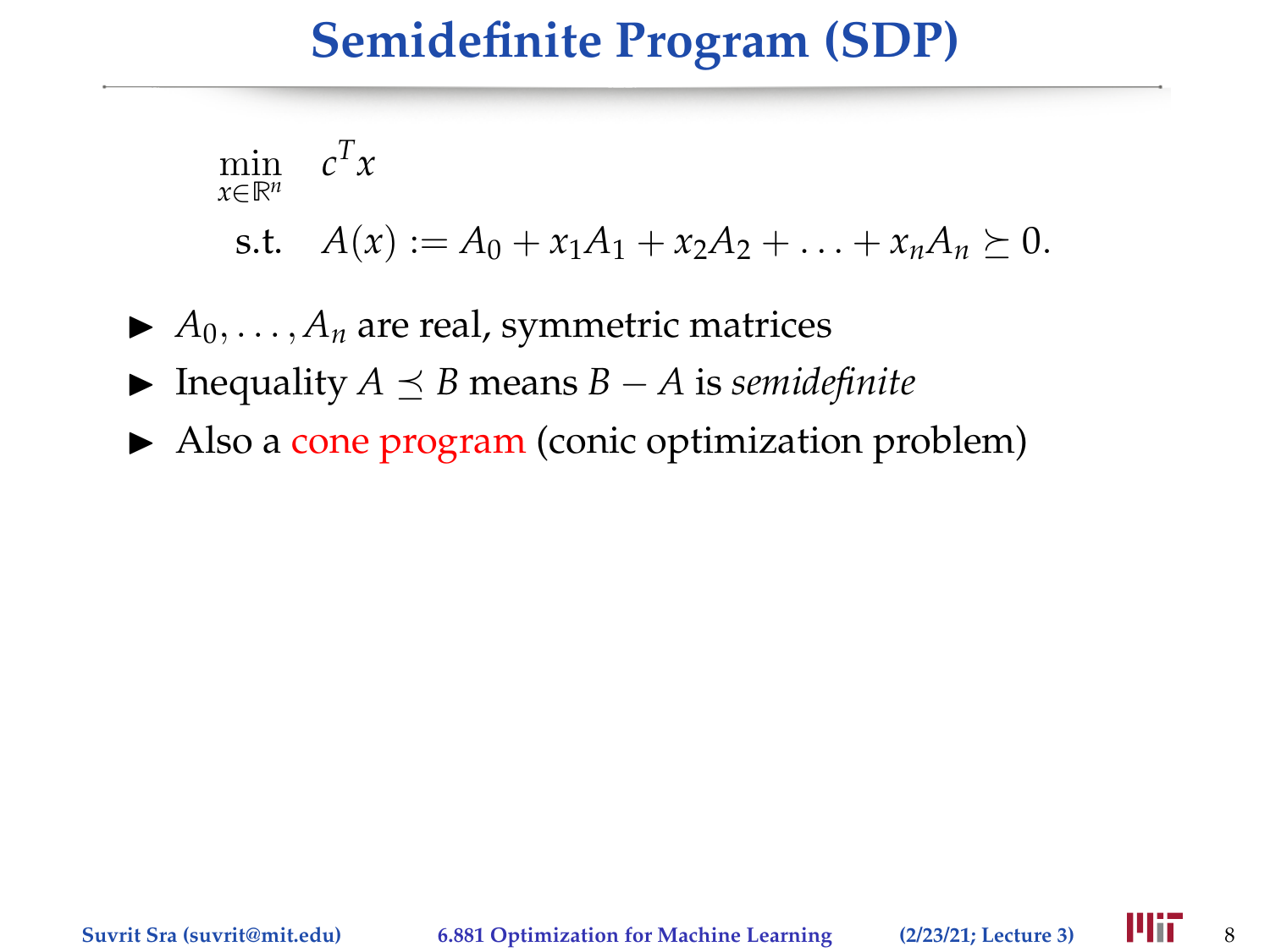$$
\min_{x \in \mathbb{R}^n} c^T x
$$
  
s.t.  $A(x) := A_0 + x_1 A_1 + x_2 A_2 + \ldots + x_n A_n \succeq 0.$ 

 $\blacktriangleright$  *A*<sub>0</sub>, . . . , *A*<sub>*n*</sub> are real, symmetric matrices

- $\blacktriangleright$  Inequality *A*  $\preceq$  *B* means *B* − *A* is *semidefinite*
- $\blacktriangleright$  Also a cone program (conic optimization problem)

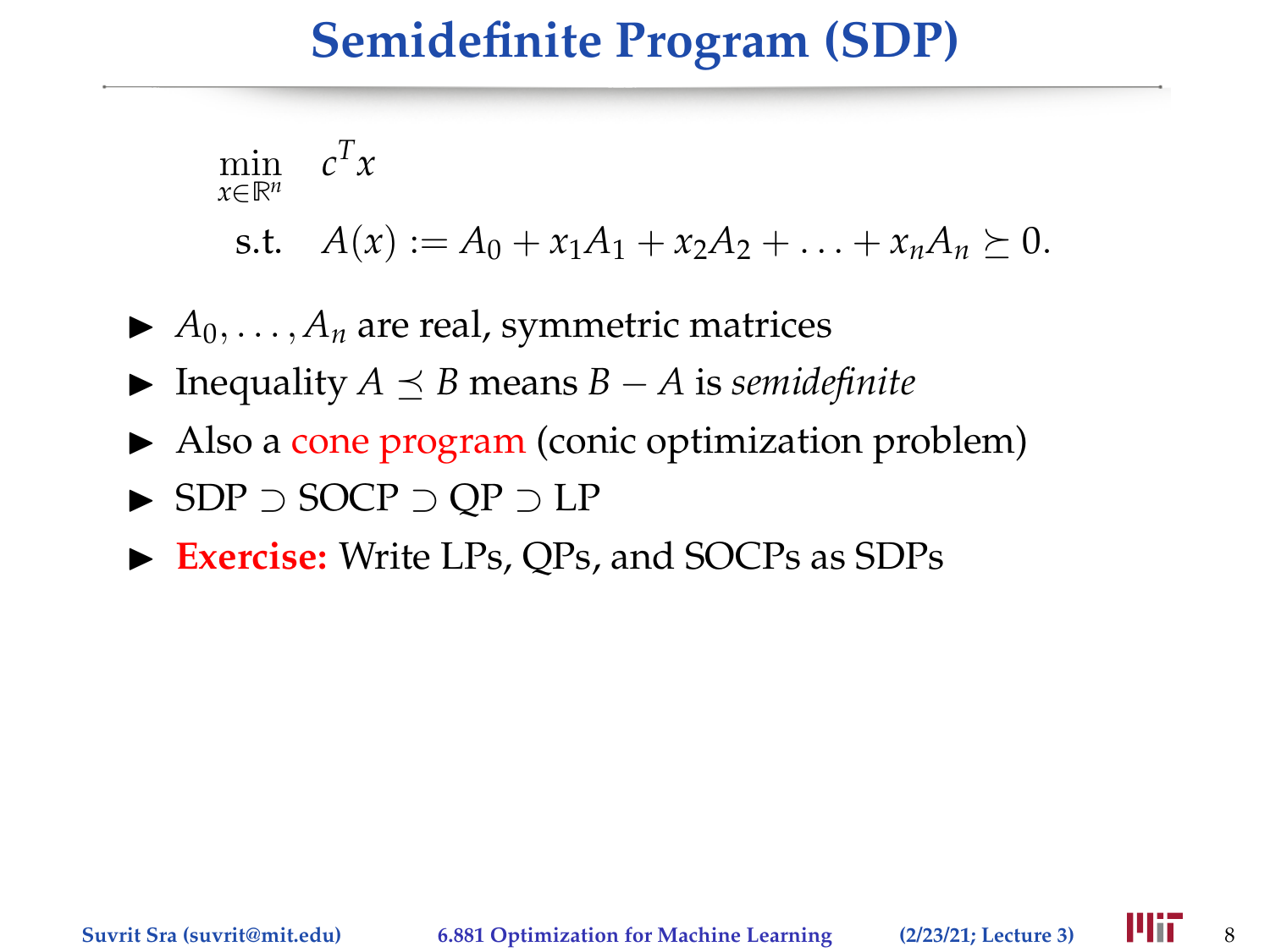$$
\min_{x \in \mathbb{R}^n} c^T x
$$
  
s.t.  $A(x) := A_0 + x_1 A_1 + x_2 A_2 + \ldots + x_n A_n \succeq 0.$ 

 $\blacktriangleright$  *A*<sub>0</sub>, ..., *A*<sub>*n*</sub> are real, symmetric matrices

- $\triangleright$  Inequality *A*  $\preceq$  *B* means *B* − *A* is *semidefinite*
- $\blacktriangleright$  Also a cone program (conic optimization problem)
- I SDP ⊃ SOCP ⊃ QP ⊃ LP
- ▶ **Exercise:** Write LPs, QPs, and SOCPs as SDPs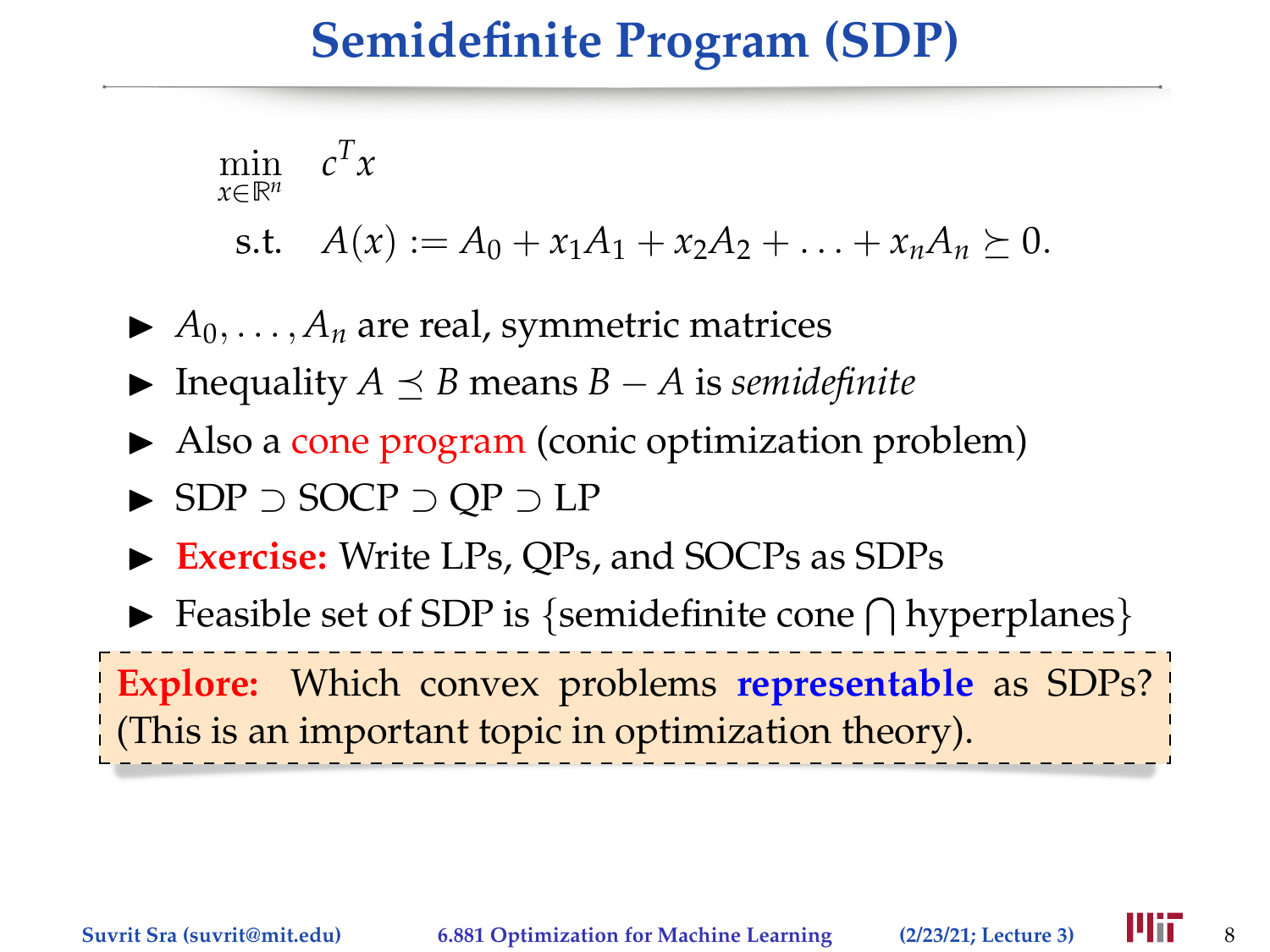$$
\min_{x \in \mathbb{R}^n} c^T x
$$
  
s.t.  $A(x) := A_0 + x_1 A_1 + x_2 A_2 + \ldots + x_n A_n \succeq 0.$ 

 $\blacktriangleright$  *A*<sub>0</sub>, ..., *A*<sub>*n*</sub> are real, symmetric matrices

- $\blacktriangleright$  Inequality *A*  $\preceq$  *B* means *B* − *A* is *semidefinite*
- $\blacktriangleright$  Also a cone program (conic optimization problem)
- I SDP ⊃ SOCP ⊃ QP ⊃ LP
- ▶ **Exercise:** Write LPs, QPs, and SOCPs as SDPs
- $\blacktriangleright$  Feasible set of SDP is {semidefinite cone  $\bigcap$  hyperplanes}

**Explore:** Which convex problems **representable** as SDPs? (This is an important topic in optimization theory).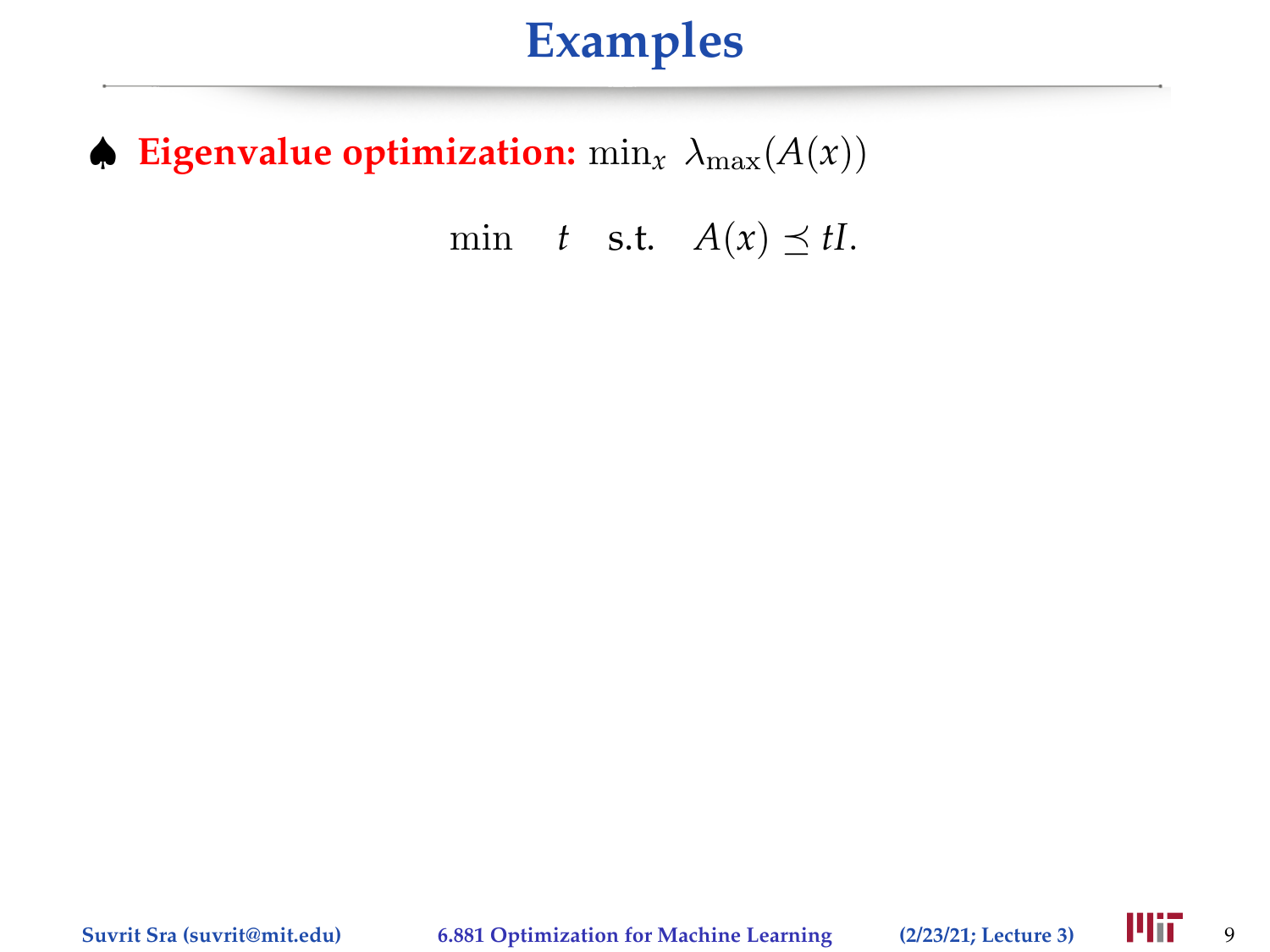# **Examples**

#### $\blacklozenge$  **Eigenvalue optimization:** min<sub>x</sub>  $\lambda_{\text{max}}(A(x))$

min *t* s.t.  $A(x) \preceq tI$ .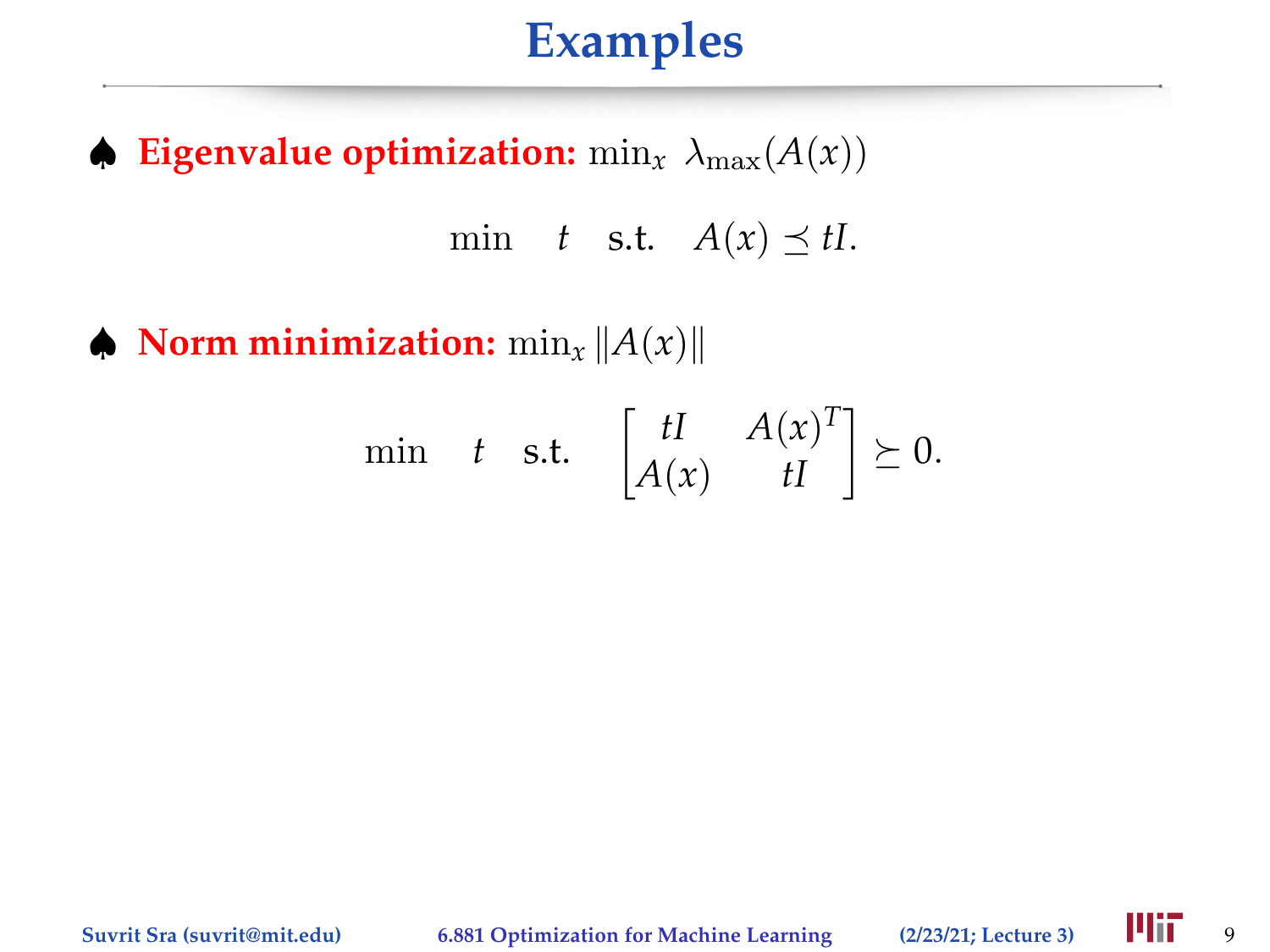# **Examples**

 $\blacklozenge$  **Eigenvalue optimization:** min<sub>x</sub>  $\lambda_{\text{max}}(A(x))$ 

min *t* s.t.  $A(x) \preceq tI$ .

 $\blacklozenge$  **Norm minimization:**  $\min_x \|A(x)\|$ 

$$
\min \t t \quad \text{s.t.} \quad \begin{bmatrix} tI & A(x)^T \\ A(x) & tI \end{bmatrix} \succeq 0.
$$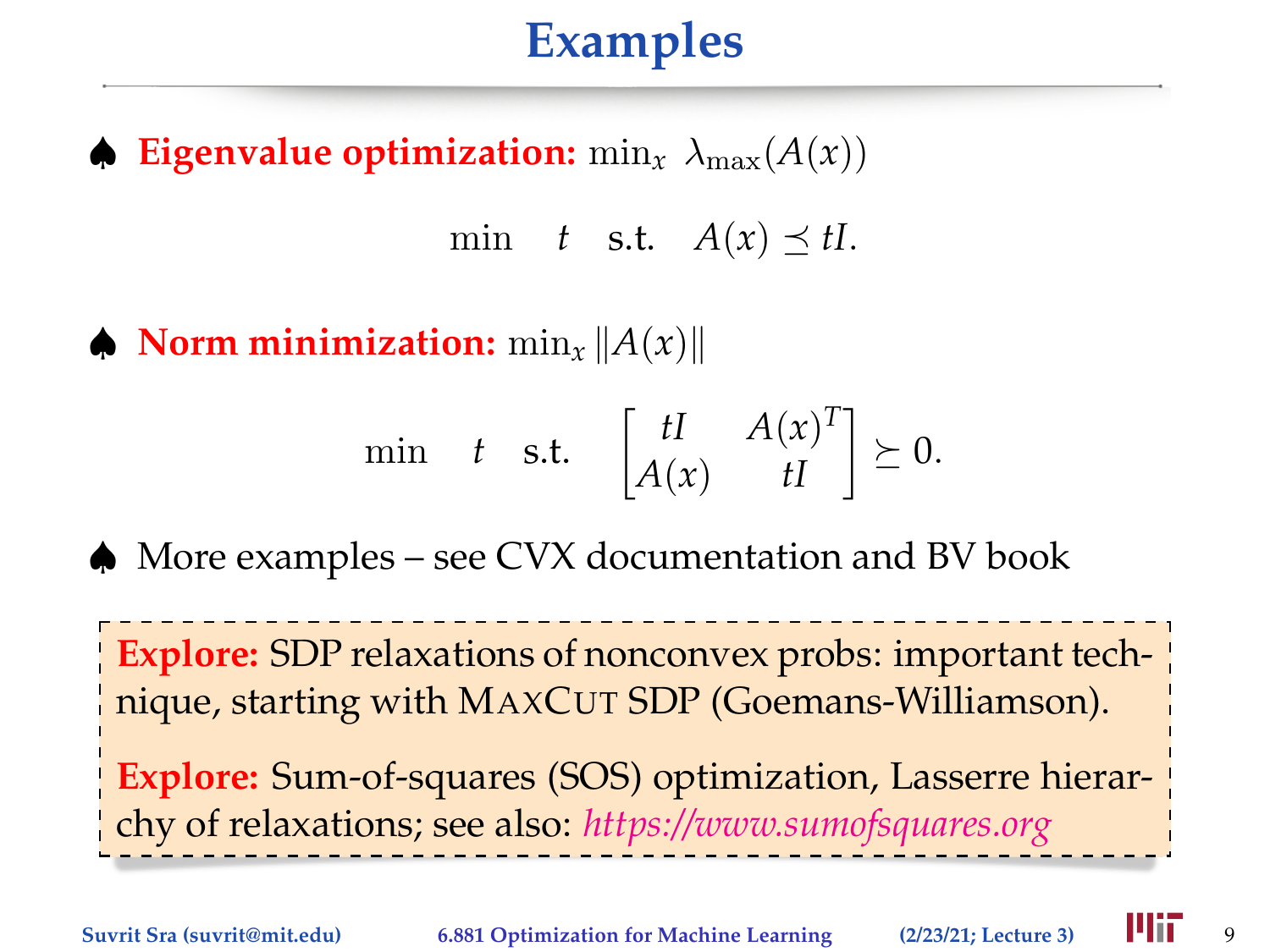# **Examples**

 $\phi$  **Eigenvalue optimization:** min<sub>x</sub>  $\lambda_{\text{max}}(A(x))$ 

min *t* s.t.  $A(x) \prec tI$ .

 $\triangle$  **Norm minimization:**  $\min_x ||A(x)||$ 

$$
\min \t t \quad \text{s.t.} \quad \begin{bmatrix} tI & A(x)^T \\ A(x) & tI \end{bmatrix} \succeq 0.
$$

♠ More examples – see CVX documentation and BV book

**Explore:** SDP relaxations of nonconvex probs: important technique, starting with MAXCUT SDP (Goemans-Williamson).

**Explore:** Sum-of-squares (SOS) optimization, Lasserre hierarchy of relaxations; see also: *[https://www.sumofsquares.org](https://www.sumofsquares.org/public/index.html)*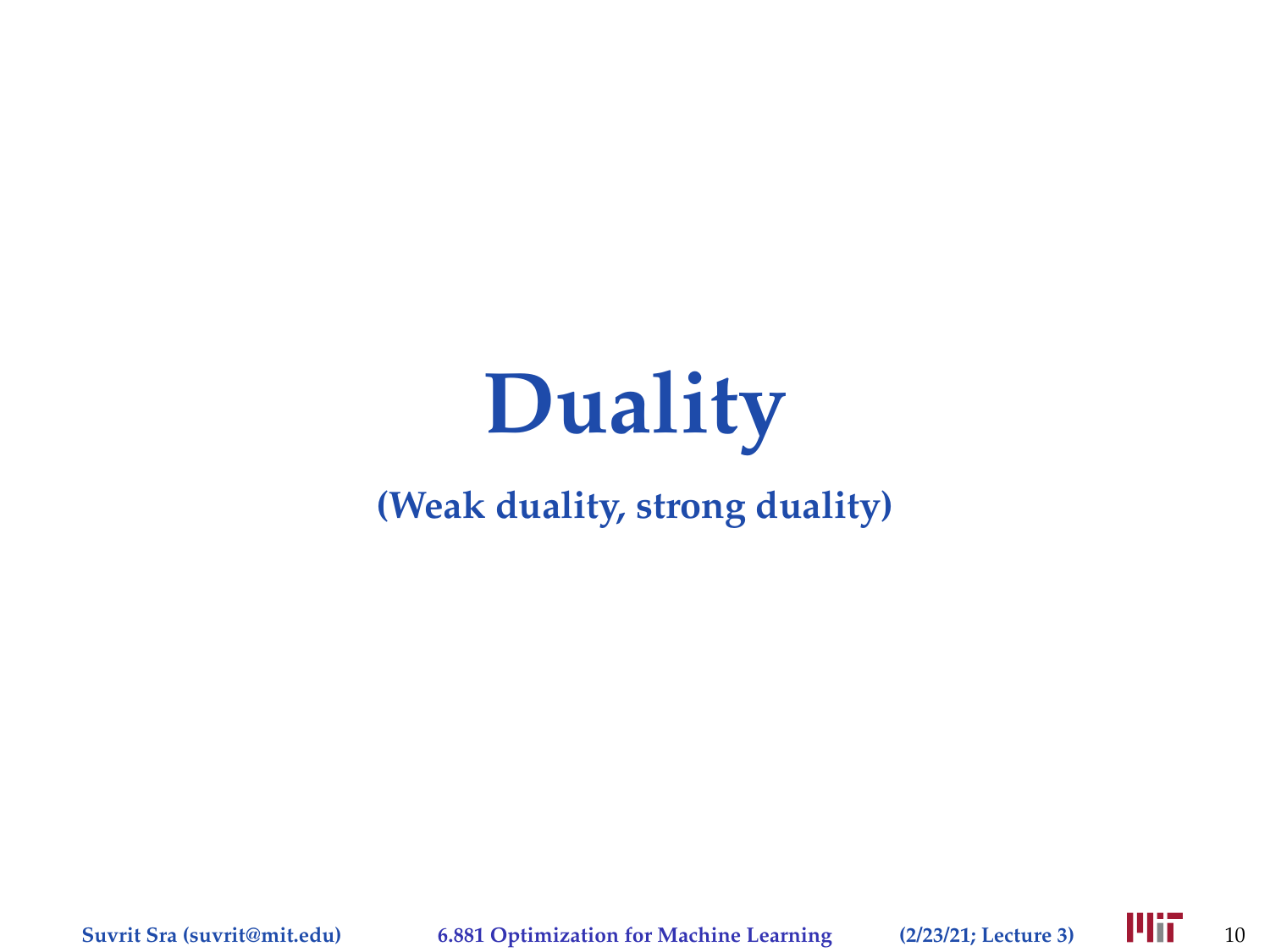# **Duality**

#### **(Weak duality, strong duality)**

**Suvrit Sra (suvrit@mit.edu) 6.881 Optimization for Machine Learning** (2/23/21; Lecture 3) **10.** 10

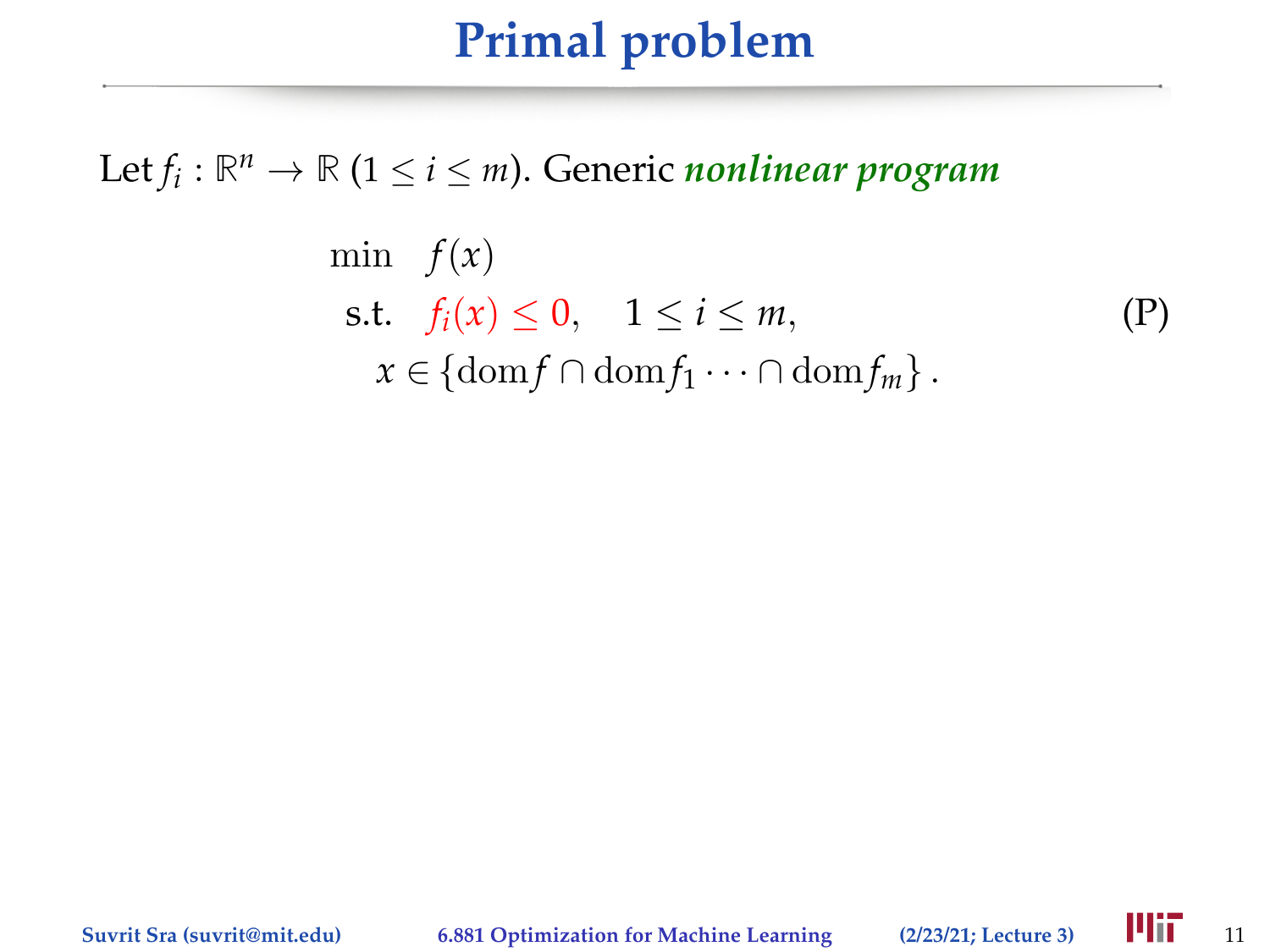# **Primal problem**

Let  $f_i: \mathbb{R}^n \to \mathbb{R}$   $(1 \leq i \leq m)$ . Generic *nonlinear program* 

$$
\min f(x)
$$
\n
$$
\text{s.t.} \quad f_i(x) \le 0, \quad 1 \le i \le m,
$$
\n
$$
x \in \{\text{dom} f \cap \text{dom} f_1 \cdots \cap \text{dom} f_m\}.
$$
\n
$$
(P)
$$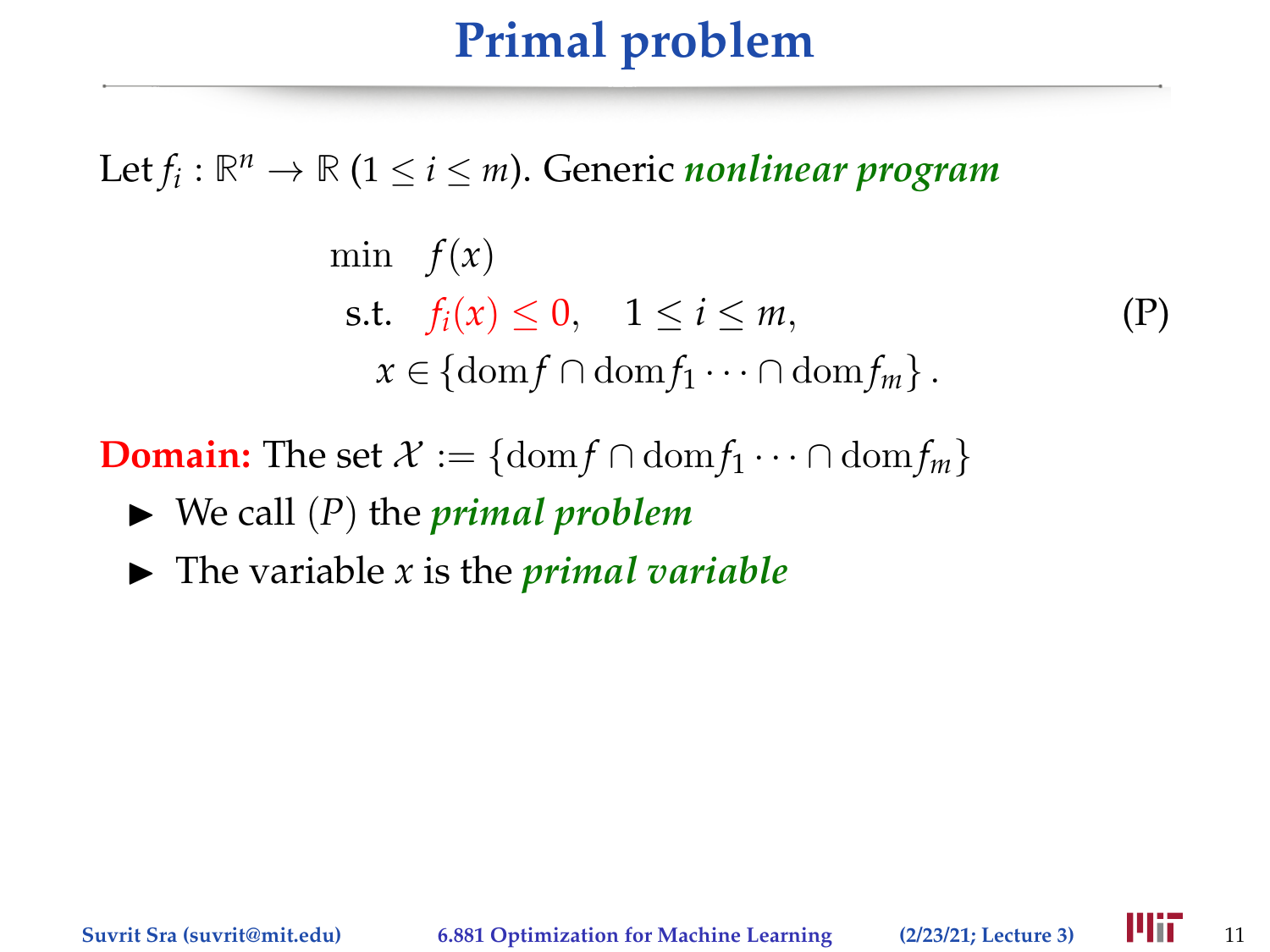# **Primal problem**

Let  $f_i: \mathbb{R}^n \to \mathbb{R}$   $(1 \leq i \leq m)$ . Generic *nonlinear program* 

$$
\begin{aligned}\n\min \quad & f(x) \\
\text{s.t.} \quad & f_i(x) \le 0, \quad 1 \le i \le m, \\
& x \in \{\text{dom} f \cap \text{dom} f_1 \cdots \cap \text{dom} f_m\}.\n\end{aligned} \tag{P}
$$

**Domain:** The set  $\mathcal{X} := \{ \text{dom } f \cap \text{dom } f_1 \cdots \cap \text{dom } f_m \}$ 

- $\blacktriangleright$  We call  $(P)$  the *primal problem*
- $\blacktriangleright$  The variable *x* is the *primal variable*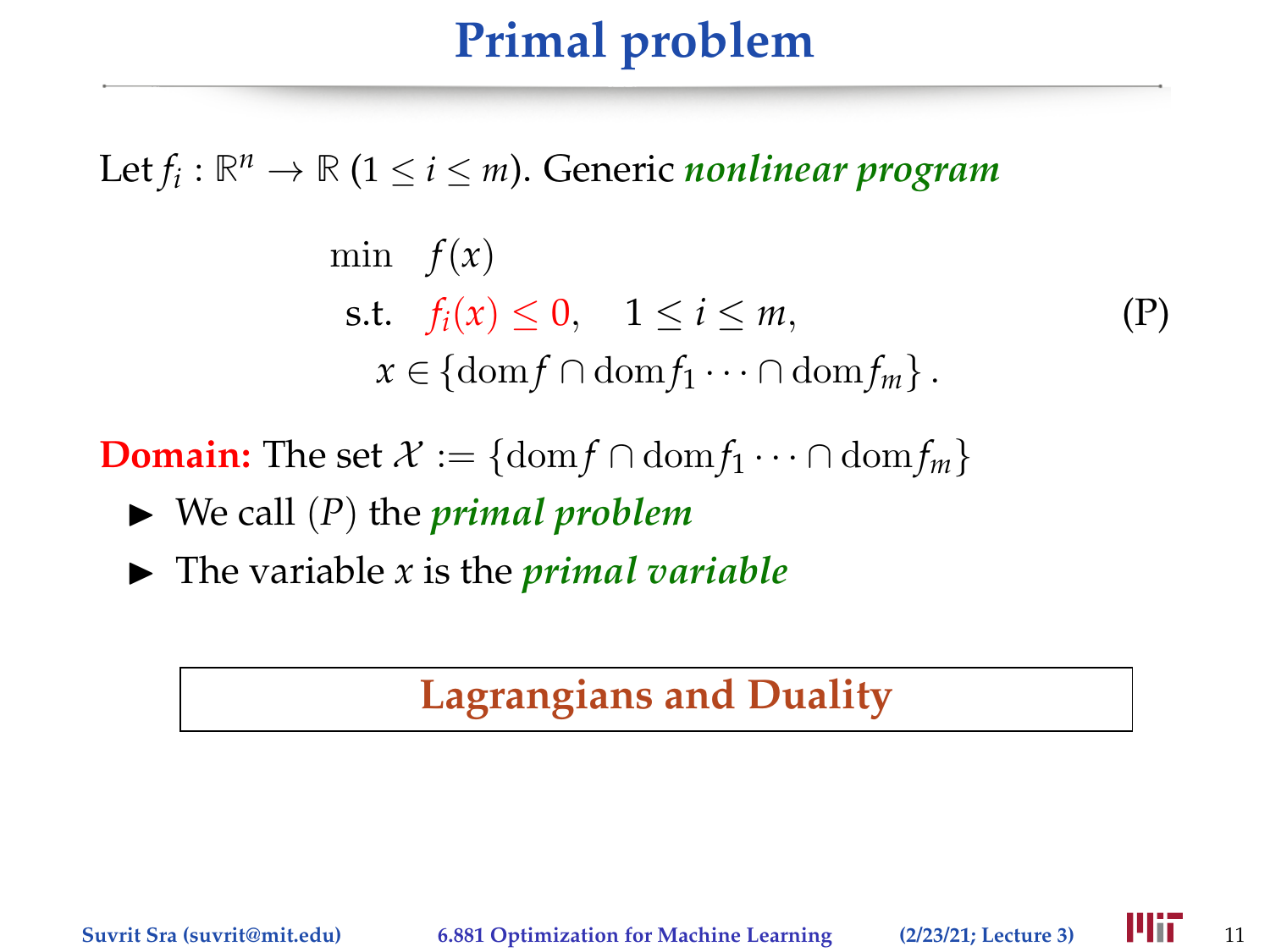# **Primal problem**

Let  $f_i: \mathbb{R}^n \to \mathbb{R}$   $(1 \leq i \leq m)$ . Generic *nonlinear program* 

$$
\begin{aligned}\n\min \quad & f(x) \\
\text{s.t.} \quad & f_i(x) \le 0, \quad 1 \le i \le m, \\
& x \in \{\text{dom} f \cap \text{dom} f_1 \cdots \cap \text{dom} f_m\}.\n\end{aligned} \tag{P}
$$

**Domain:** The set  $\mathcal{X} := \{ \text{dom} f \cap \text{dom} f_1 \cdots \cap \text{dom} f_m \}$ 

- $\blacktriangleright$  We call  $(P)$  the *primal problem*
- $\blacktriangleright$  The variable *x* is the *primal variable*

#### **Lagrangians and Duality**

**Suvrit Sra (suvrit@mit.edu) 6.881 Optimization for Machine Learning** (2/23/21; Lecture 3) **14 11** 11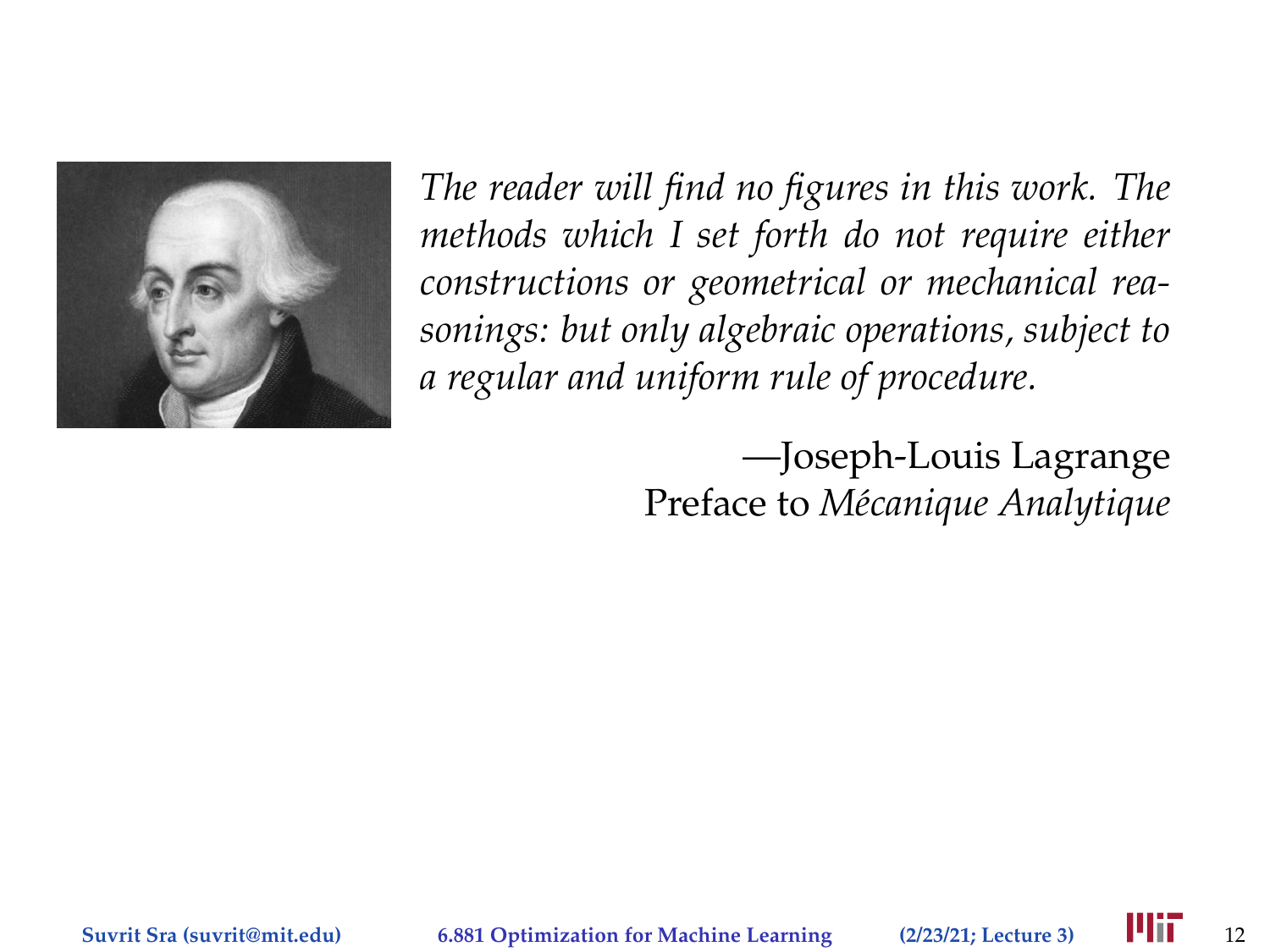

*The reader will find no figures in this work. The methods which I set forth do not require either constructions or geometrical or mechanical reasonings: but only algebraic operations, subject to a regular and uniform rule of procedure.*

> —Joseph-Louis Lagrange Preface to *Mécanique Analytique*

**Suvrit Sra (suvrit@mit.edu) 6.881 Optimization for Machine Learning (2/23/21; Lecture 3)** 12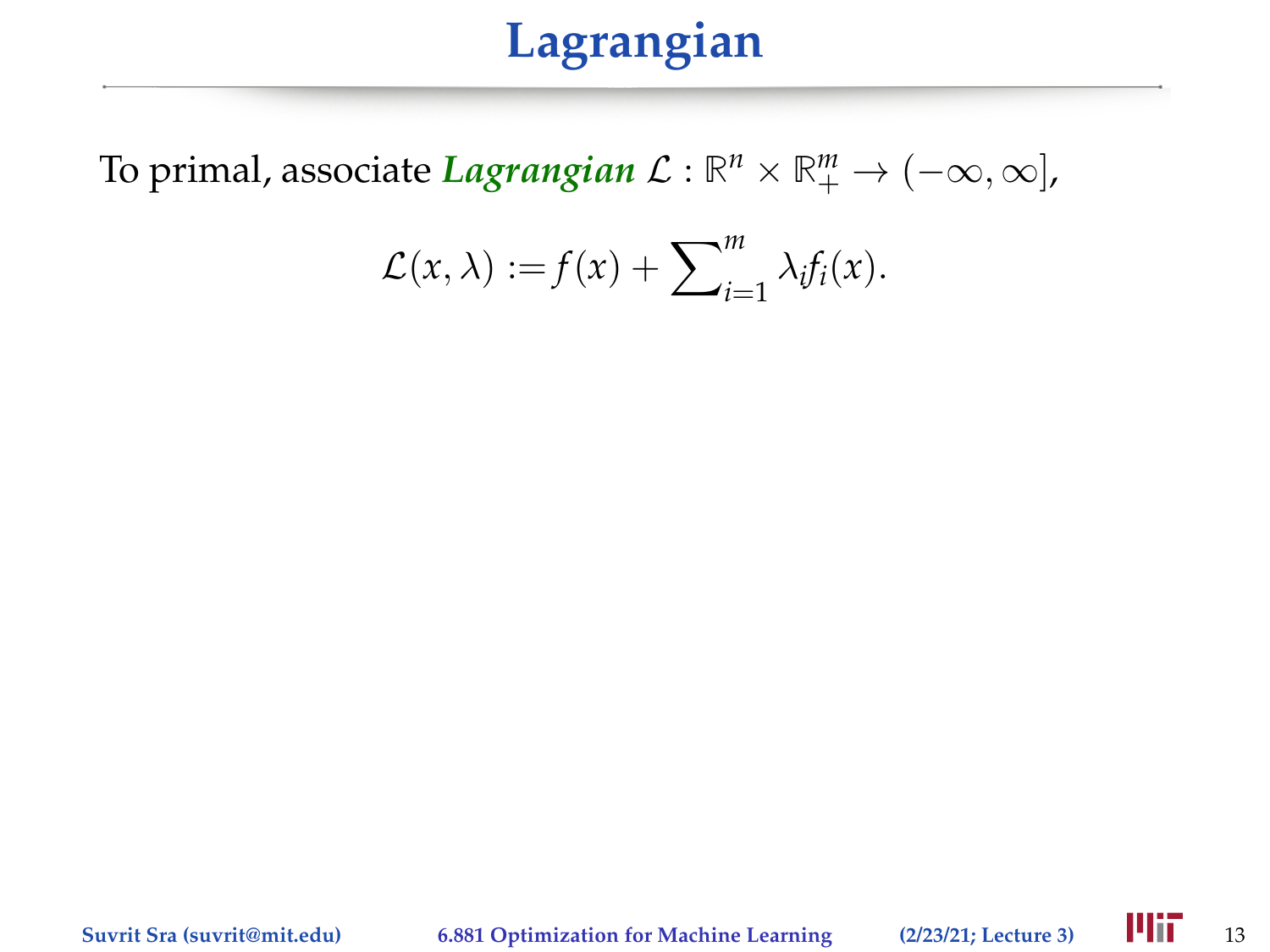To primal, associate *Lagrangian*  $\mathcal{L}: \mathbb{R}^n \times \mathbb{R}^m_+ \to (-\infty, \infty]$ ,

$$
\mathcal{L}(x,\lambda) := f(x) + \sum_{i=1}^m \lambda_i f_i(x).
$$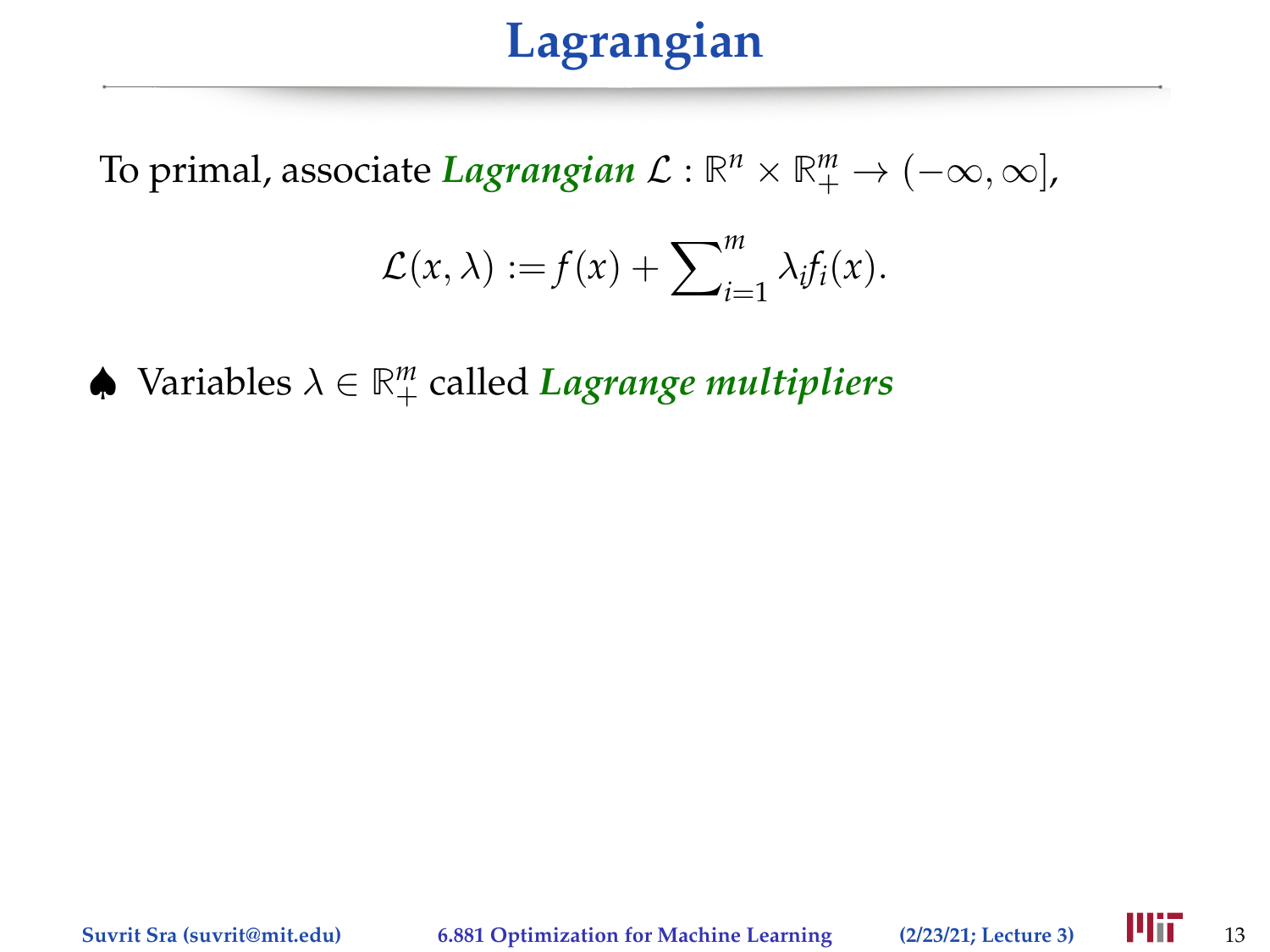To primal, associate *Lagrangian*  $\mathcal{L}: \mathbb{R}^n \times \mathbb{R}^m_+ \to (-\infty, \infty]$ ,

$$
\mathcal{L}(x,\lambda) := f(x) + \sum_{i=1}^m \lambda_i f_i(x).
$$

♠ Variables λ ∈ **R** *m* <sup>+</sup> called *Lagrange multipliers*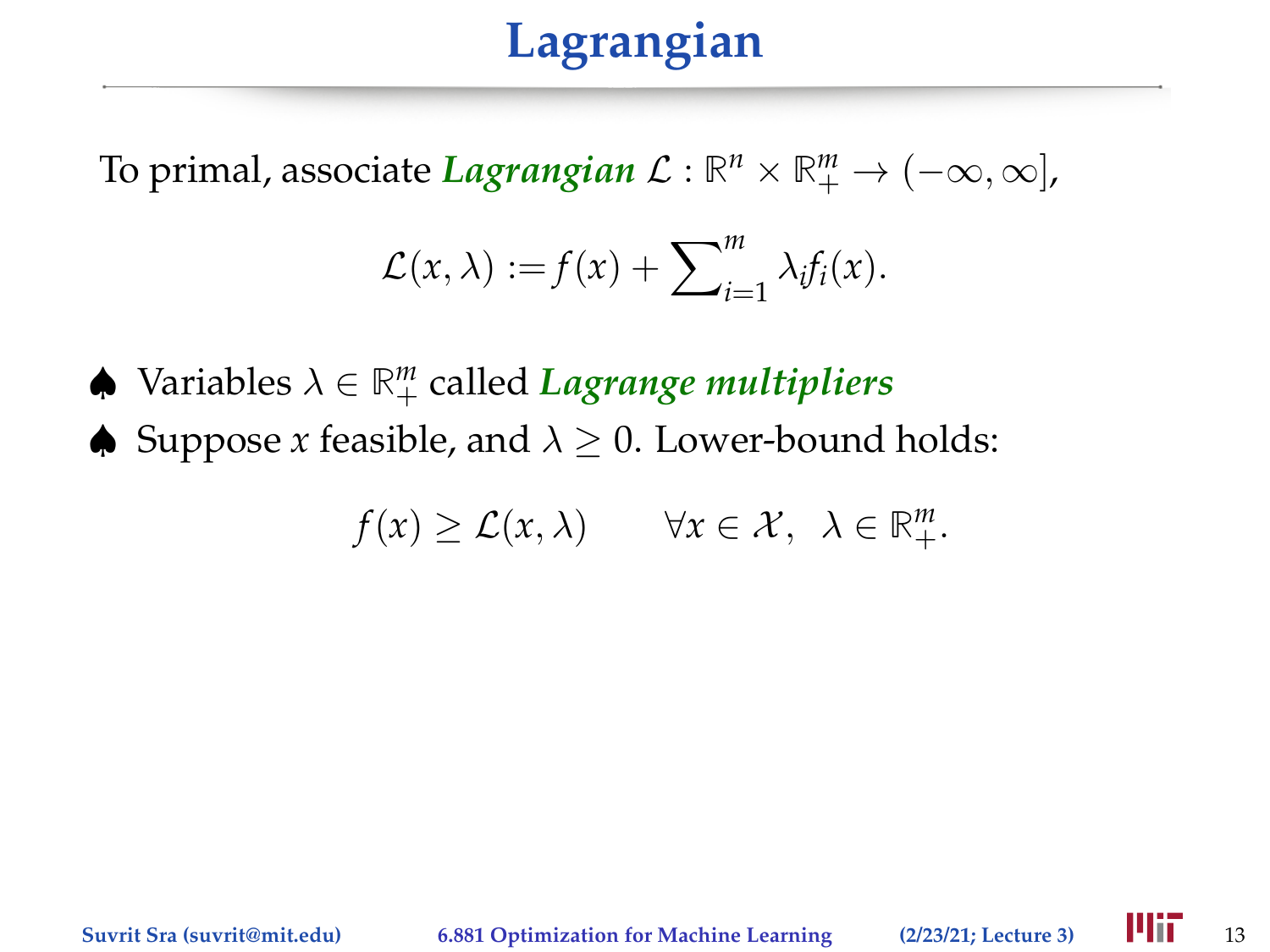To primal, associate *Lagrangian*  $\mathcal{L}: \mathbb{R}^n \times \mathbb{R}^m_+ \to (-\infty, \infty]$ ,

$$
\mathcal{L}(x,\lambda) := f(x) + \sum_{i=1}^m \lambda_i f_i(x).
$$

♠ Variables λ ∈ **R** *m* <sup>+</sup> called *Lagrange multipliers*

 $\triangle$  Suppose *x* feasible, and  $\lambda > 0$ . Lower-bound holds:

$$
f(x) \geq \mathcal{L}(x,\lambda) \qquad \forall x \in \mathcal{X}, \ \lambda \in \mathbb{R}^m_+.
$$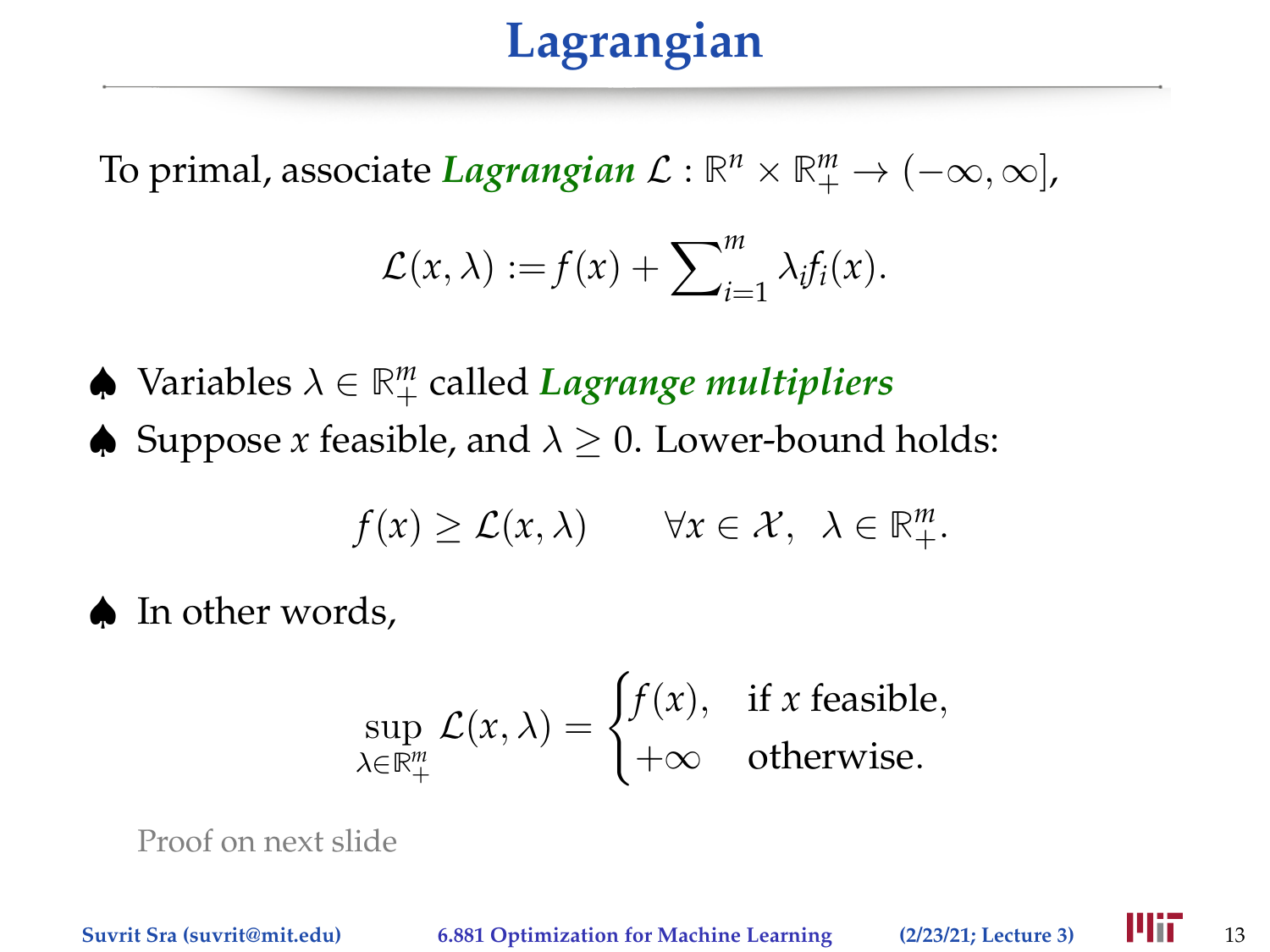To primal, associate *Lagrangian*  $\mathcal{L}: \mathbb{R}^n \times \mathbb{R}^m_+ \to (-\infty, \infty]$ ,

$$
\mathcal{L}(x,\lambda) := f(x) + \sum_{i=1}^m \lambda_i f_i(x).
$$

- ♠ Variables λ ∈ **R** *m* <sup>+</sup> called *Lagrange multipliers*
- $\triangle$  Suppose *x* feasible, and  $\lambda > 0$ . Lower-bound holds:

$$
f(x) \geq \mathcal{L}(x,\lambda) \qquad \forall x \in \mathcal{X}, \ \lambda \in \mathbb{R}^m_+.
$$

♠ In other words,

$$
\sup_{\lambda \in \mathbb{R}_+^m} \mathcal{L}(x,\lambda) = \begin{cases} f(x), & \text{if } x \text{ feasible}, \\ +\infty & \text{otherwise.} \end{cases}
$$

Proof on next slide

**Suvrit Sra (suvrit@mit.edu) 6.881 Optimization for Machine Learning (2/23/21; Lecture 3)** 13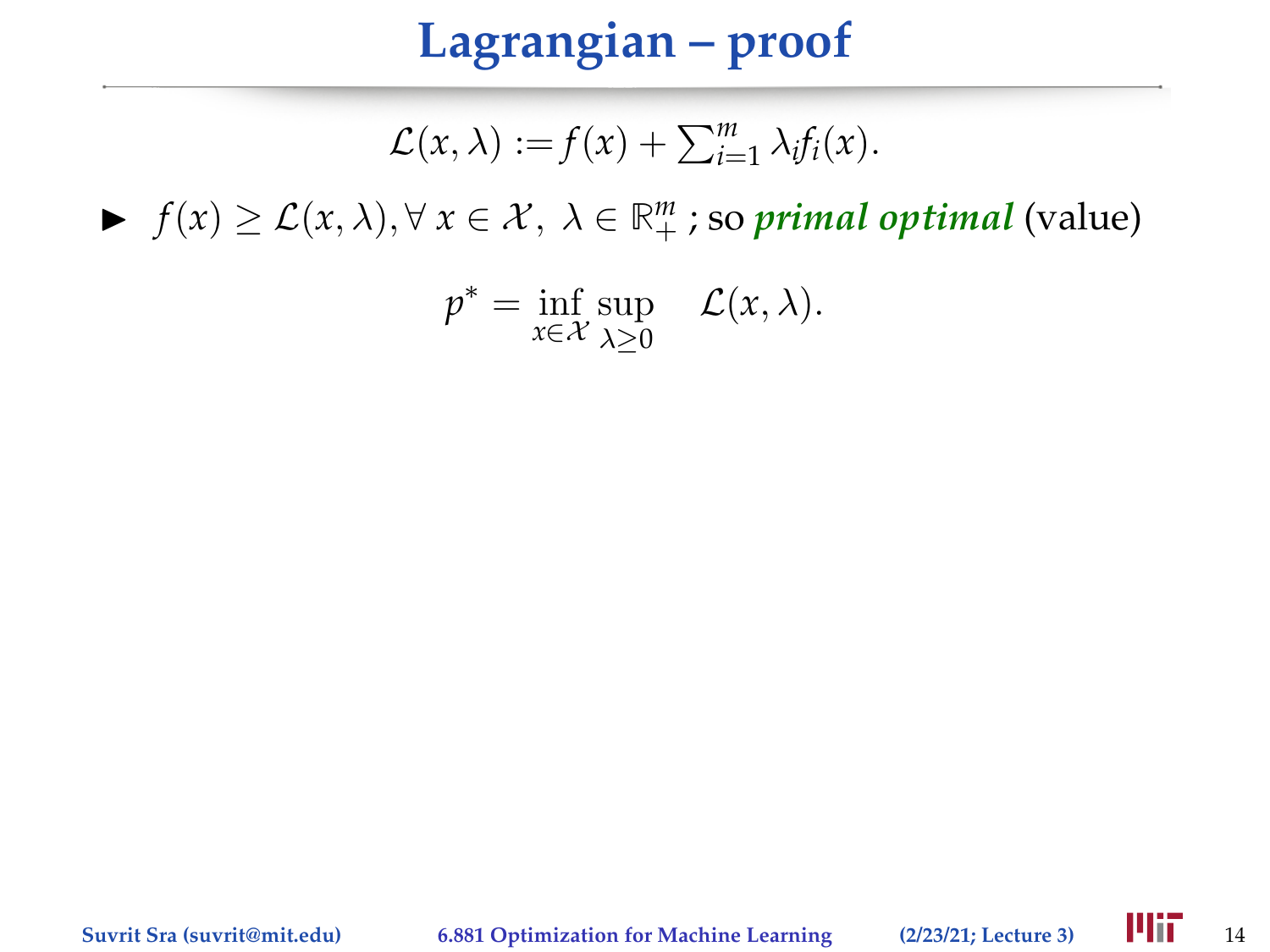# **Lagrangian – proof**

$$
\mathcal{L}(x,\lambda) := f(x) + \sum_{i=1}^m \lambda_i f_i(x).
$$

 $\blacktriangleright$  *f*(*x*) ≥ *L*(*x*, *λ*), ∀ *x* ∈ *X*, *λ* ∈  $\mathbb{R}^m_+$ ; so *primal optimal* (value)

$$
p^* = \inf_{x \in \mathcal{X}} \sup_{\lambda \ge 0} \quad \mathcal{L}(x, \lambda).
$$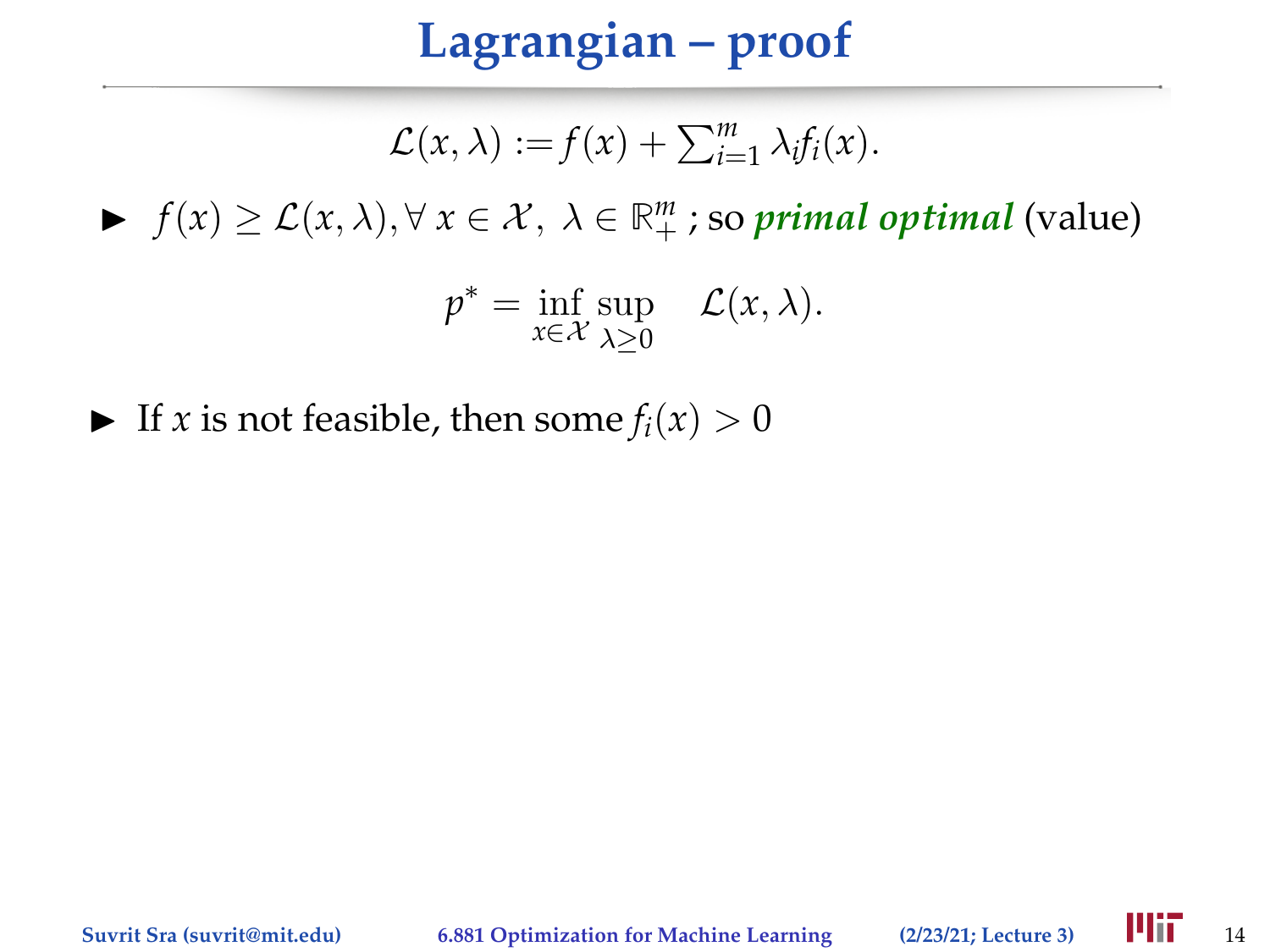# **Lagrangian – proof**

$$
\mathcal{L}(x,\lambda) := f(x) + \sum_{i=1}^m \lambda_i f_i(x).
$$

 $\blacktriangleright$  *f*(*x*) ≥ *L*(*x*, *λ*), ∀ *x* ∈ *X*, *λ* ∈  $\mathbb{R}^m_+$ ; so *primal optimal* (value)

$$
p^* = \inf_{x \in \mathcal{X}} \sup_{\lambda \ge 0} \quad \mathcal{L}(x, \lambda).
$$

If *x* is not feasible, then some  $f_i(x) > 0$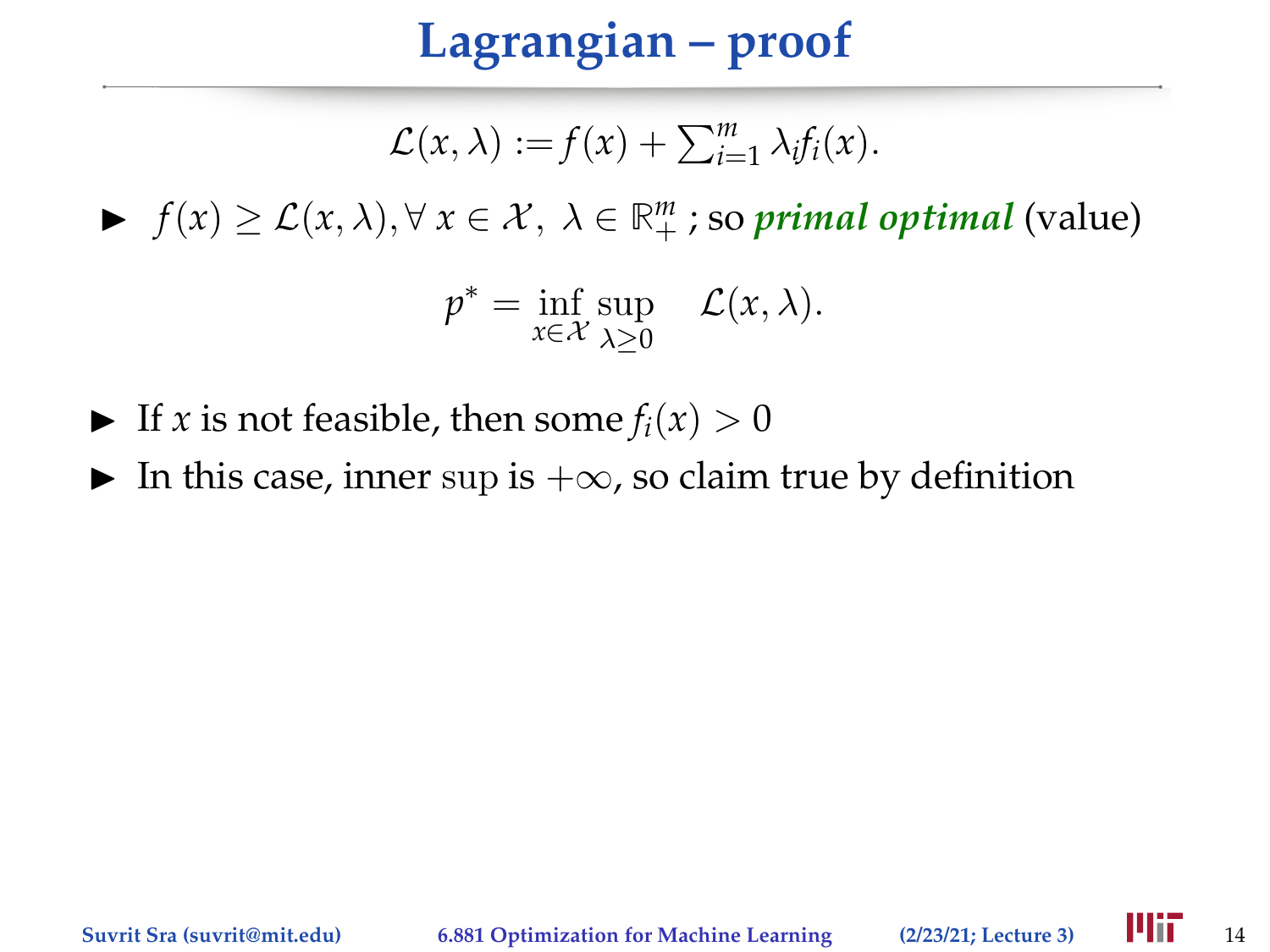## **Lagrangian – proof**

$$
\mathcal{L}(x,\lambda) := f(x) + \sum_{i=1}^m \lambda_i f_i(x).
$$

 $\blacktriangleright$  *f*(*x*) ≥ *L*(*x*, *λ*), ∀ *x* ∈ *X*, *λ* ∈  $\mathbb{R}^m_+$ ; so *primal optimal* (value)

$$
p^* = \inf_{x \in \mathcal{X}} \sup_{\lambda \ge 0} \quad \mathcal{L}(x, \lambda).
$$

- If *x* is not feasible, then some  $f_i(x) > 0$
- In this case, inner sup is  $+\infty$ , so claim true by definition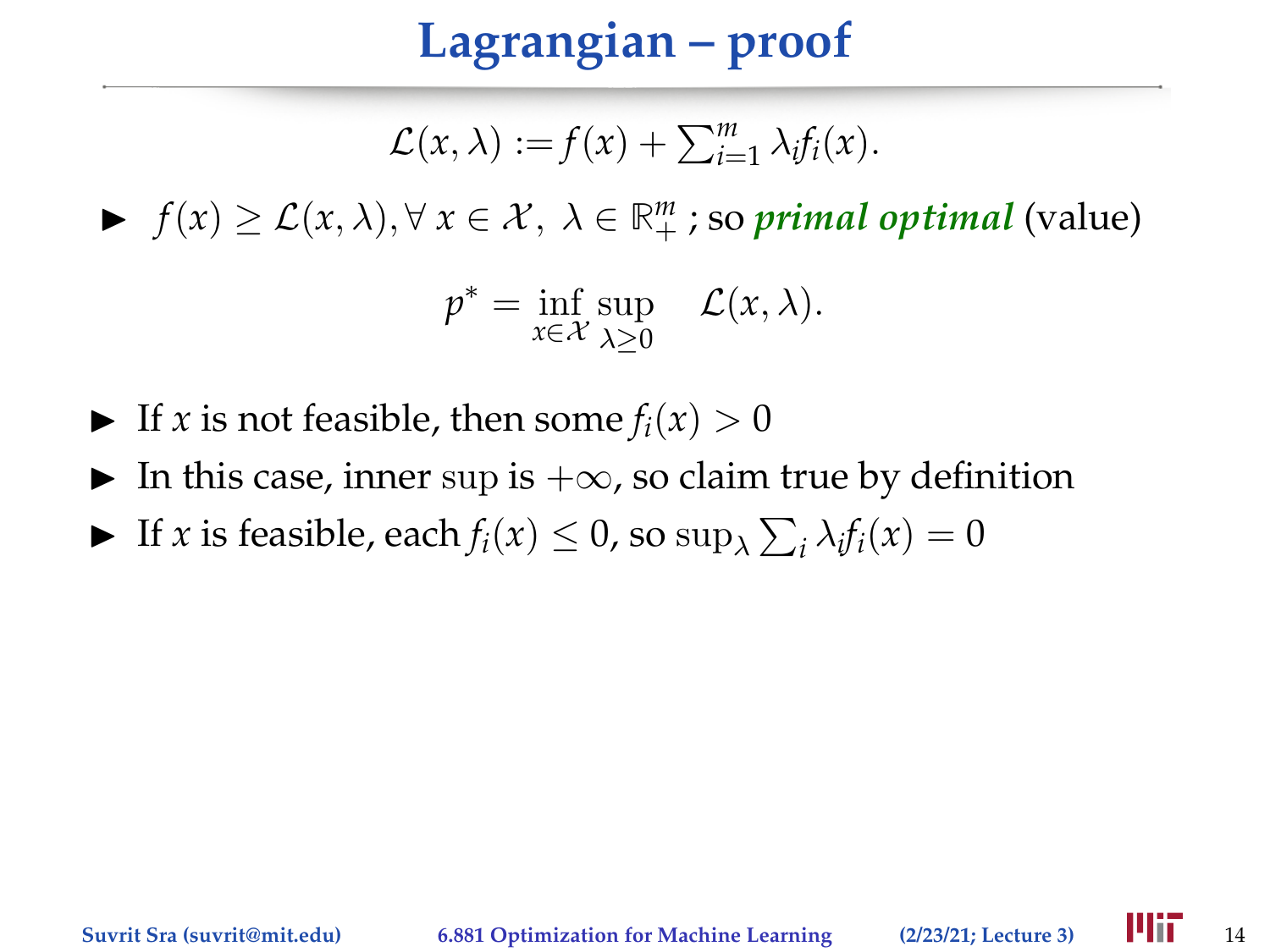## **Lagrangian – proof**

$$
\mathcal{L}(x,\lambda) := f(x) + \sum_{i=1}^m \lambda_i f_i(x).
$$

 $\blacktriangleright$  *f*(*x*) ≥ *L*(*x*, *λ*), ∀ *x* ∈ *X*, *λ* ∈  $\mathbb{R}^m_+$ ; so *primal optimal* (value)

$$
p^* = \inf_{x \in \mathcal{X}} \sup_{\lambda \ge 0} \quad \mathcal{L}(x, \lambda).
$$

- If *x* is not feasible, then some  $f_i(x) > 0$
- In this case, inner sup is  $+\infty$ , so claim true by definition
- If *x* is feasible, each  $f_i(x) \le 0$ , so  $\sup_{\lambda} \sum_i \lambda_i f_i(x) = 0$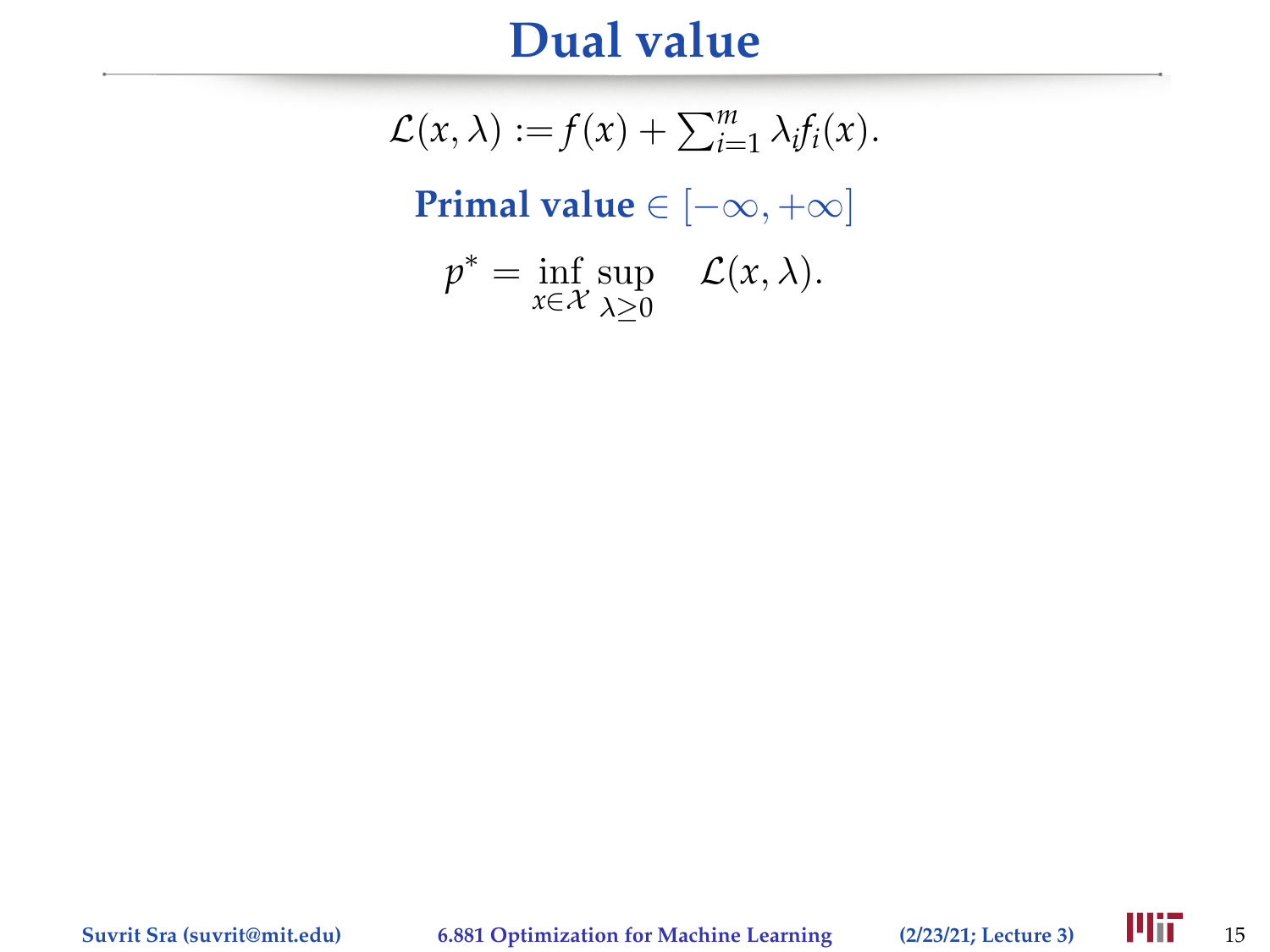#### **Dual value**

 $\mathcal{L}(x, \lambda) := f(x) + \sum_{i=1}^{m} \lambda_i f_i(x).$ **Primal value** ∈ [−∞, +∞]  $p^* = \inf_{x \in \mathcal{X}} \sup_{\lambda > 0}$  $\lambda \geq 0$  $\mathcal{L}(x,\lambda)$ .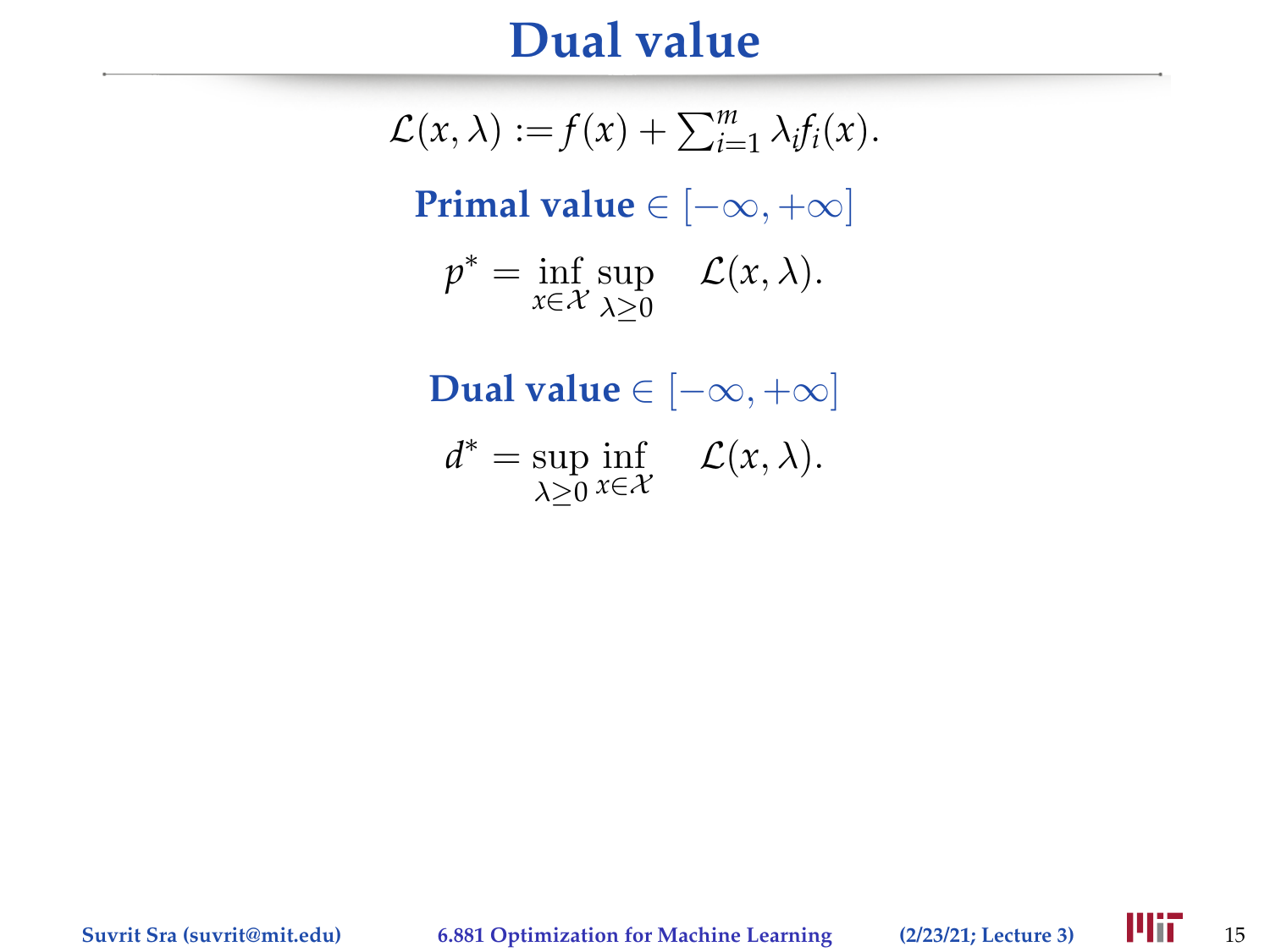#### **Dual value**

 $\mathcal{L}(x, \lambda) := f(x) + \sum_{i=1}^{m} \lambda_i f_i(x).$ **Primal value** ∈ [−∞, +∞]  $p^* = \inf_{x \in \mathcal{X}} \sup_{\lambda > 0}$  $\lambda \geq 0$  $\mathcal{L}(x,\lambda)$ .

**Dual value** ∈  $[-\infty, +\infty]$ 

$$
d^* = \sup_{\lambda \geq 0} \inf_{x \in \mathcal{X}} \quad \mathcal{L}(x, \lambda).
$$

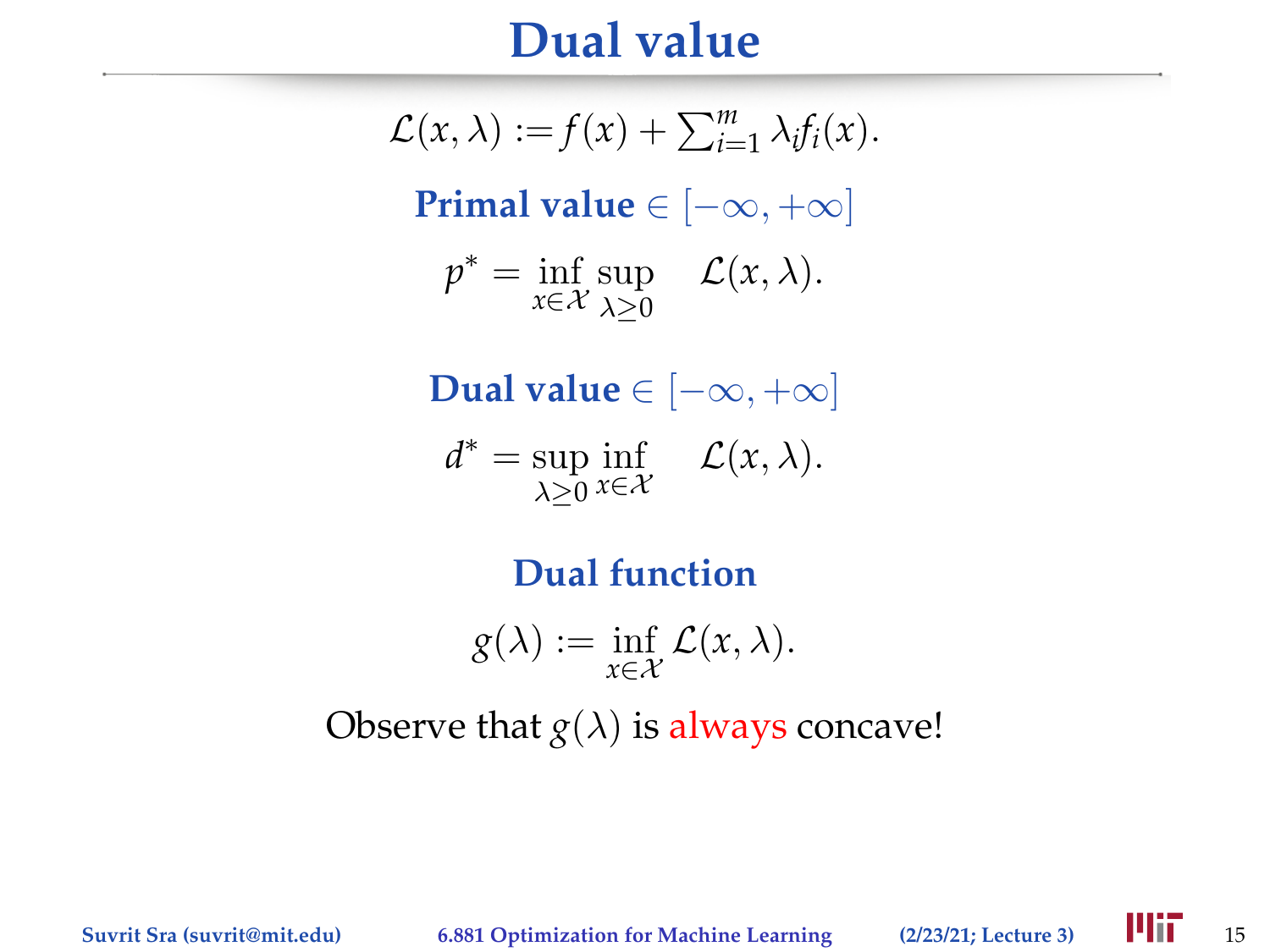#### **Dual value**

 $\mathcal{L}(x, \lambda) := f(x) + \sum_{i=1}^{m} \lambda_i f_i(x).$ **Primal value** ∈ [−∞, +∞]  $p^* = \inf_{x \in \mathcal{X}} \sup_{\lambda > 0}$  $\lambda \geq 0$  $\mathcal{L}(x,\lambda)$ .

**Dual value** ∈ [−∞, +∞]

$$
d^* = \sup_{\lambda \geq 0} \inf_{x \in \mathcal{X}} \quad \mathcal{L}(x, \lambda).
$$

**Dual function**

$$
g(\lambda) := \inf_{x \in \mathcal{X}} \mathcal{L}(x, \lambda).
$$

Observe that  $g(\lambda)$  is always concave!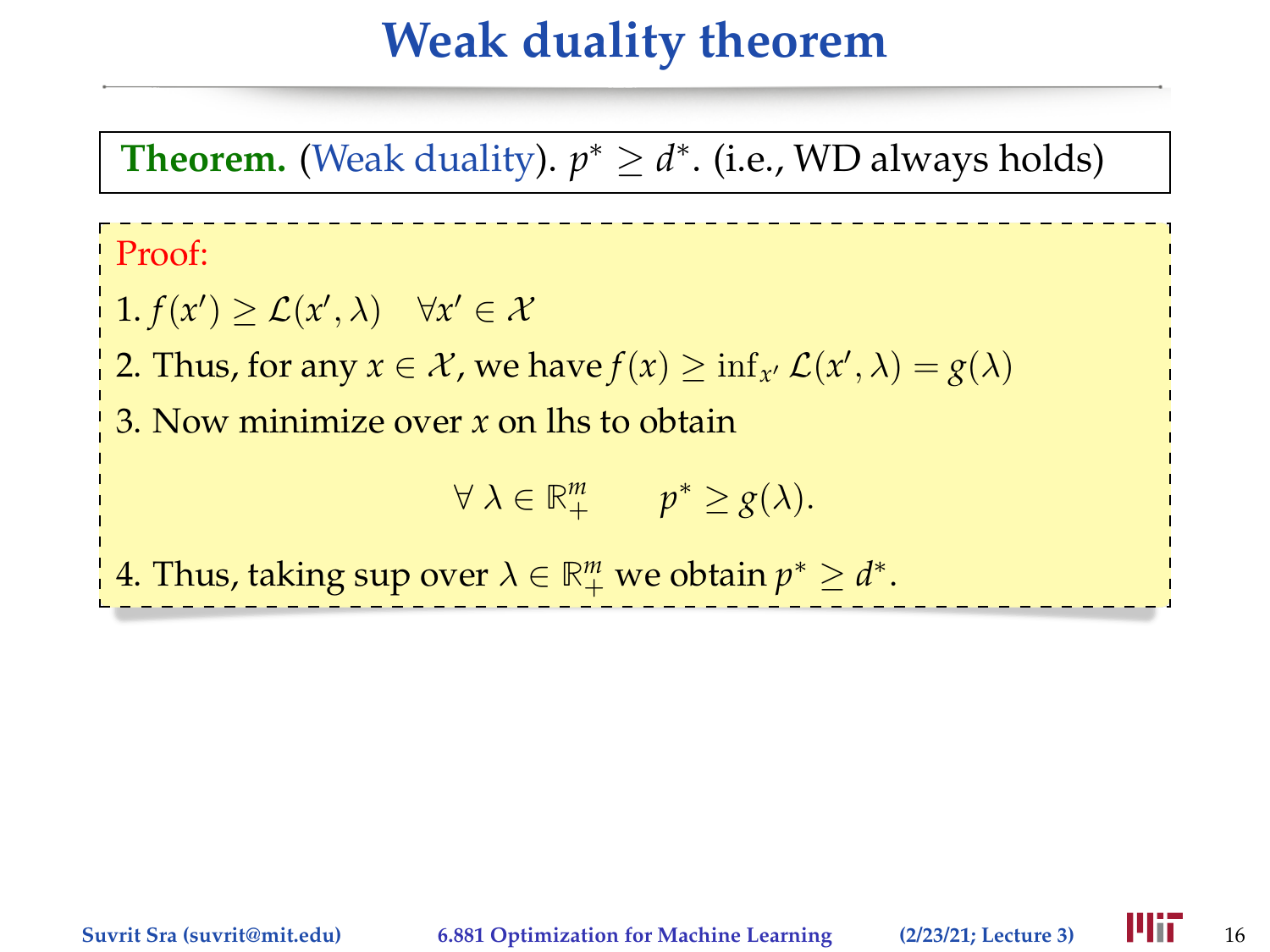## **Weak duality theorem**

**Theorem.** (Weak duality).  $p^* \geq d^*$ . (i.e., WD always holds)

Proof:

 $1. f(x') \geq \mathcal{L}(x', \lambda) \quad \forall x' \in \mathcal{X}$ 

2. Thus, for any  $x \in \mathcal{X}$ , we have  $f(x) \ge \inf_{x'} \mathcal{L}(x', \lambda) = g(\lambda)$ 

3. Now minimize over *x* on lhs to obtain

 $\forall \lambda \in \mathbb{R}^m_+$   $p^* \geq g(\lambda).$ 

4. Thus, taking sup over  $\lambda \in \mathbb{R}^m_+$  we obtain  $p^* \geq d^*$ .

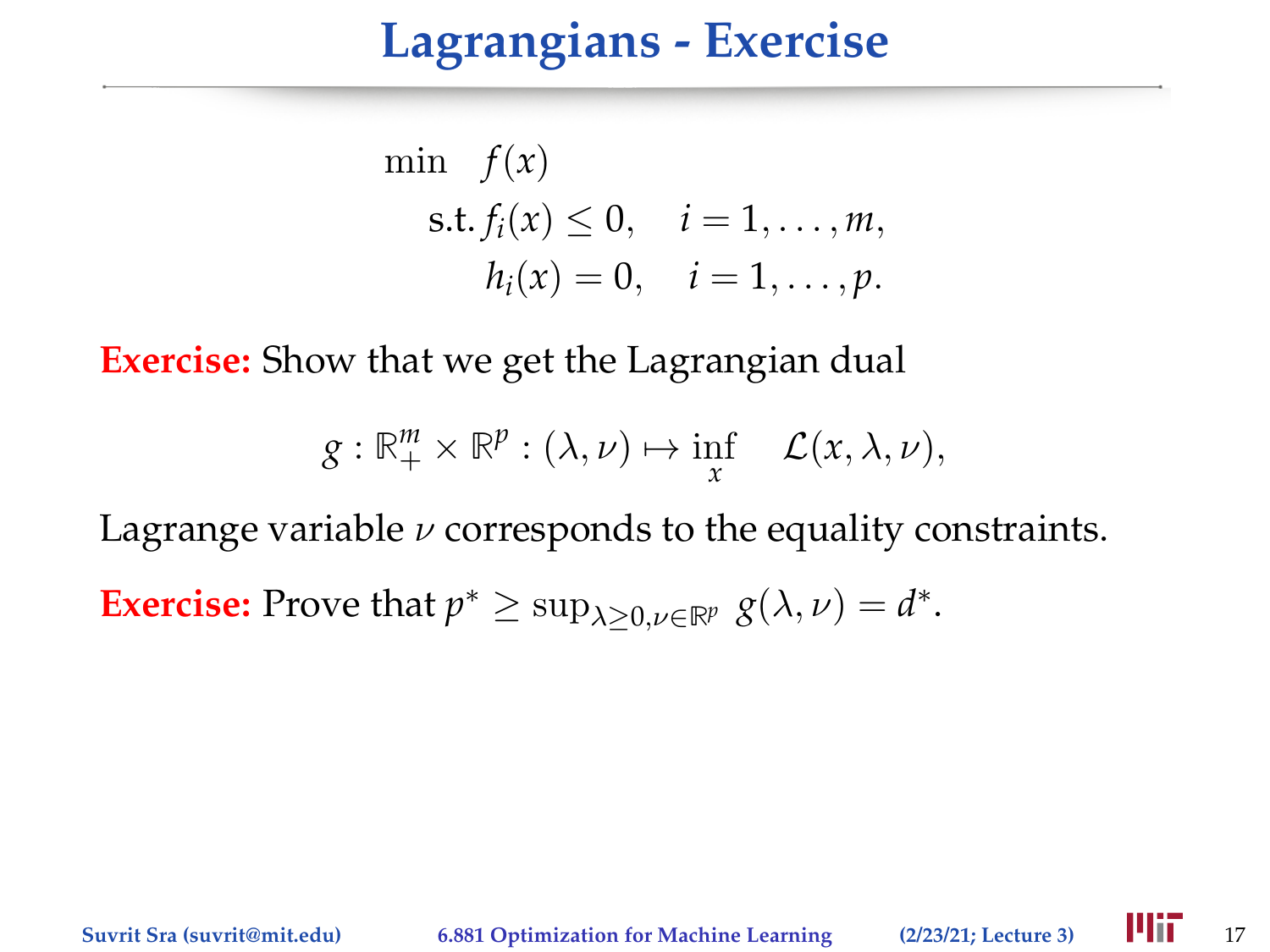#### **Lagrangians - Exercise**

min 
$$
f(x)
$$
  
s.t.  $f_i(x) \le 0$ ,  $i = 1,..., m$ ,  
 $h_i(x) = 0$ ,  $i = 1,..., p$ .

**Exercise:** Show that we get the Lagrangian dual

$$
g: \mathbb{R}^m_+ \times \mathbb{R}^p : (\lambda, \nu) \mapsto \inf_{x} \quad \mathcal{L}(x, \lambda, \nu),
$$

Lagrange variable  $\nu$  corresponds to the equality constraints. **Exercise:** Prove that  $p^* \ge \sup_{\lambda \ge 0, \nu \in \mathbb{R}^p} g(\lambda, \nu) = d^*$ .

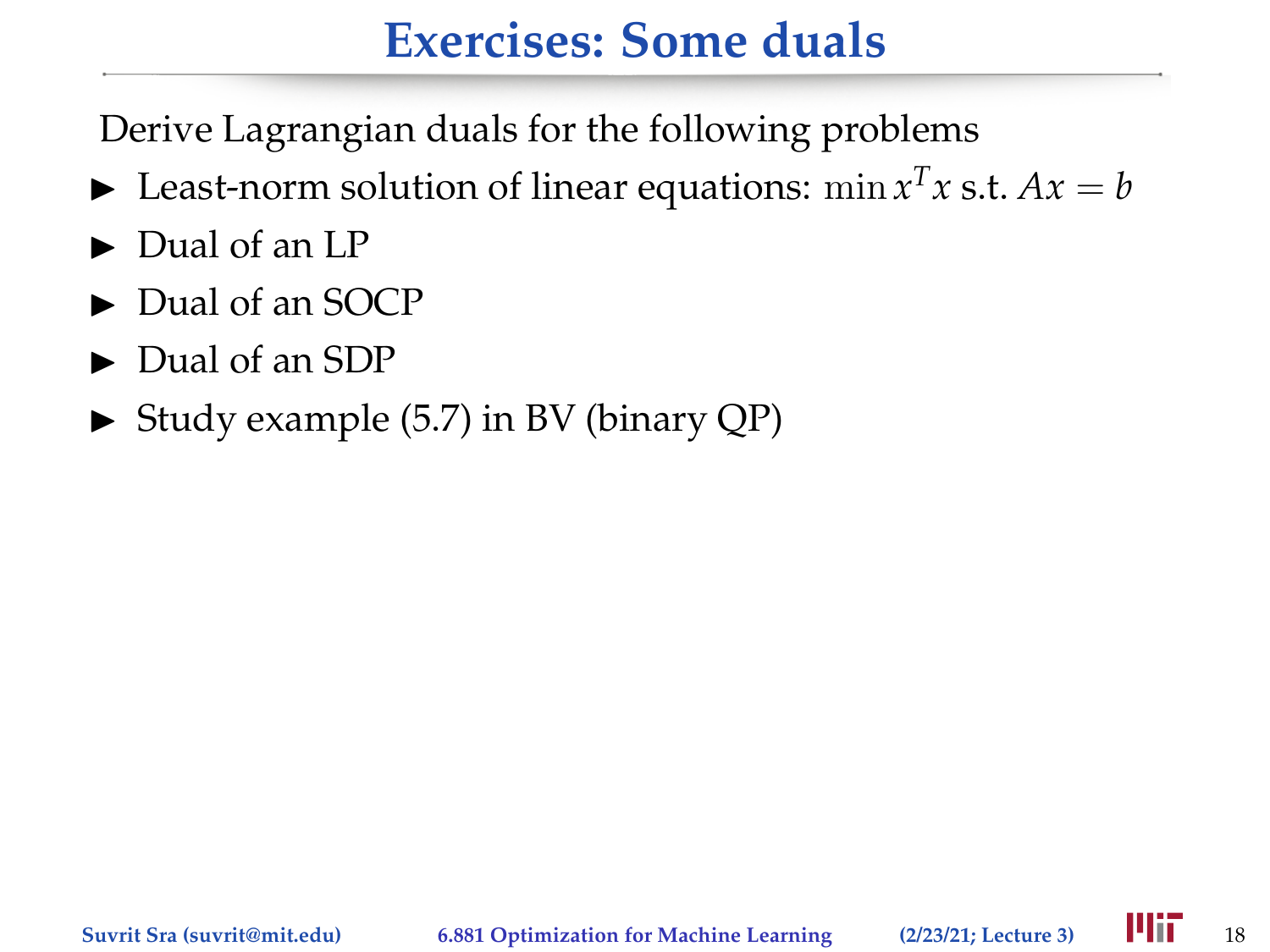## **Exercises: Some duals**

Derive Lagrangian duals for the following problems

- Example 1 Least-norm solution of linear equations:  $\min x^T x$  s.t.  $Ax = b$
- $\triangleright$  Dual of an LP
- $\blacktriangleright$  Dual of an SOCP
- $\blacktriangleright$  Dual of an SDP
- $\triangleright$  Study example (5.7) in BV (binary QP)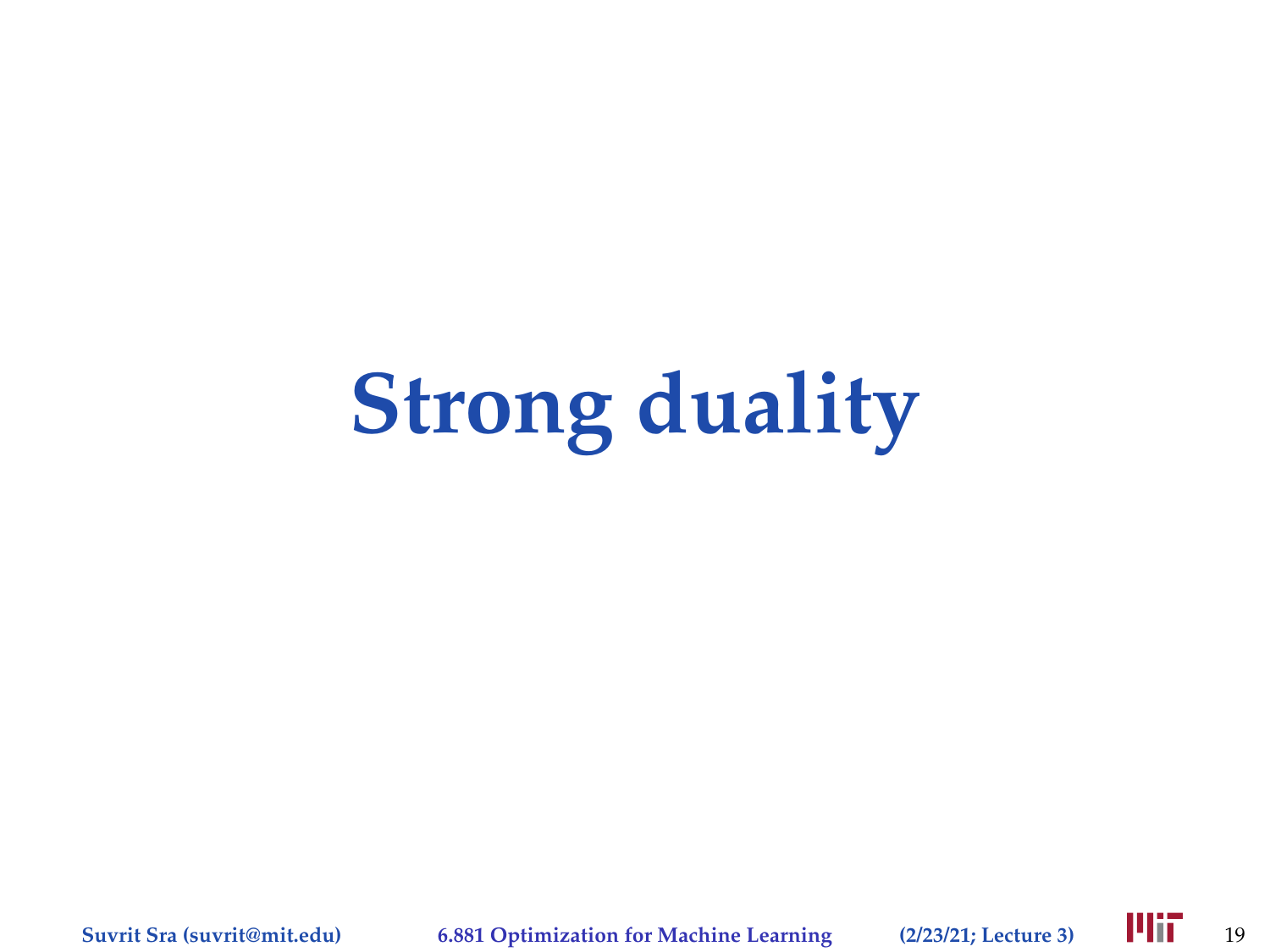# **Strong duality**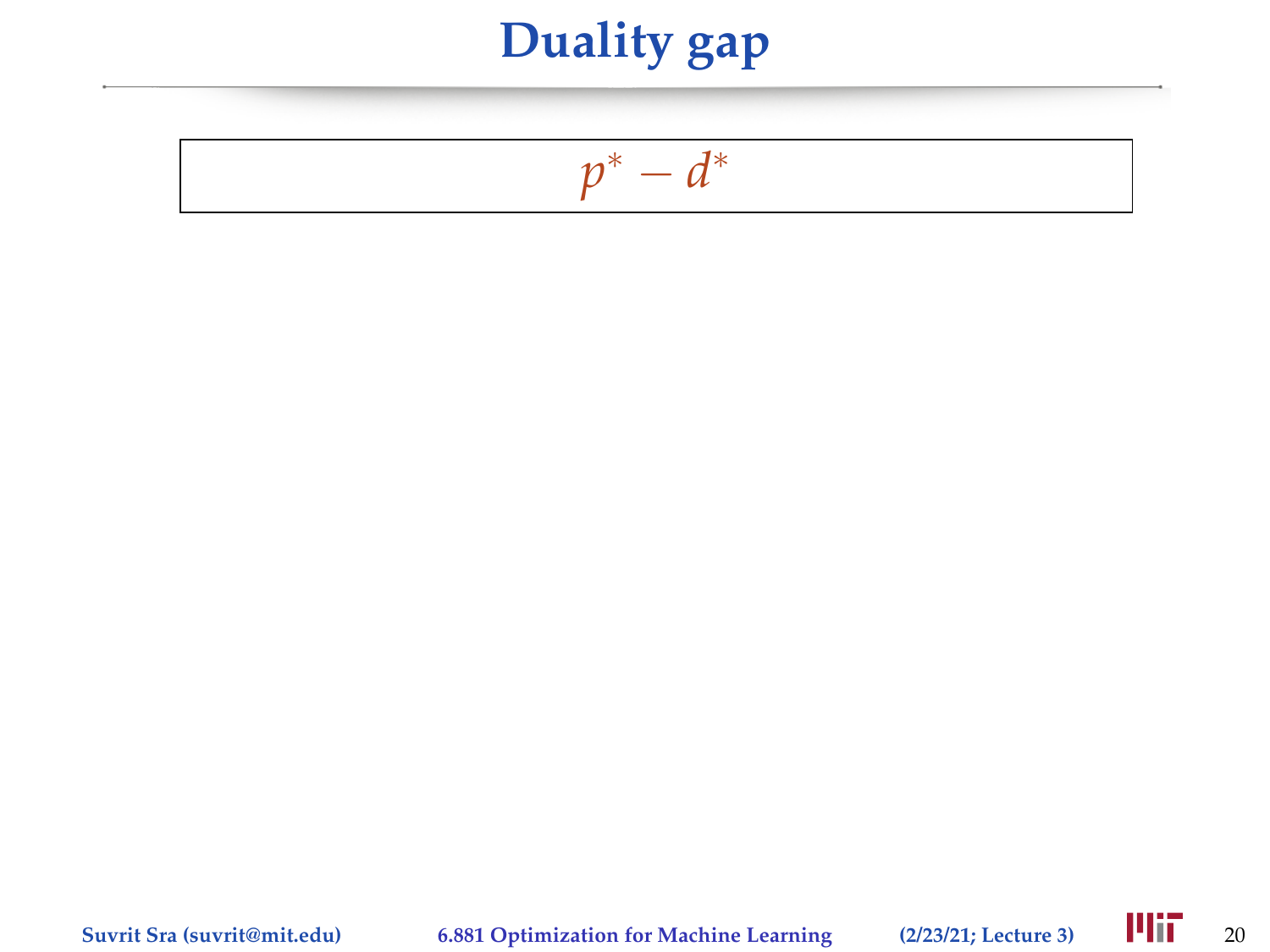$$
p^* - d^*
$$

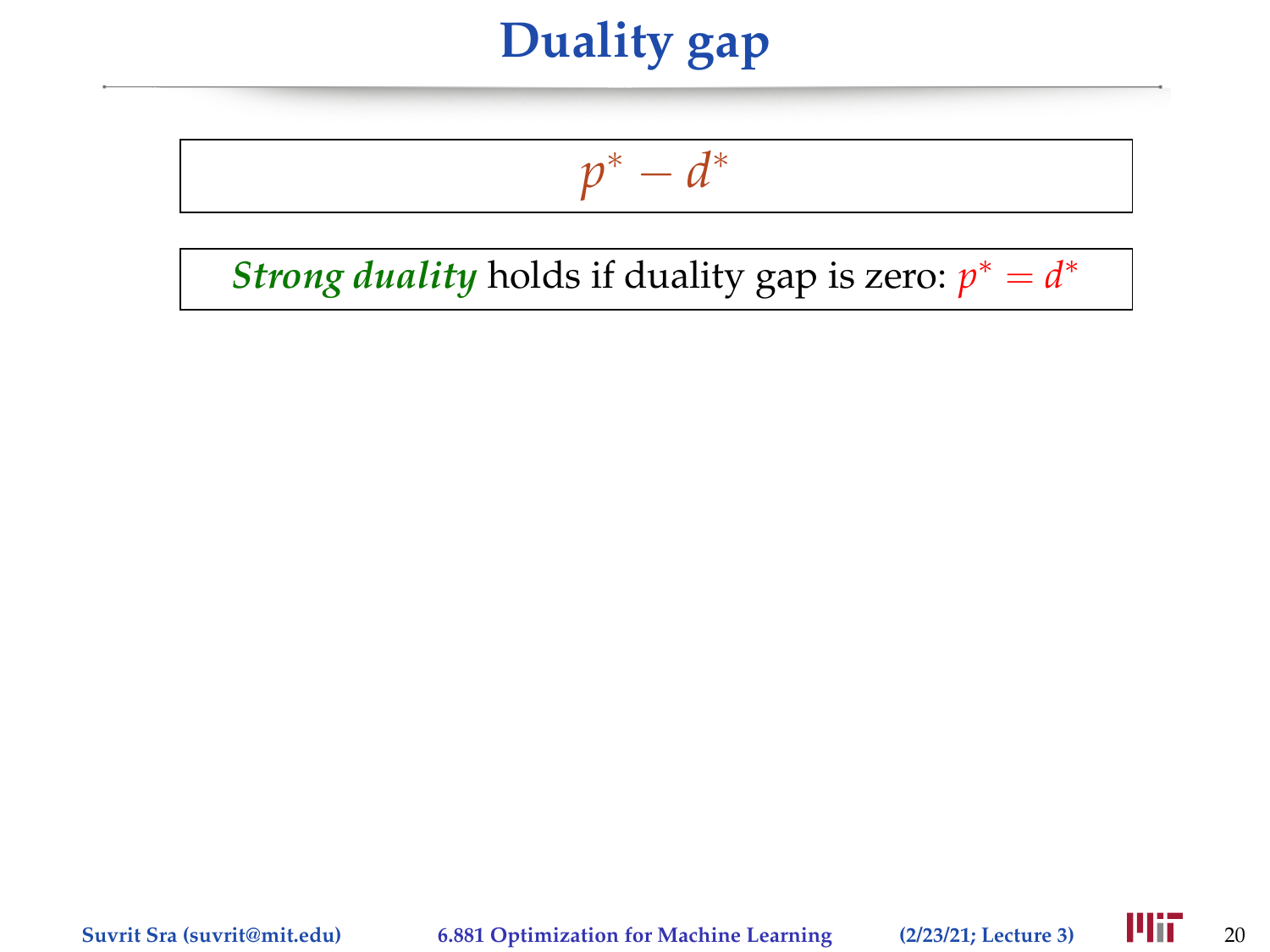$$
p^* - d^*
$$

*Strong duality* holds if duality gap is zero:  $p^* = d^*$ 

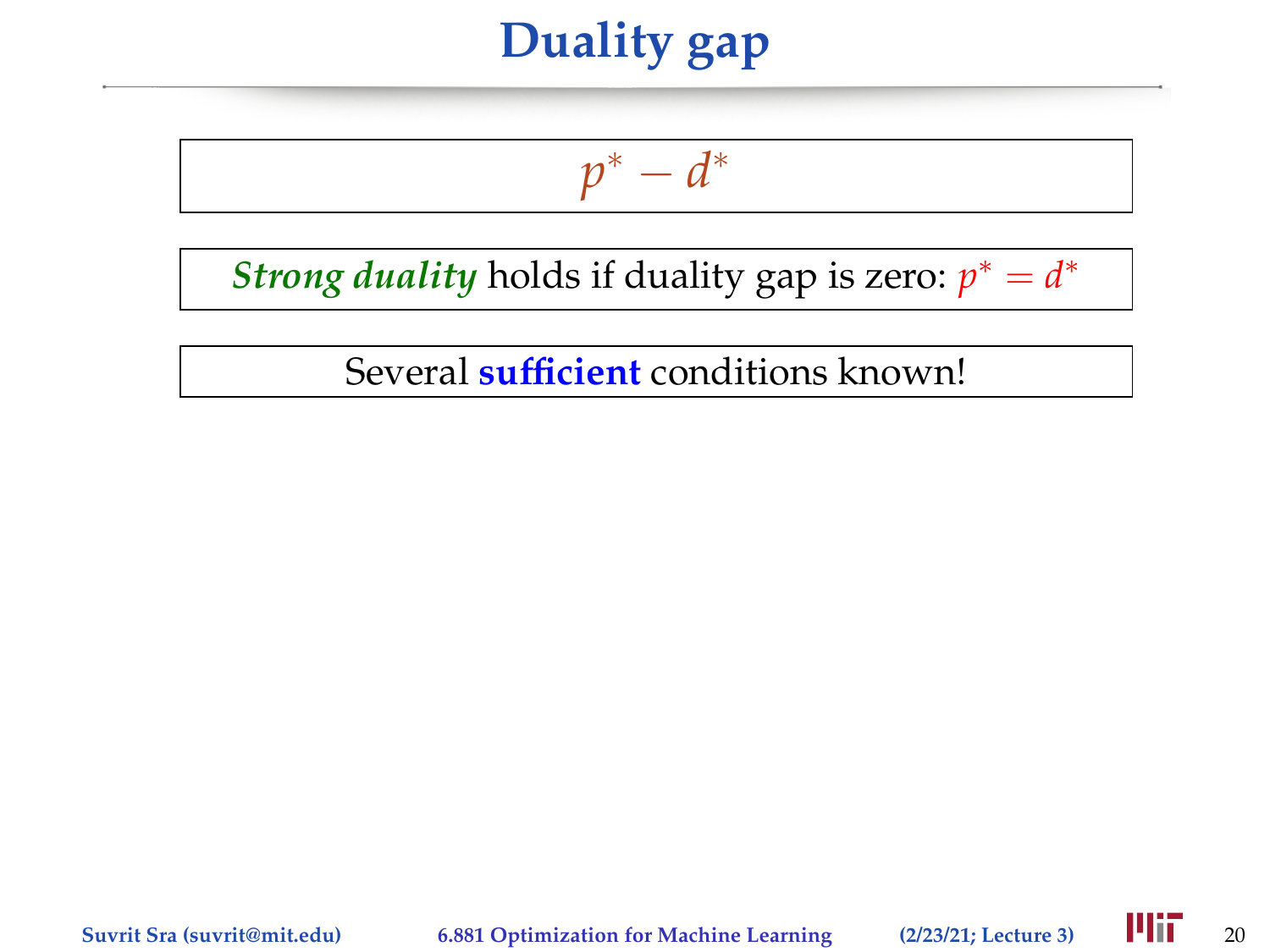$$
p^* - d^*
$$

*Strong duality* holds if duality gap is zero:  $p^* = d^*$ 

Several **sufficient** conditions known!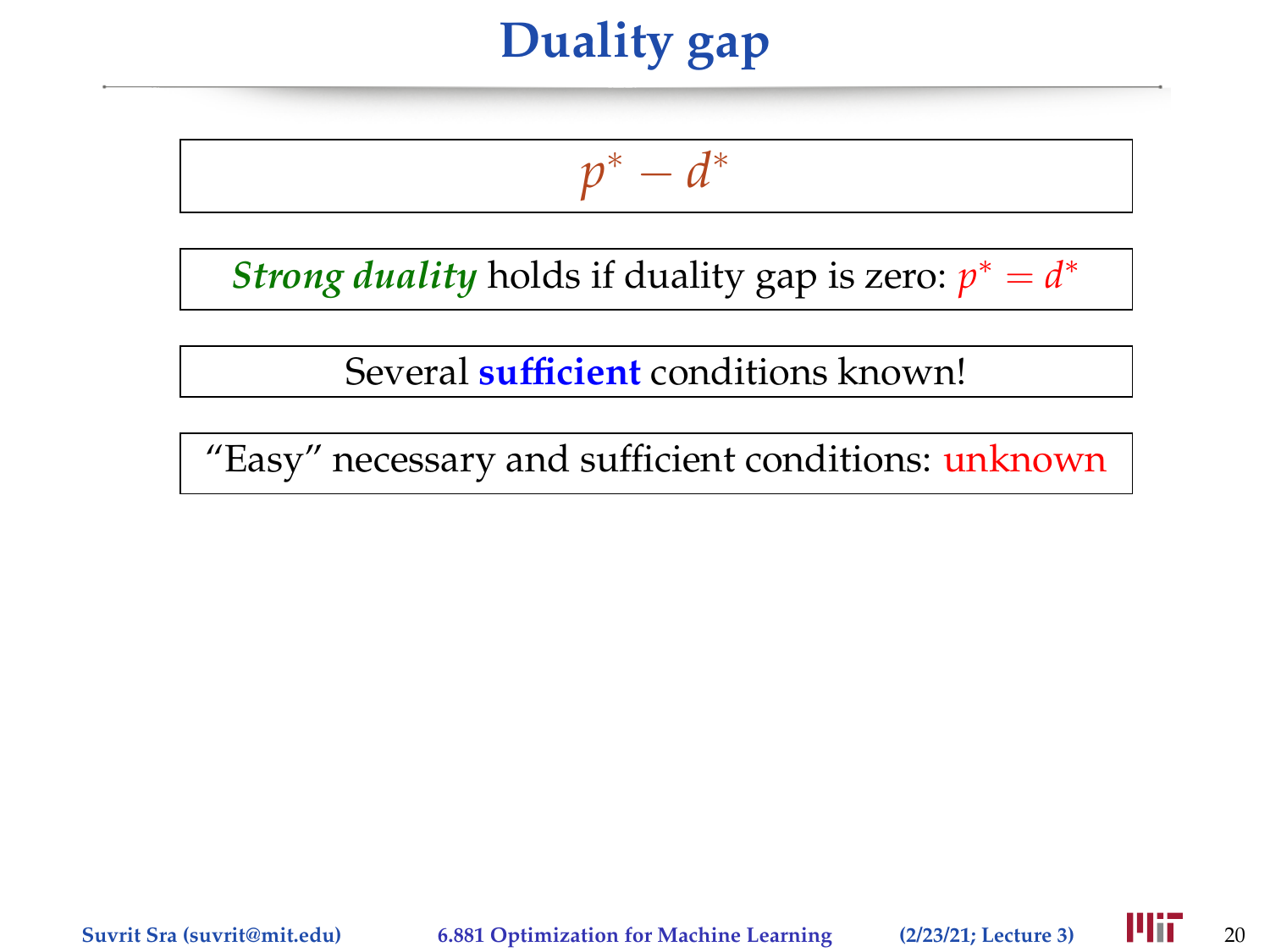$$
p^* - d^*
$$

*Strong duality* holds if duality gap is zero:  $p^* = d^*$ 

Several **sufficient** conditions known!

"Easy" necessary and sufficient conditions: unknown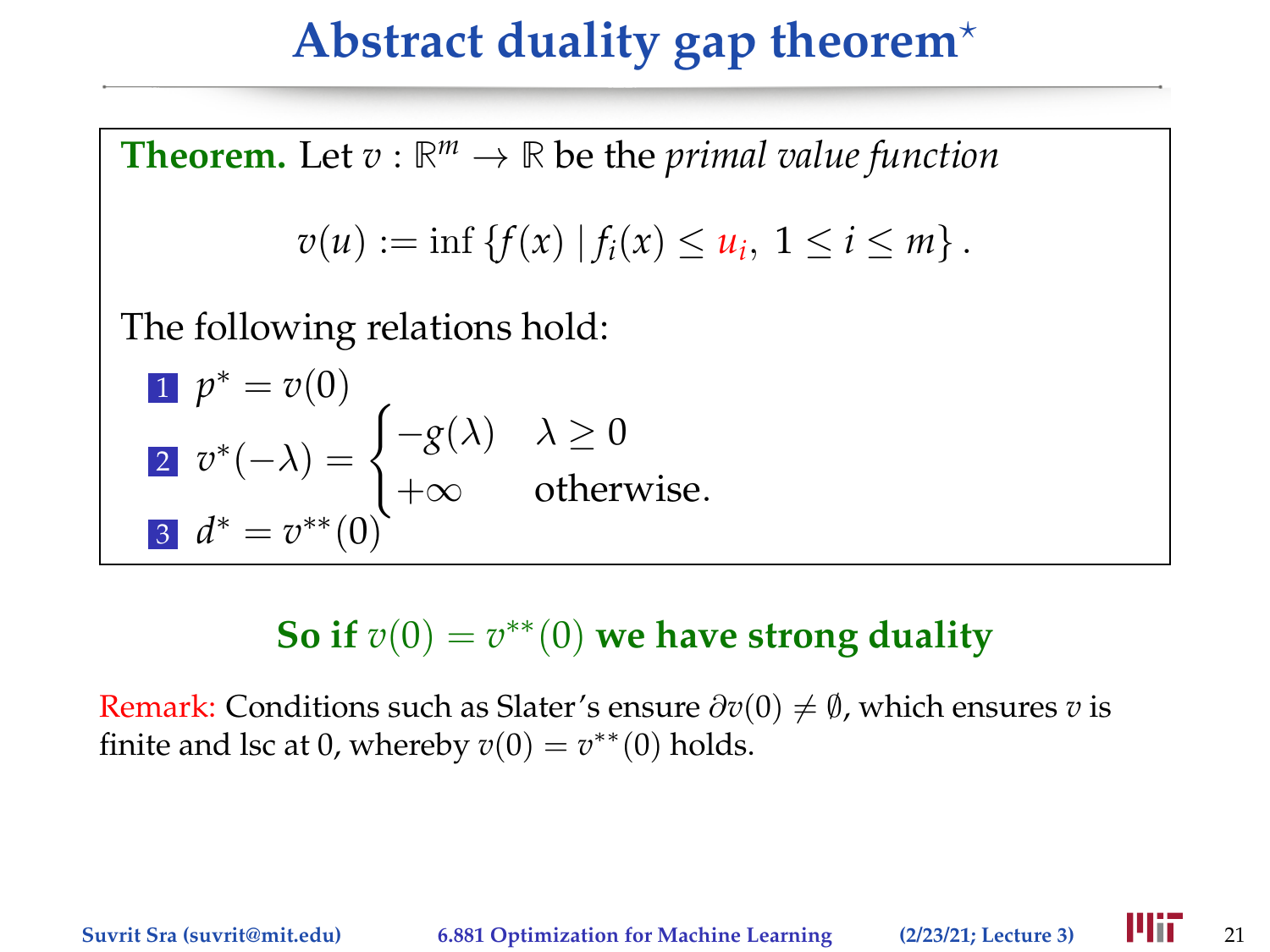## **Abstract duality gap theorem**?

**Theorem.** Let  $v : \mathbb{R}^m \to \mathbb{R}$  be the *primal value function*  $v(u) := \inf \{ f(x) | f_i(x) \leq u_i, \ 1 \leq i \leq m \}.$ The following relations hold: 1  $p^* = v(0)$  $\overline{v}^*(-\lambda) = \begin{cases} -g(\lambda) & \lambda \geq 0 \end{cases}$  $+\infty$  otherwise. 3  $d^* = v^{**}(0)$ 

#### So if  $v(0) = v^{**}(0)$  we have strong duality

Remark: Conditions such as Slater's ensure  $\partial v(0) \neq \emptyset$ , which ensures *v* is finite and lsc at 0, whereby  $v(0) = v^{**}(0)$  holds.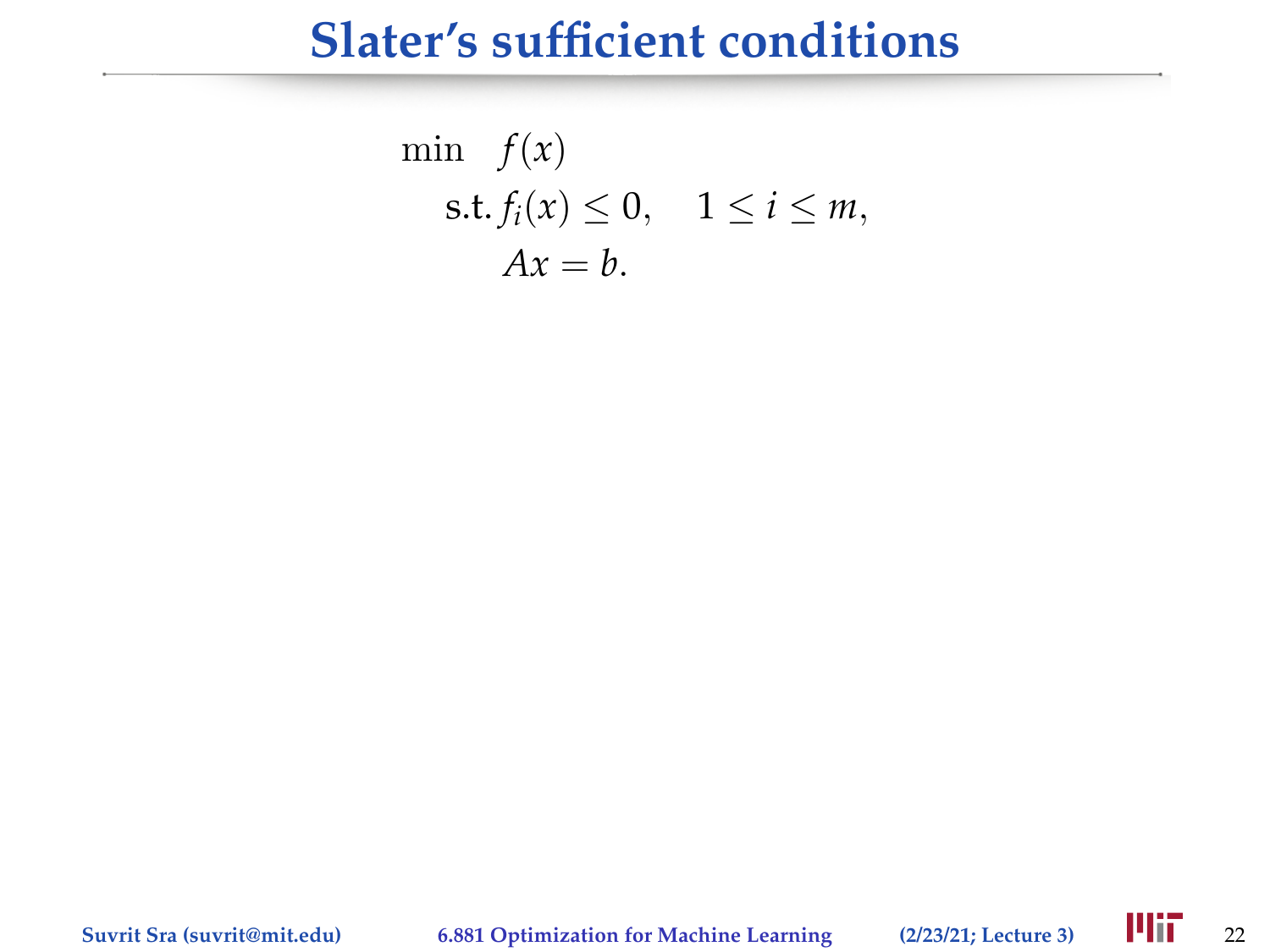#### **Slater's sufficient conditions**

$$
\min f(x)
$$
  
s.t.  $f_i(x) \le 0$ ,  $1 \le i \le m$ ,  
 $Ax = b$ .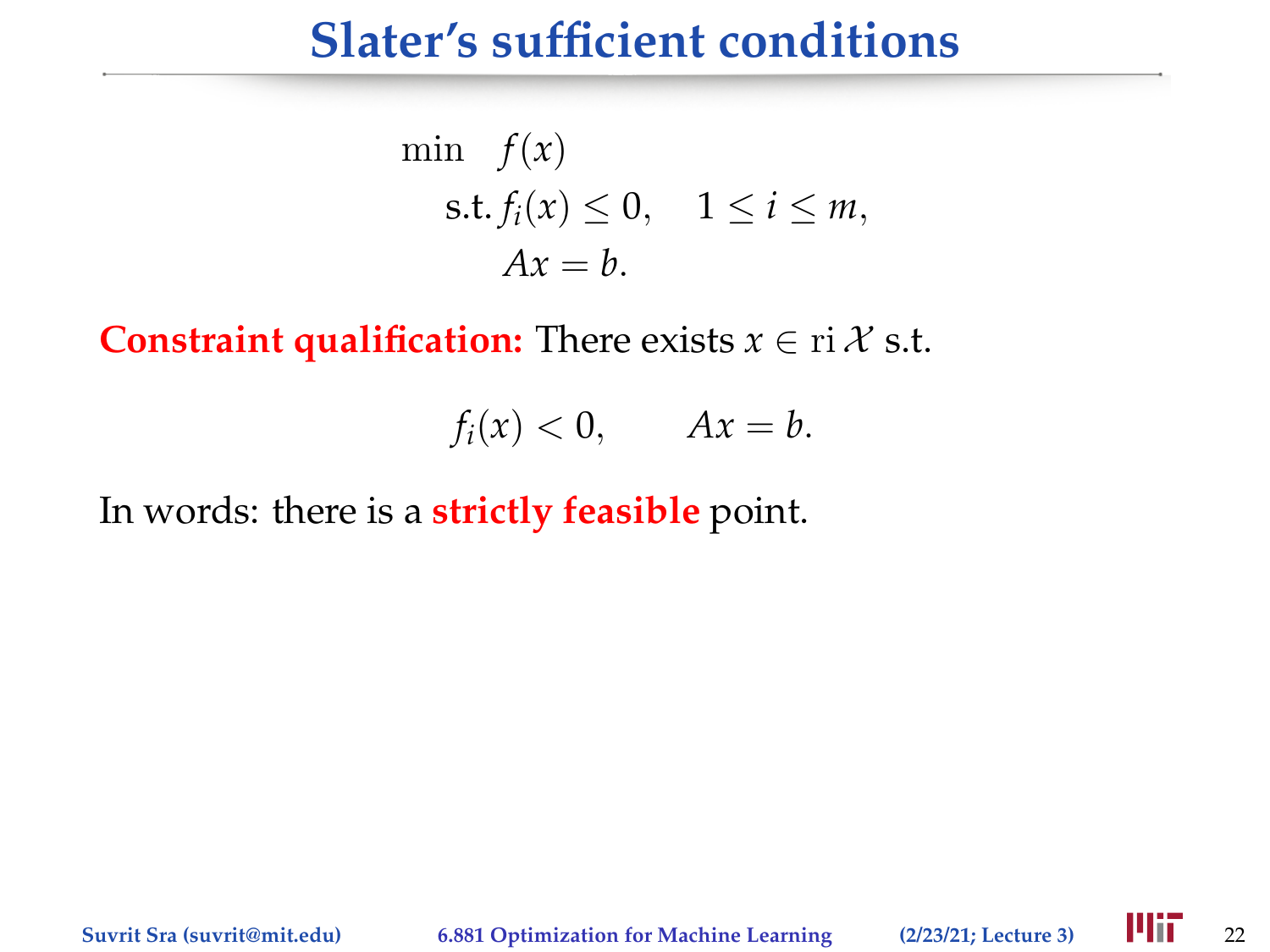#### **Slater's sufficient conditions**

$$
\min f(x)
$$
  
s.t.  $f_i(x) \le 0$ ,  $1 \le i \le m$ ,  
 $Ax = b$ .

**Constraint qualification:** There exists  $x \in \text{ri } \mathcal{X}$  s.t.

$$
f_i(x) < 0, \qquad Ax = b.
$$

In words: there is a **strictly feasible** point.

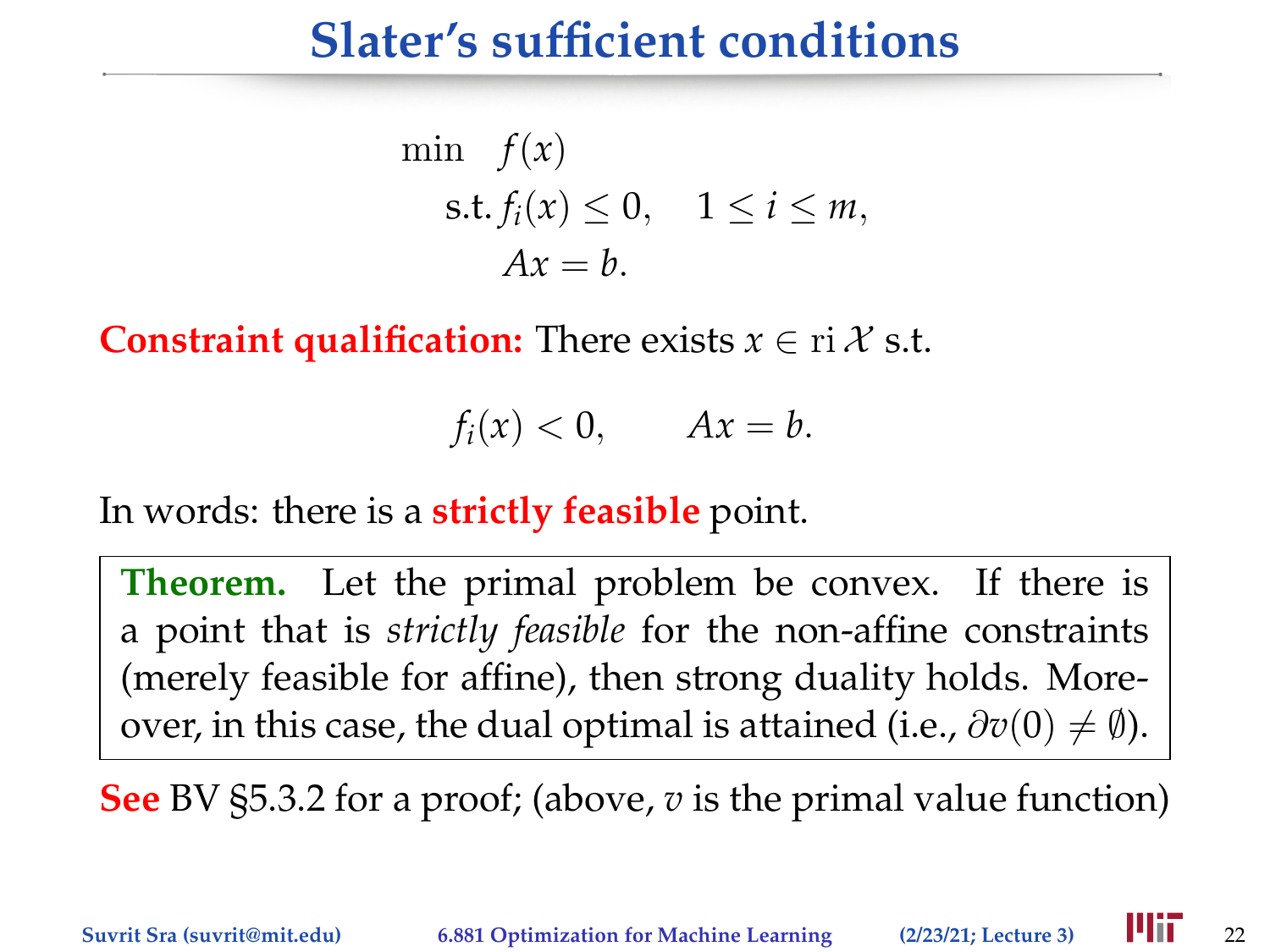#### **Slater's sufficient conditions**

$$
\begin{aligned}\n\min \quad & f(x) \\
\text{s.t.} & f_i(x) \le 0, \quad 1 \le i \le m, \\
& Ax = b.\n\end{aligned}
$$

**Constraint qualification:** There exists  $x \in \text{ri } \mathcal{X}$  s.t.

$$
f_i(x) < 0, \qquad Ax = b.
$$

In words: there is a **strictly feasible** point.

**Theorem.** Let the primal problem be convex. If there is a point that is *strictly feasible* for the non-affine constraints (merely feasible for affine), then strong duality holds. Moreover, in this case, the dual optimal is attained (i.e.,  $\partial v(0) \neq \emptyset$ ).

**See** BV §5.3.2 for a proof; (above, *v* is the primal value function)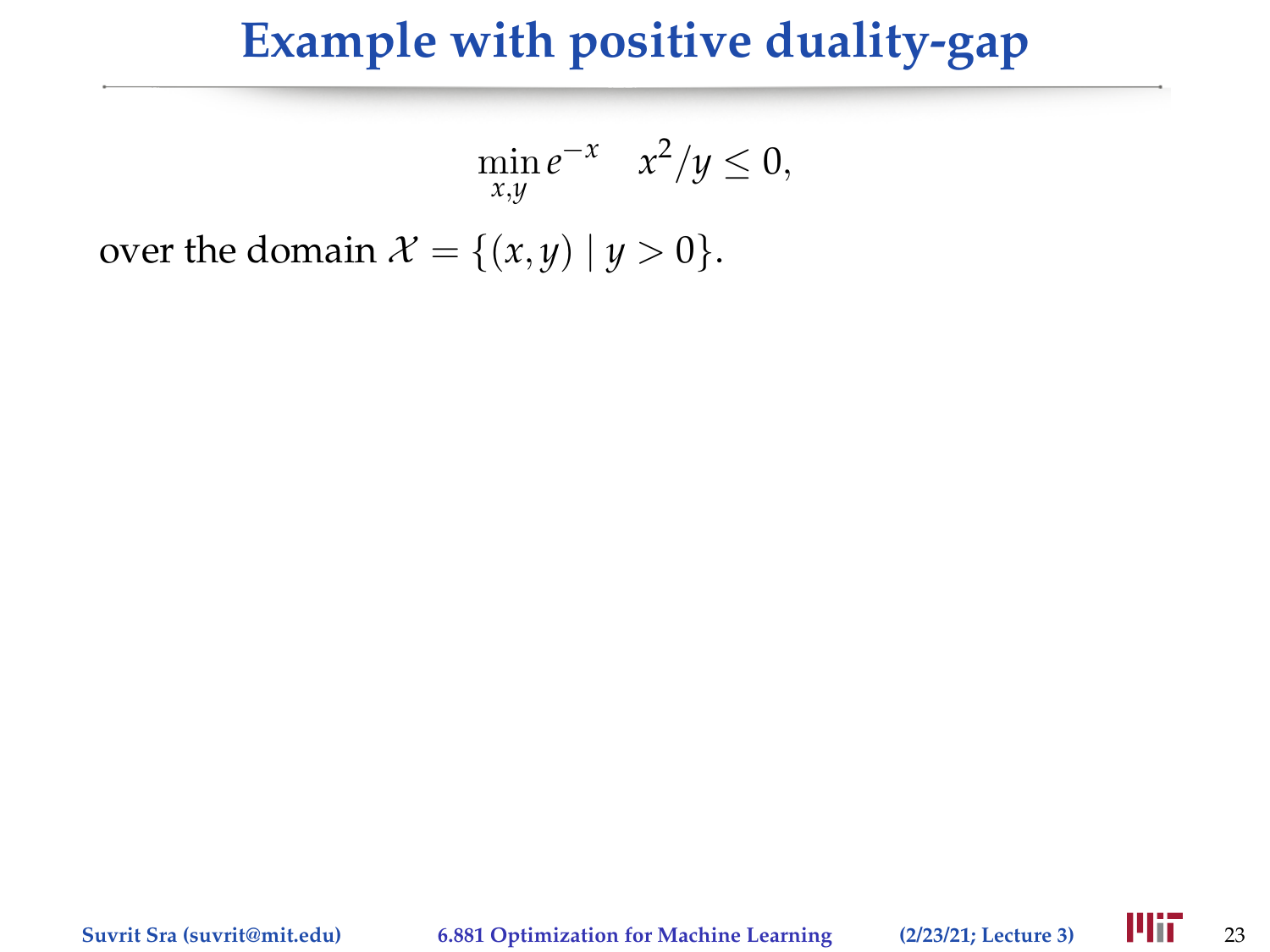$$
\min_{x,y} e^{-x} \quad x^2/y \le 0,
$$

over the domain  $\mathcal{X} = \{(x, y) | y > 0\}.$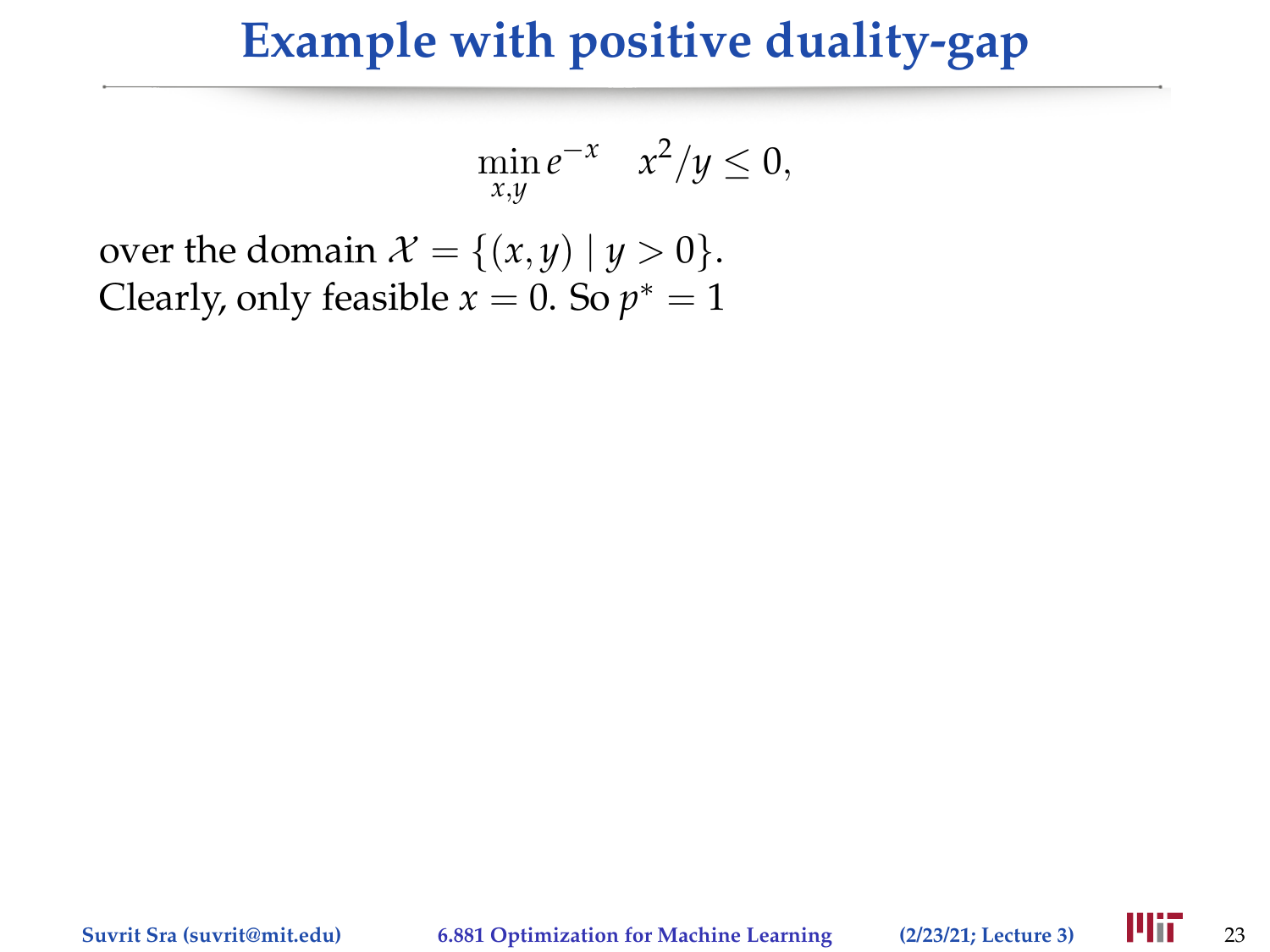$$
\min_{x,y} e^{-x} \quad x^2/y \le 0,
$$

over the domain  $\mathcal{X} = \{(x, y) | y > 0\}.$ Clearly, only feasible  $x = 0$ . So  $p^* = 1$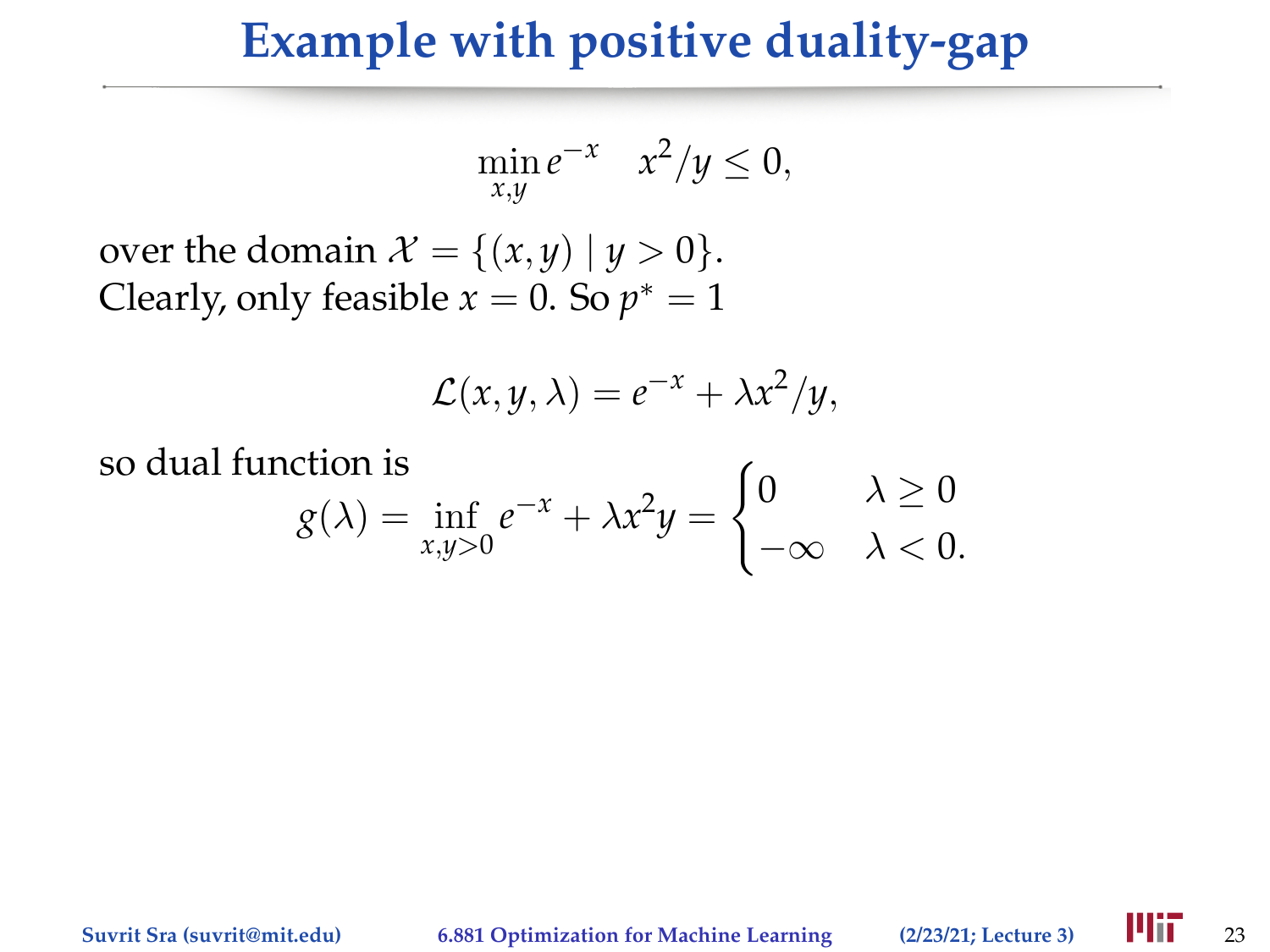$$
\min_{x,y} e^{-x} \quad x^2/y \le 0,
$$

over the domain  $\mathcal{X} = \{(x, y) | y > 0\}.$ Clearly, only feasible  $x = 0$ . So  $p^* = 1$ 

$$
\mathcal{L}(x, y, \lambda) = e^{-x} + \lambda x^2/y,
$$

so dual function is  $g(\lambda) = \inf_{x,y>0} e^{-x} + \lambda x^2 y =$  $\int 0 \lambda \geq 0$  $-\infty \quad \lambda < 0.$ 

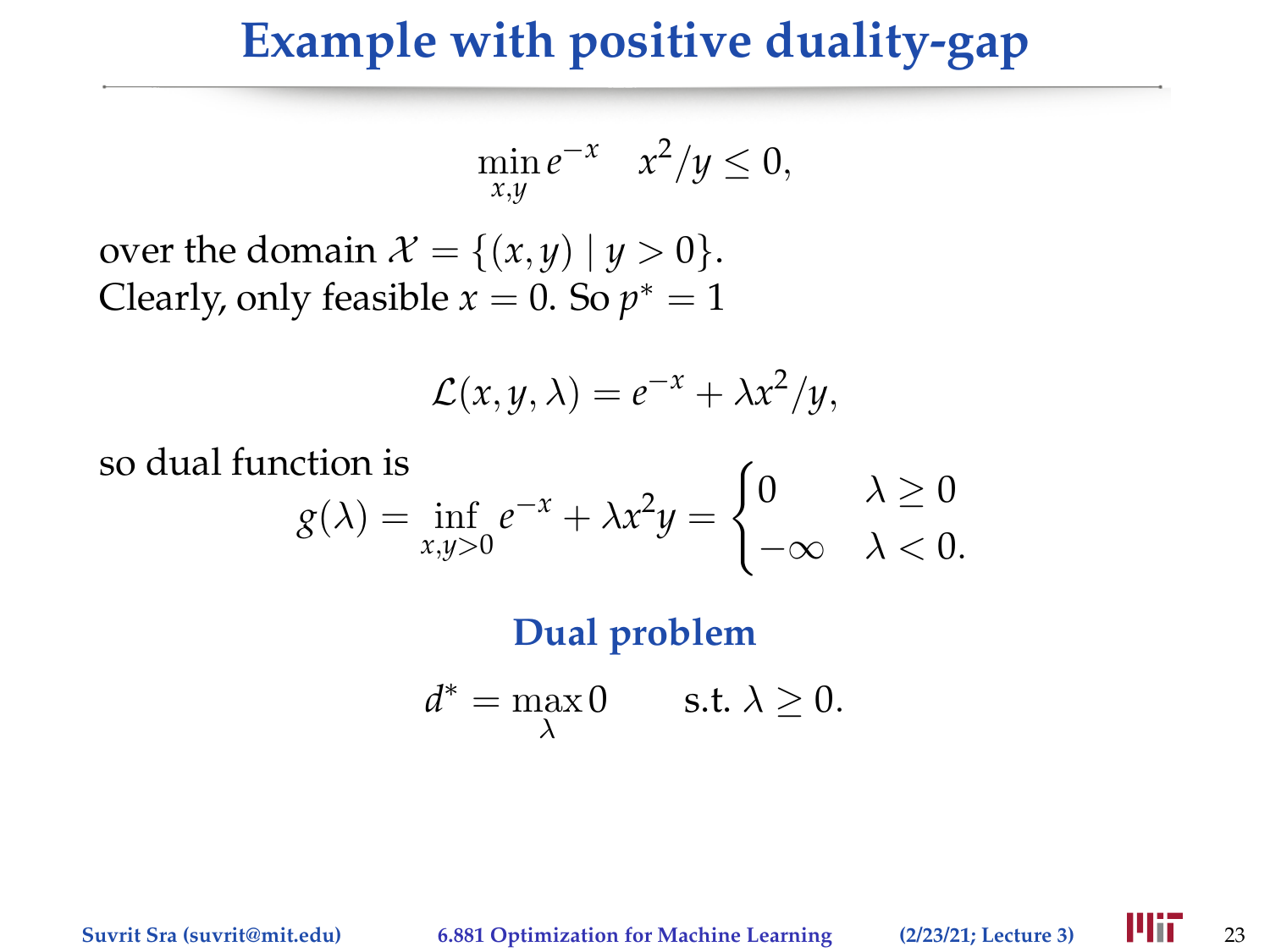$$
\min_{x,y} e^{-x} \quad x^2/y \le 0,
$$

over the domain  $\mathcal{X} = \{(x, y) | y > 0\}.$ Clearly, only feasible  $x = 0$ . So  $p^* = 1$ 

$$
\mathcal{L}(x, y, \lambda) = e^{-x} + \lambda x^2/y,
$$

so dual function is  $g(\lambda) = \inf_{x,y>0} e^{-x} + \lambda x^2 y =$  $\int 0 \lambda \geq 0$  $-\infty \quad \lambda < 0.$ 

**Dual problem**

$$
d^* = \max_{\lambda} 0 \qquad \text{s.t. } \lambda \ge 0.
$$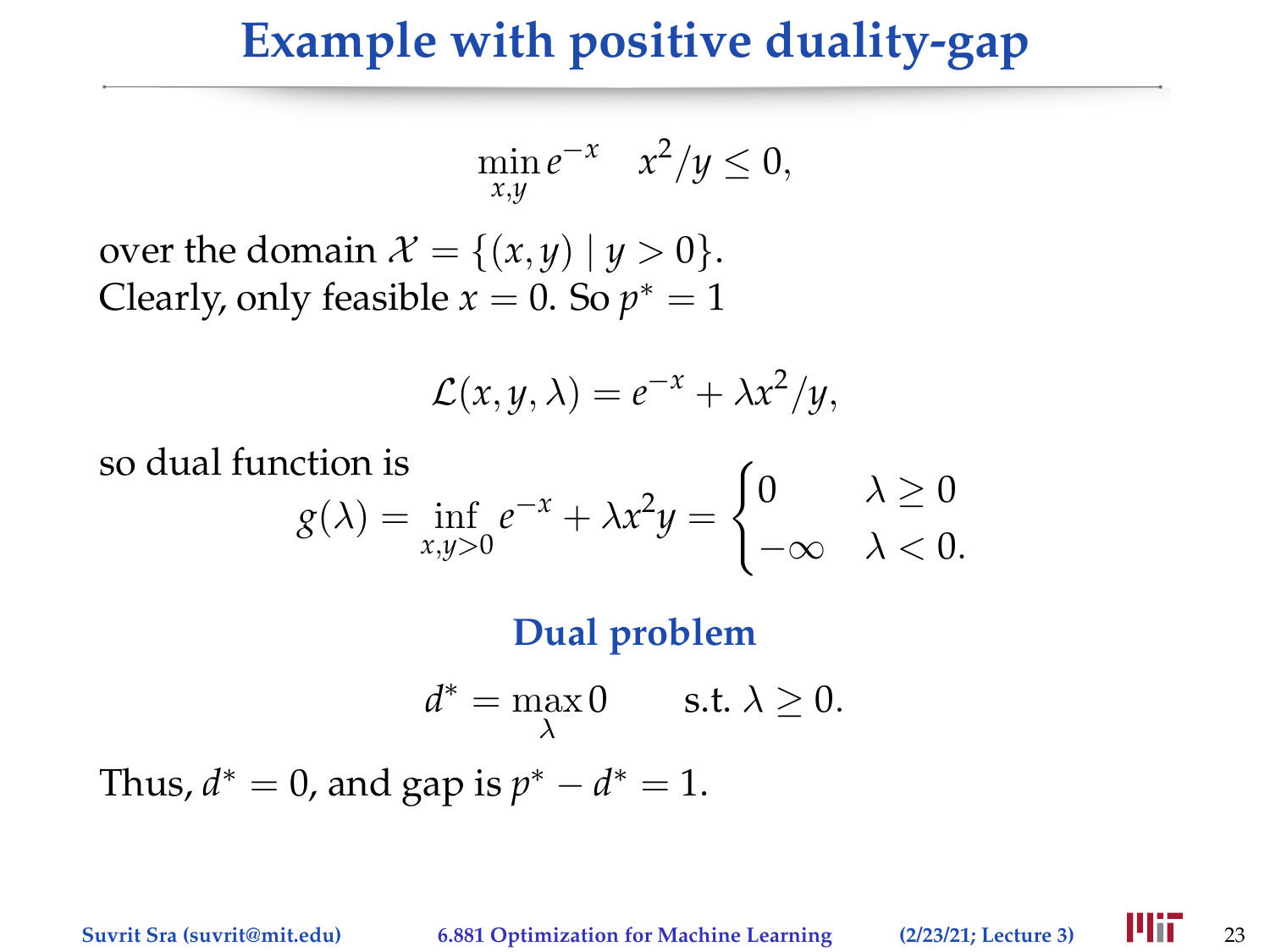$$
\min_{x,y} e^{-x} \quad x^2/y \le 0,
$$

over the domain  $\mathcal{X} = \{(x, y) | y > 0\}.$ Clearly, only feasible  $x = 0$ . So  $p^* = 1$ 

$$
\mathcal{L}(x, y, \lambda) = e^{-x} + \lambda x^2/y,
$$

so dual function is  $g(\lambda) = \inf_{x,y>0} e^{-x} + \lambda x^2 y =$  $\int 0 \lambda \geq 0$  $-\infty \quad \lambda < 0.$ 

**Dual problem**

$$
d^* = \max_{\lambda} 0 \qquad \text{s.t. } \lambda \ge 0.
$$

Thus,  $d^* = 0$ , and gap is  $p^* - d^* = 1$ .

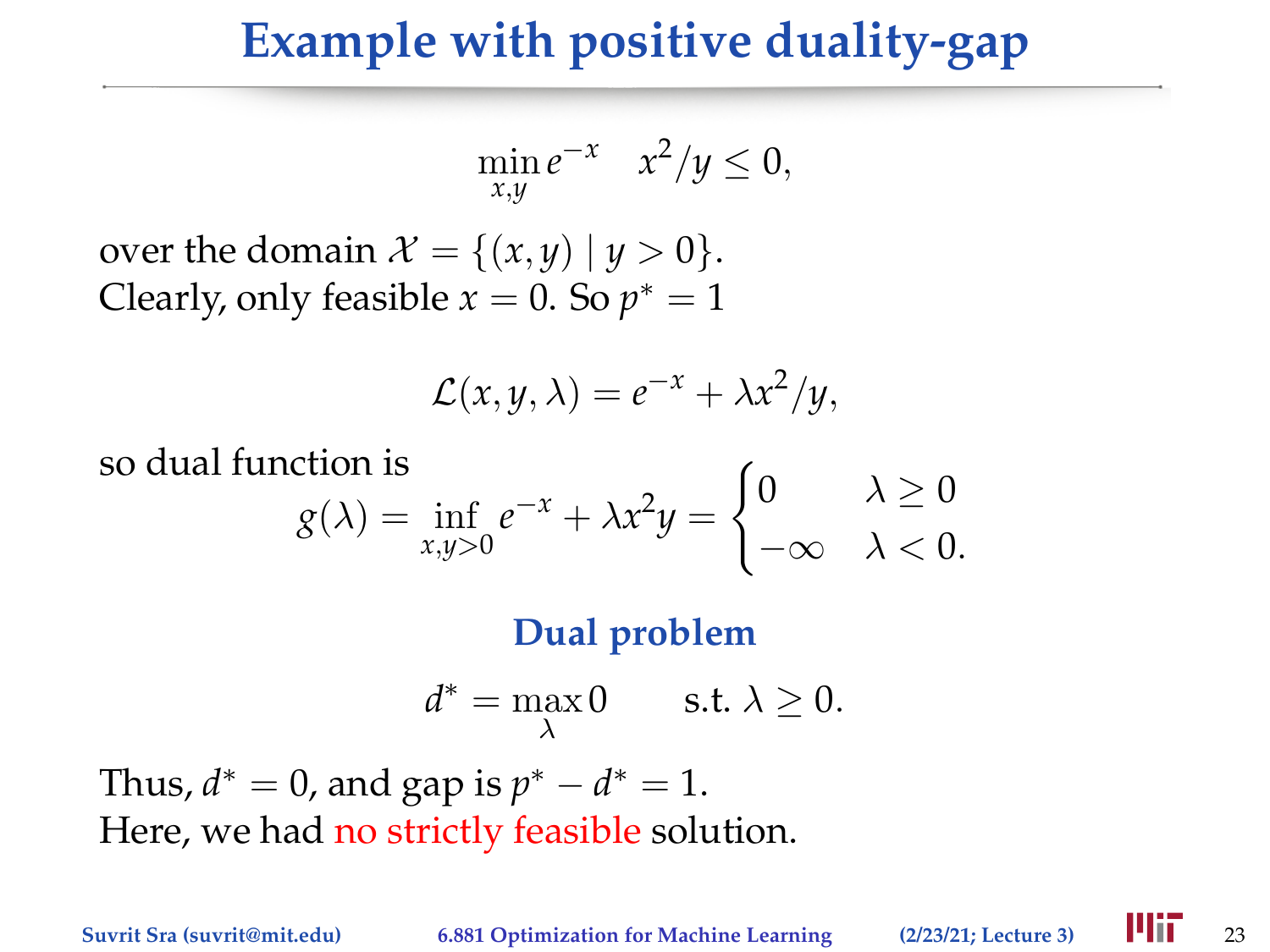$$
\min_{x,y} e^{-x} \quad x^2/y \le 0,
$$

over the domain  $\mathcal{X} = \{(x, y) | y > 0\}.$ Clearly, only feasible  $x = 0$ . So  $p^* = 1$ 

$$
\mathcal{L}(x, y, \lambda) = e^{-x} + \lambda x^2/y,
$$

so dual function is  $g(\lambda) = \inf_{x,y>0} e^{-x} + \lambda x^2 y =$  $\int 0 \lambda \geq 0$  $-\infty \quad \lambda < 0.$ 

**Dual problem**

$$
d^* = \max_{\lambda} 0 \qquad \text{s.t. } \lambda \ge 0.
$$

Thus,  $d^* = 0$ , and gap is  $p^* - d^* = 1$ . Here, we had no strictly feasible solution.

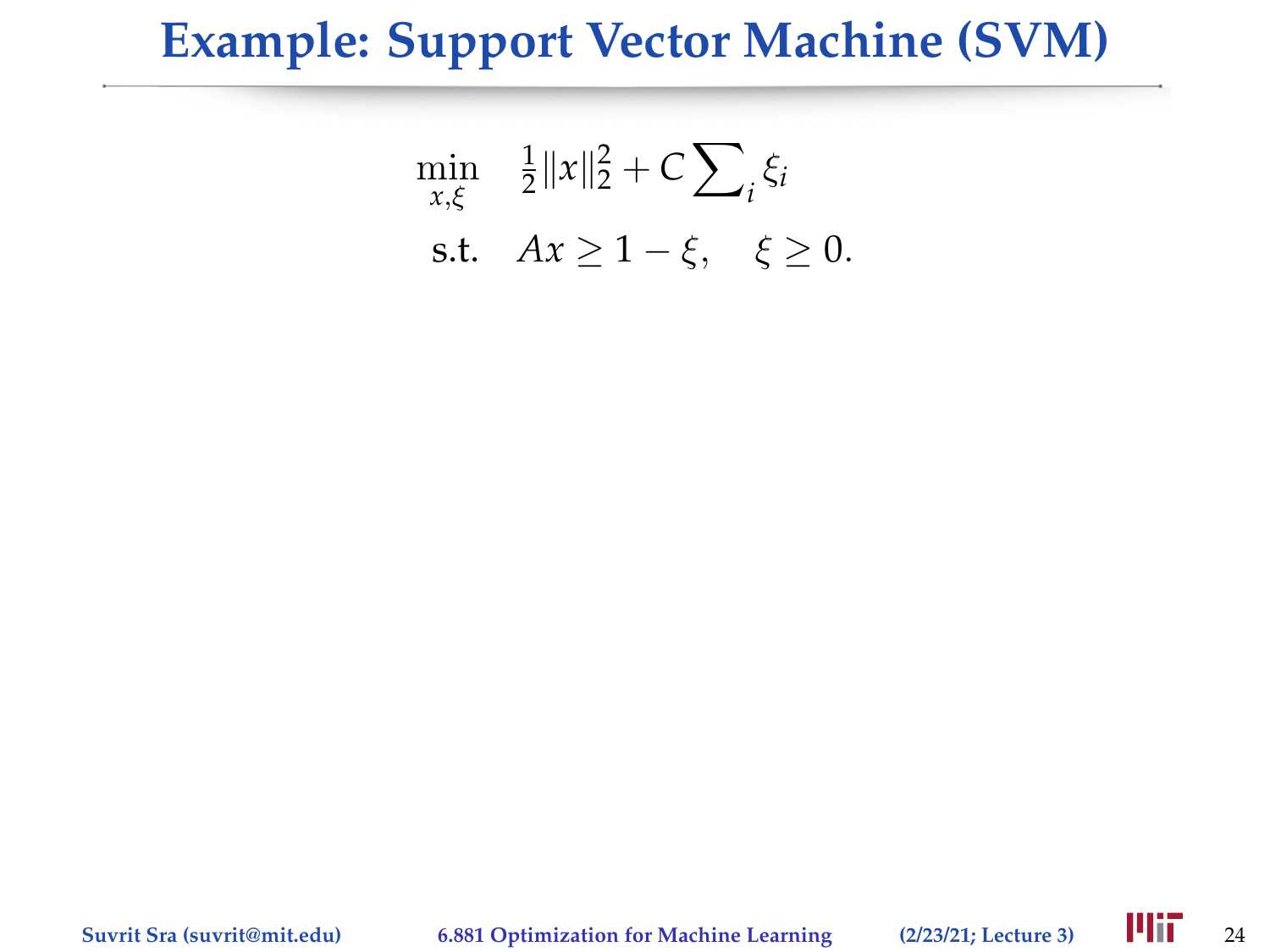#### **Example: Support Vector Machine (SVM)**

$$
\min_{x,\xi} \quad \frac{1}{2} \|x\|_2^2 + C \sum_i \xi_i
$$
\ns.t.

\n
$$
Ax \ge 1 - \xi, \quad \xi \ge 0.
$$

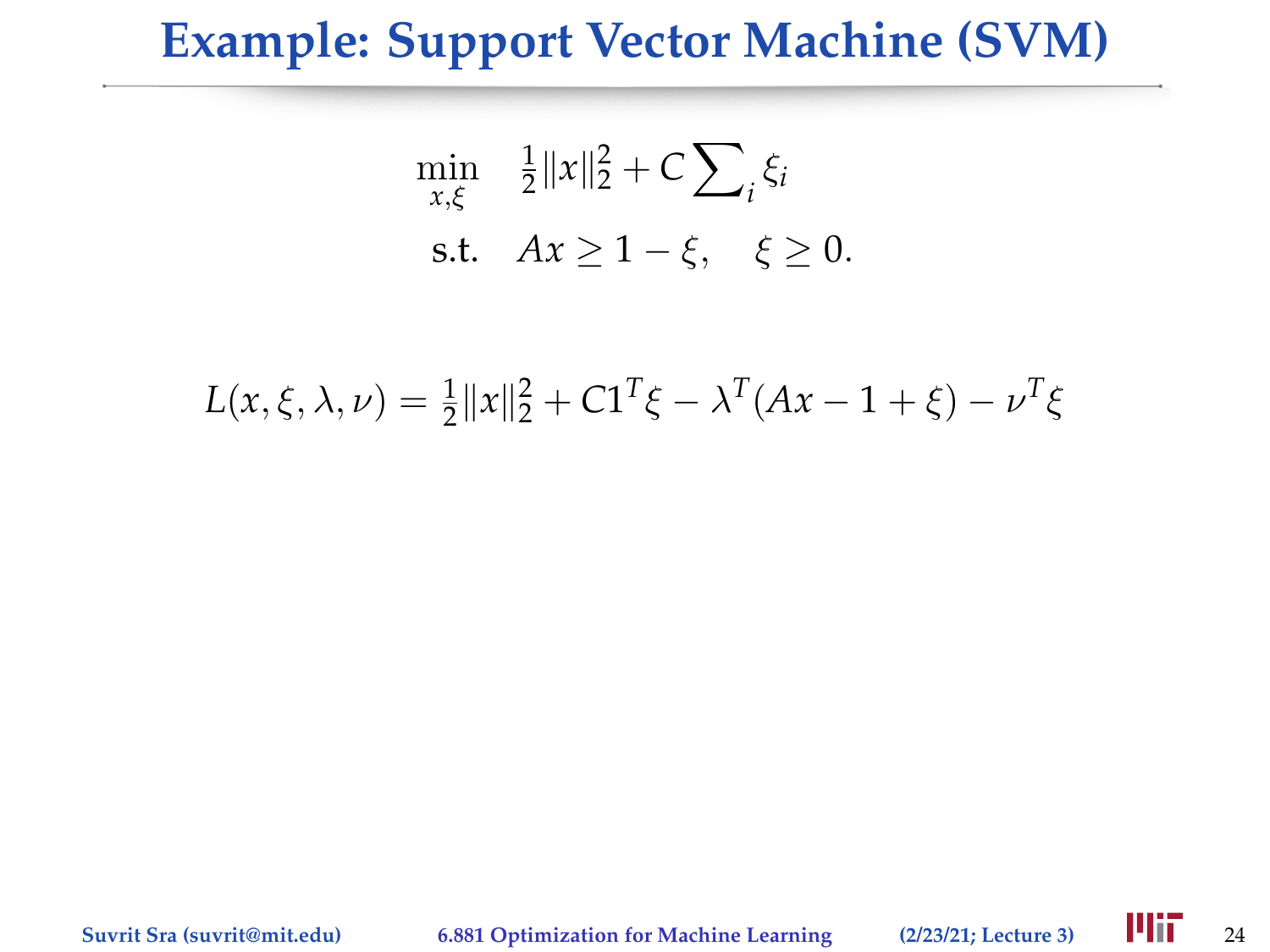#### **Example: Support Vector Machine (SVM)**

$$
\min_{x,\xi} \quad \frac{1}{2} \|x\|_2^2 + C \sum_i \xi_i
$$
\ns.t.

\n
$$
Ax \ge 1 - \xi, \quad \xi \ge 0.
$$

$$
L(x, \xi, \lambda, \nu) = \frac{1}{2} ||x||_2^2 + C1^T \xi - \lambda^T (Ax - 1 + \xi) - \nu^T \xi
$$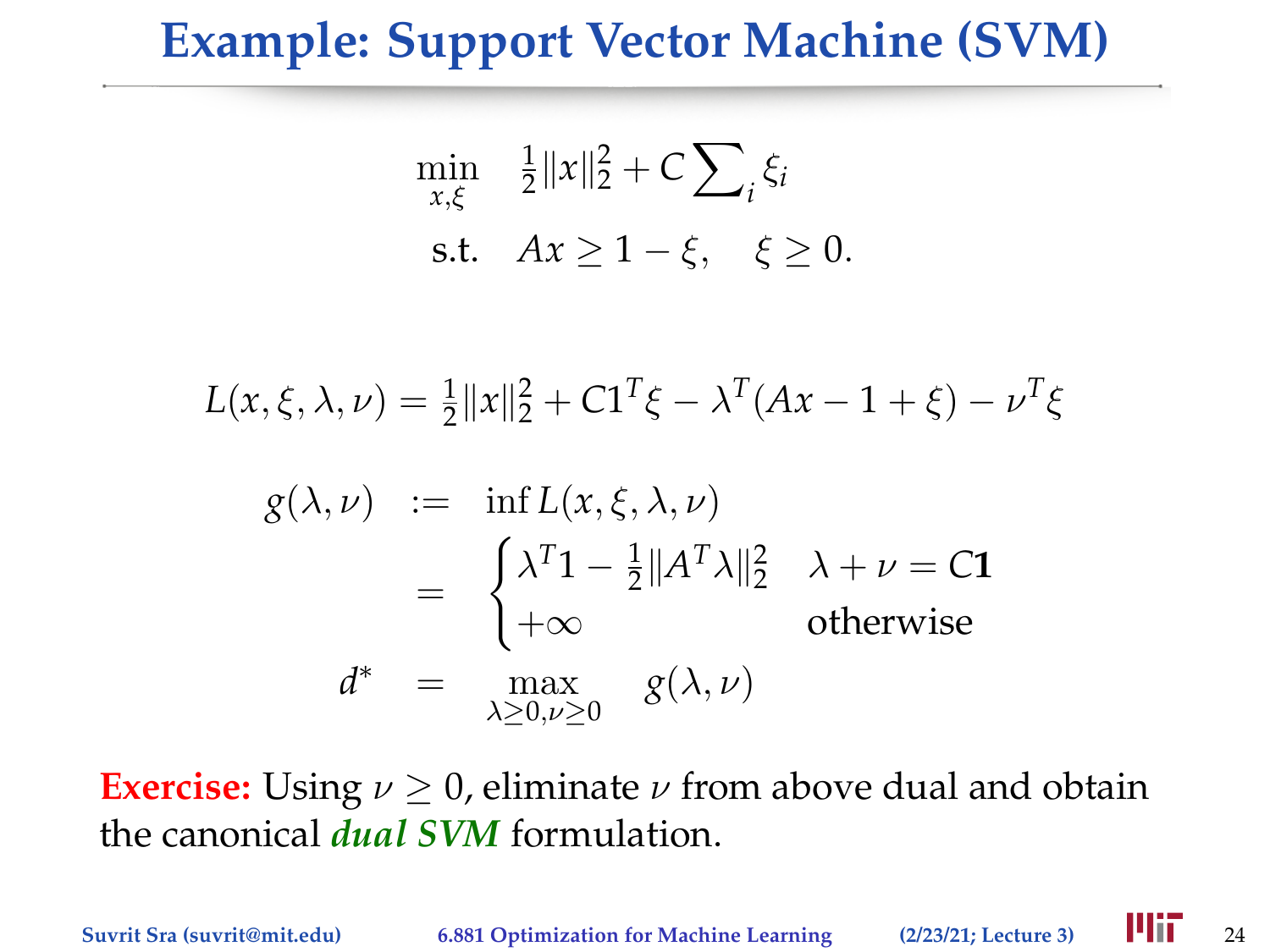## **Example: Support Vector Machine (SVM)**

$$
\min_{x,\xi} \quad \frac{1}{2} \|x\|_2^2 + C \sum_i \xi_i
$$
\ns.t.

\n
$$
Ax \ge 1 - \xi, \quad \xi \ge 0.
$$

$$
L(x, \xi, \lambda, \nu) = \frac{1}{2} ||x||_2^2 + C1^T \xi - \lambda^T (Ax - 1 + \xi) - \nu^T \xi
$$

$$
g(\lambda, \nu) := \inf L(x, \xi, \lambda, \nu)
$$
  
= 
$$
\begin{cases} \lambda^{T} 1 - \frac{1}{2} ||A^{T} \lambda||_{2}^{2} & \lambda + \nu = C1 \\ +\infty & \text{otherwise} \end{cases}
$$
  

$$
d^{*} = \max_{\lambda \geq 0, \nu \geq 0} g(\lambda, \nu)
$$

**Exercise:** Using  $\nu \geq 0$ , eliminate  $\nu$  from above dual and obtain the canonical *dual SVM* formulation.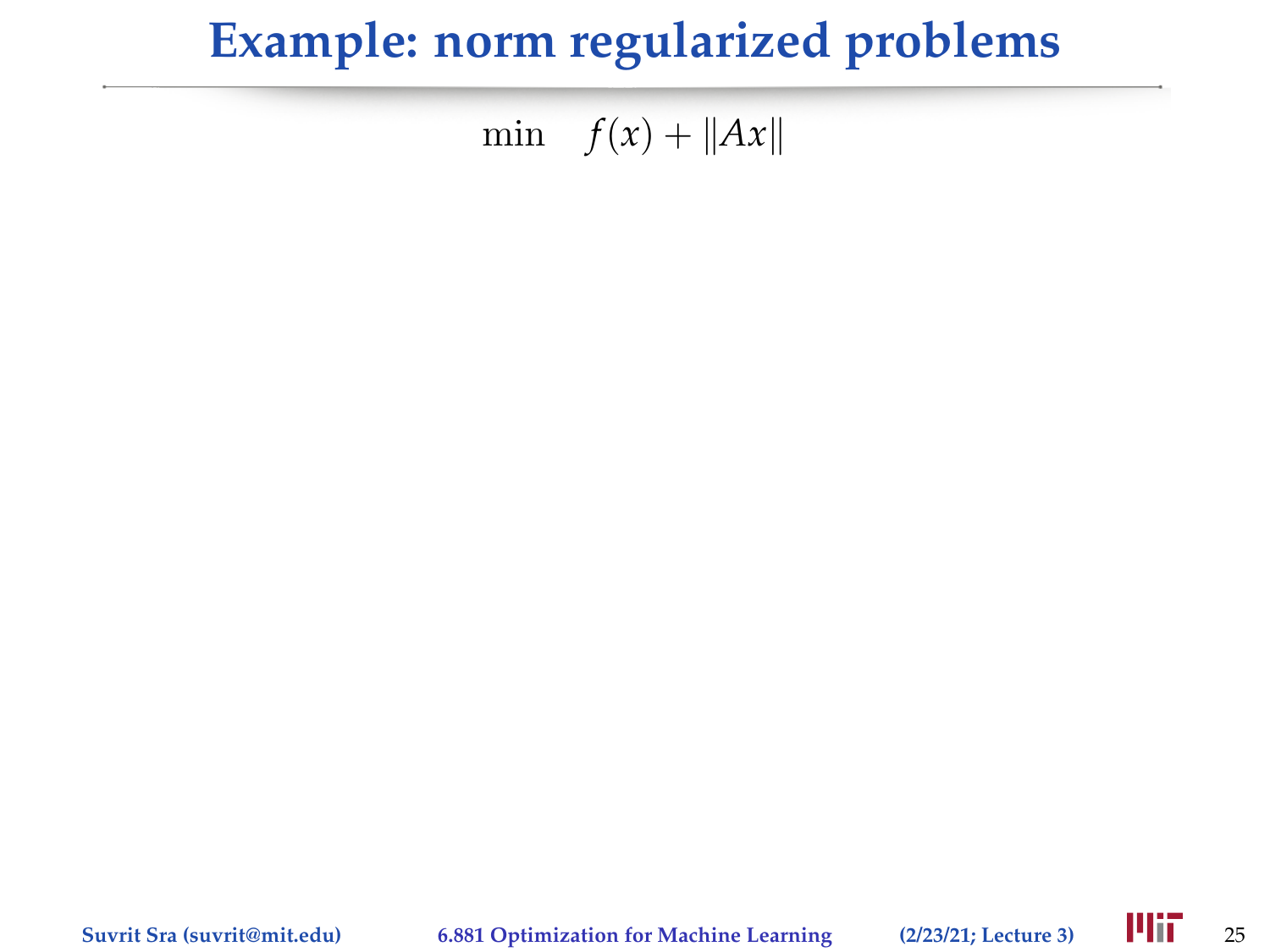## **Example: norm regularized problems**

min  $f(x) + ||Ax||$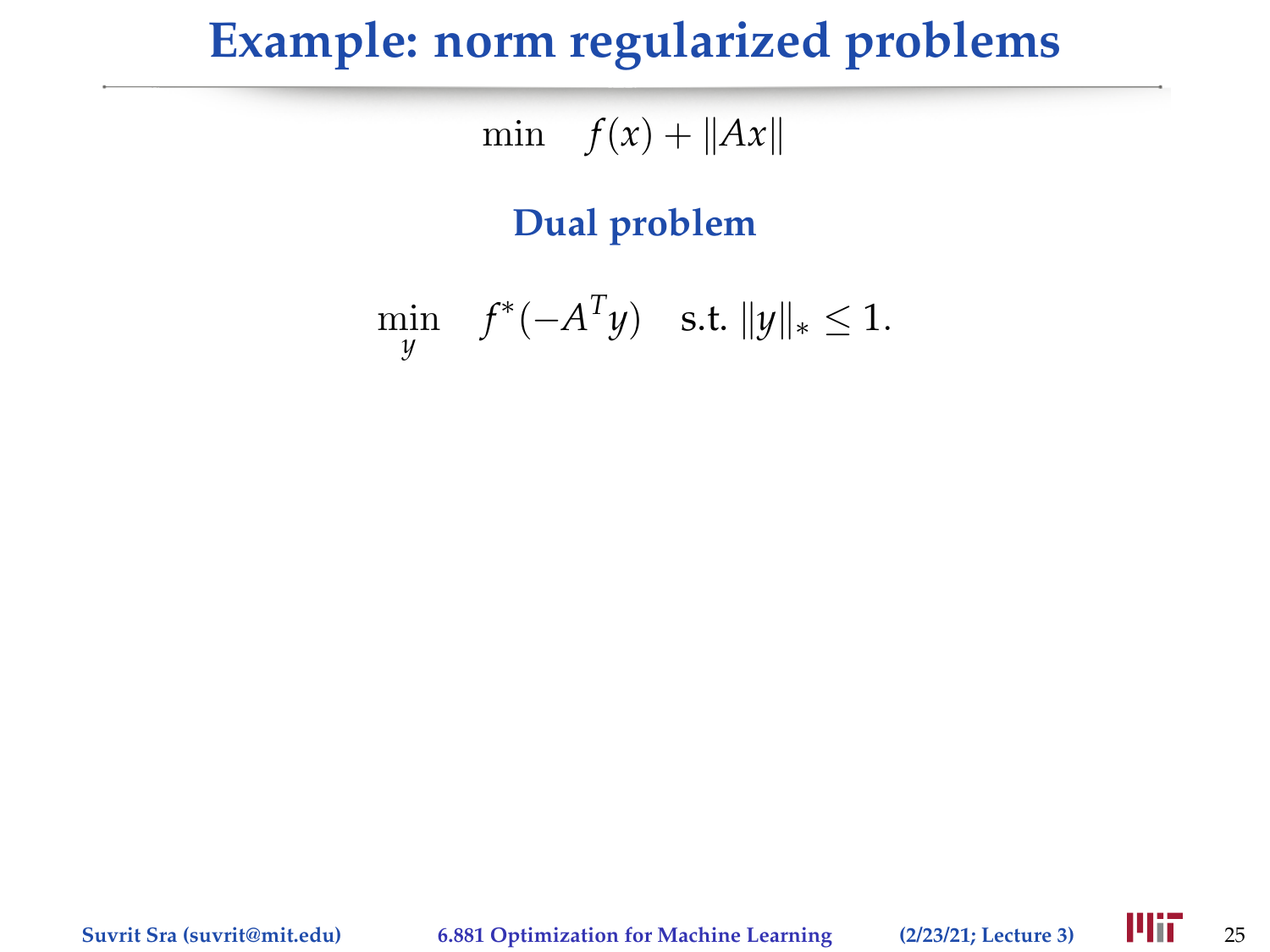## **Example: norm regularized problems**

min  $f(x) + ||Ax||$ 

#### **Dual problem**

$$
\min_{y} \quad f^*(-A^T y) \quad \text{s.t. } ||y||_* \le 1.
$$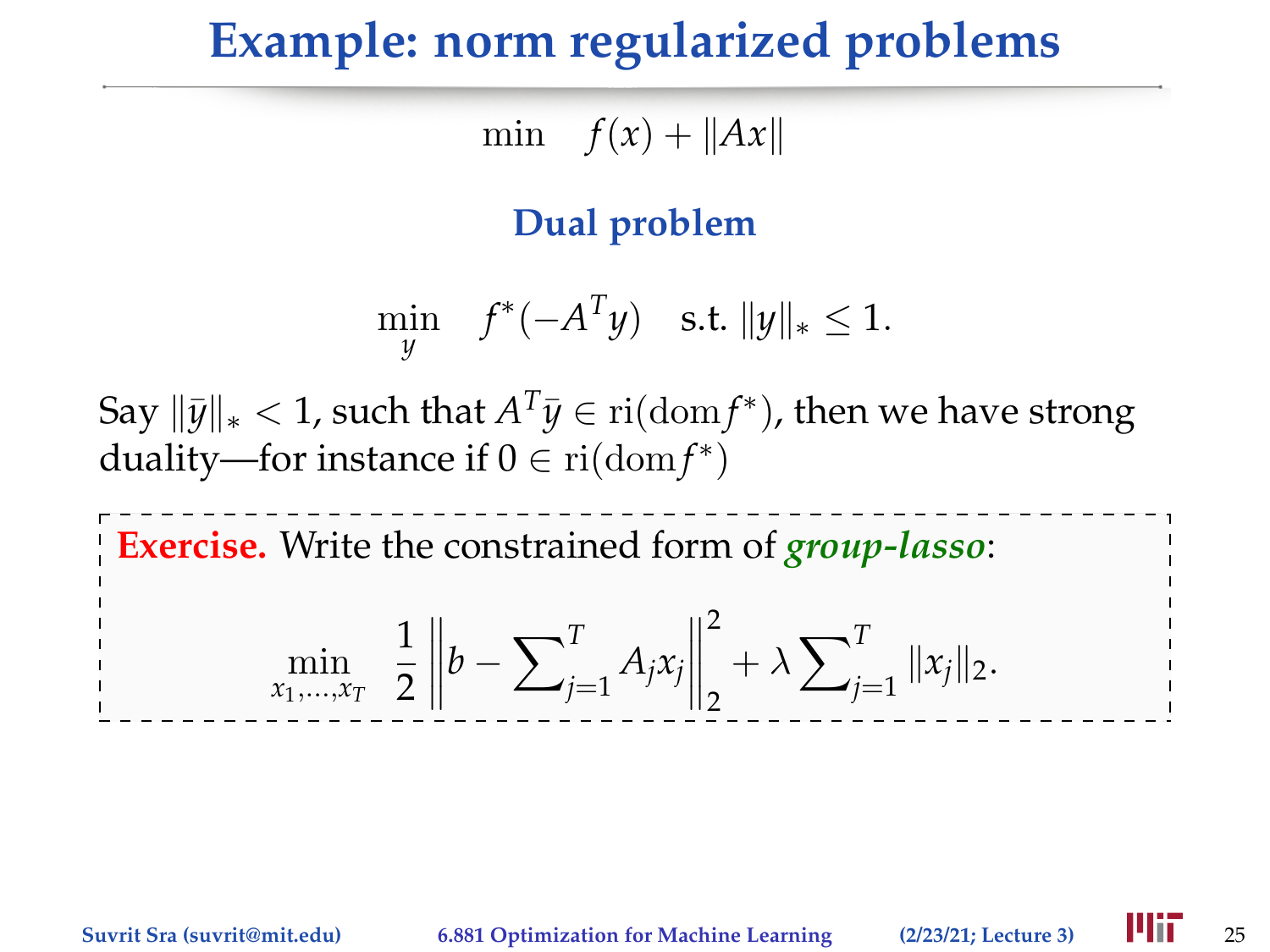#### **Example: norm regularized problems**

min  $f(x) + ||Ax||$ 

#### **Dual problem**

$$
\min_{y} \quad f^*(-A^T y) \quad \text{s.t. } ||y||_* \le 1.
$$

 $\text{Say } \|\bar{y}\|_{*} < 1$ , such that  $A^T\bar{y} \in \text{ri}(\text{dom} f^*)$ , then we have strong duality—for instance if  $0 \in \text{ri}(\text{dom} f^*)$ 

**Exercise.** Write the constrained form of *group-lasso*:

$$
\min_{x_1,\ldots,x_T} \frac{1}{2} \left\| b - \sum_{j=1}^T A_j x_j \right\|_2^2 + \lambda \sum_{j=1}^T \| x_j \|_2.
$$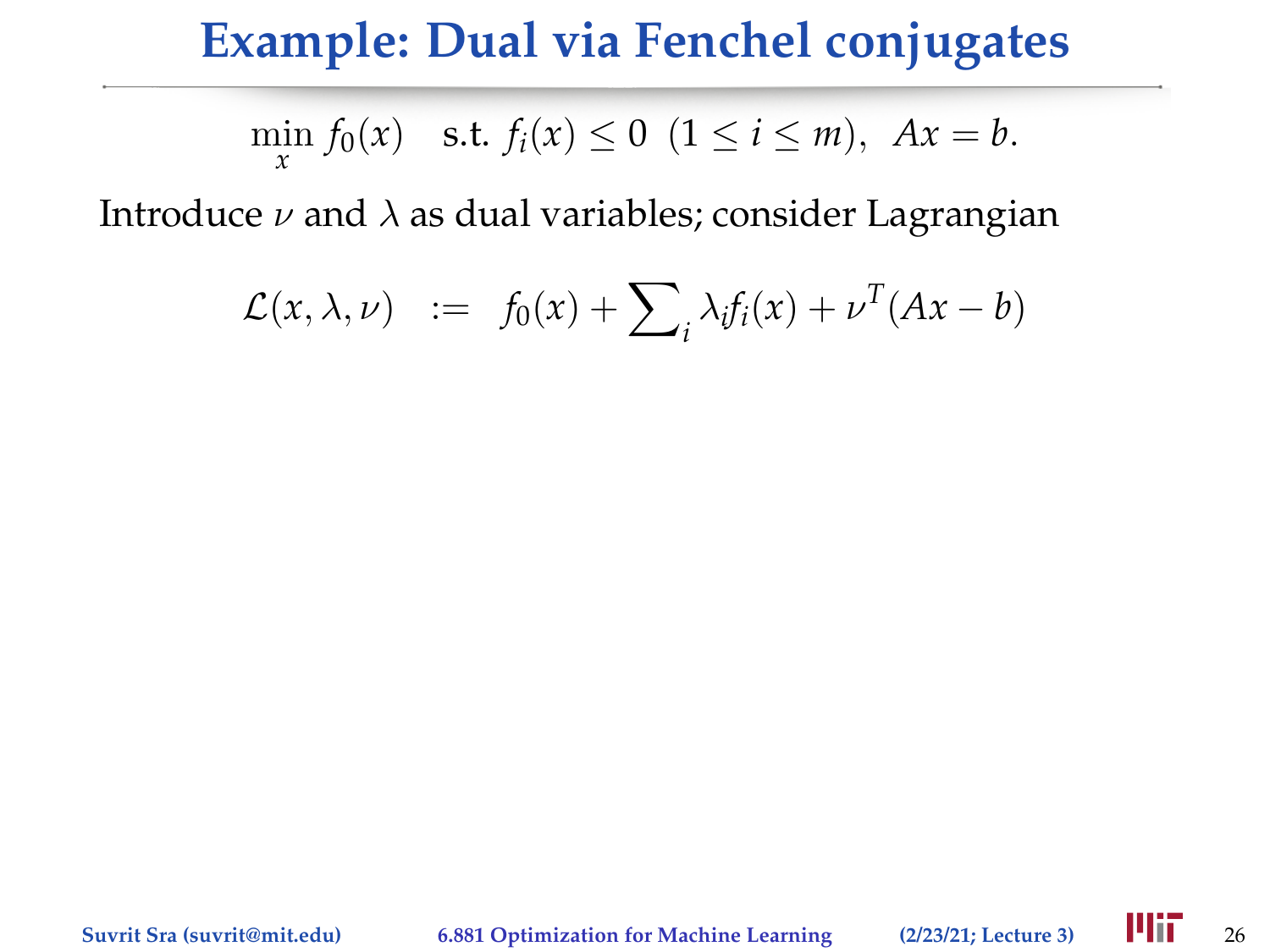$$
\min_{x} f_0(x)
$$
 s.t.  $f_i(x) \le 0$   $(1 \le i \le m)$ ,  $Ax = b$ .

$$
\mathcal{L}(x,\lambda,\nu) \quad := \quad f_0(x) + \sum_i \lambda_i f_i(x) + \nu^T (Ax - b)
$$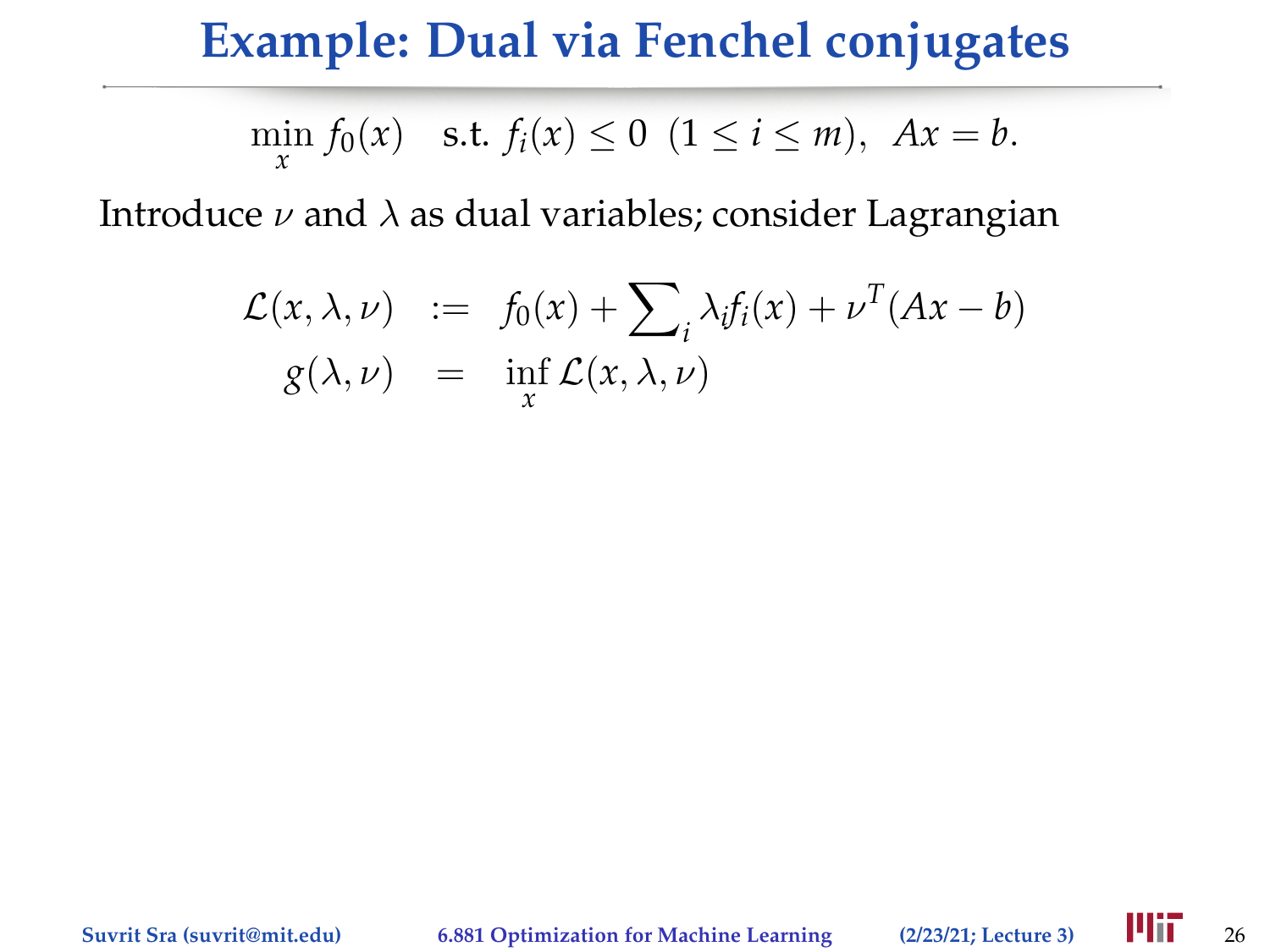$$
\min_{x} f_0(x) \quad \text{s.t. } f_i(x) \le 0 \ \ (1 \le i \le m), \ Ax = b.
$$

$$
\mathcal{L}(x,\lambda,\nu) := f_0(x) + \sum_i \lambda_i f_i(x) + \nu^T (Ax - b)
$$
  
 
$$
g(\lambda,\nu) = \inf_x \mathcal{L}(x,\lambda,\nu)
$$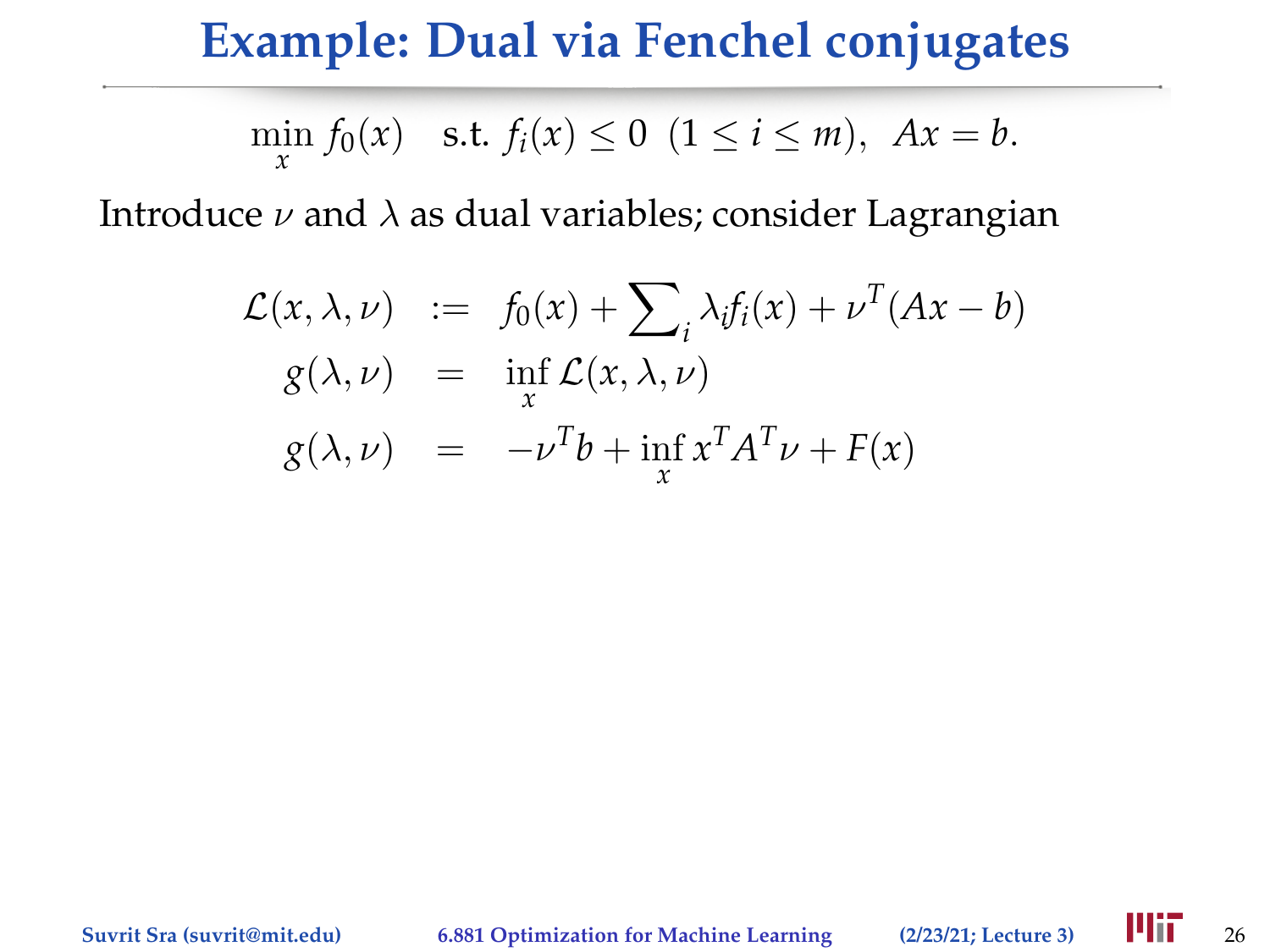$$
\min_{x} f_0(x) \quad \text{s.t. } f_i(x) \le 0 \ \ (1 \le i \le m), \ Ax = b.
$$

$$
\mathcal{L}(x, \lambda, \nu) := f_0(x) + \sum_i \lambda_i f_i(x) + \nu^T (Ax - b)
$$
  
\n
$$
g(\lambda, \nu) = \inf_x \mathcal{L}(x, \lambda, \nu)
$$
  
\n
$$
g(\lambda, \nu) = -\nu^T b + \inf_x x^T A^T \nu + F(x)
$$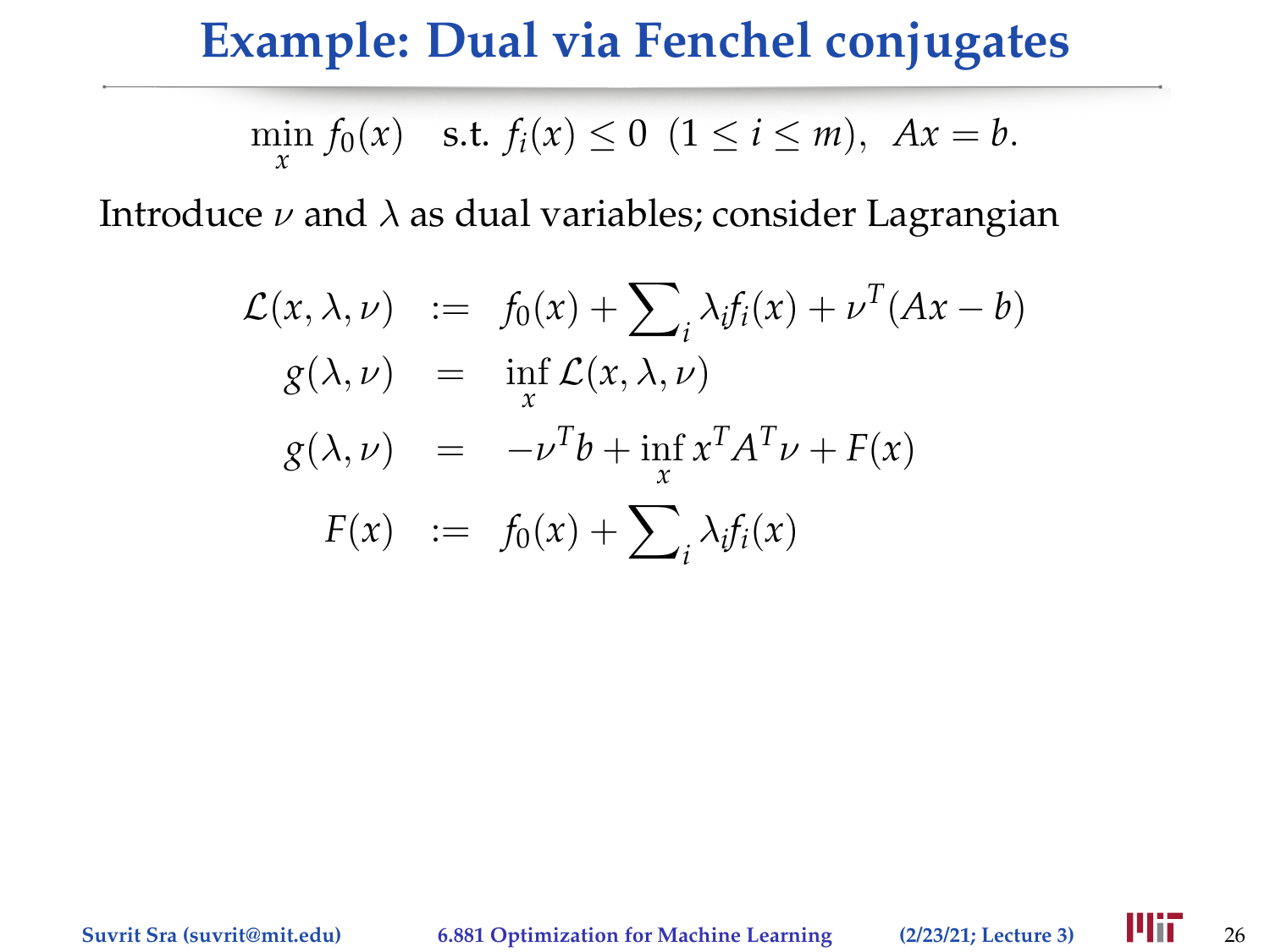$$
\min_{x} f_0(x) \quad \text{s.t. } f_i(x) \le 0 \ \ (1 \le i \le m), \ Ax = b.
$$

$$
\mathcal{L}(x, \lambda, \nu) := f_0(x) + \sum_i \lambda_i f_i(x) + \nu^T (Ax - b)
$$
  
\n
$$
g(\lambda, \nu) = \inf_x \mathcal{L}(x, \lambda, \nu)
$$
  
\n
$$
g(\lambda, \nu) = -\nu^T b + \inf_x x^T A^T \nu + F(x)
$$
  
\n
$$
F(x) := f_0(x) + \sum_i \lambda_i f_i(x)
$$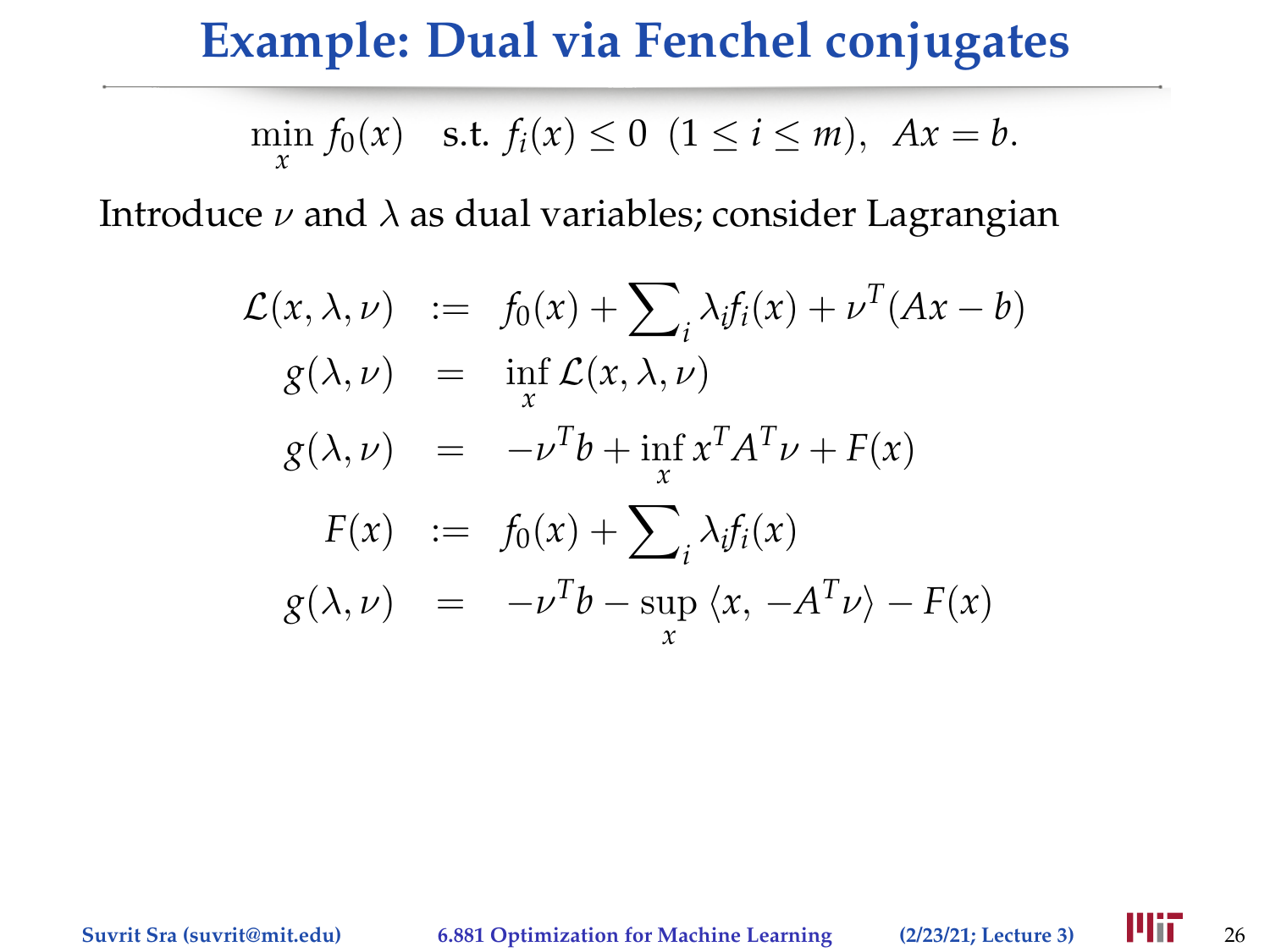$$
\min_{x} f_0(x) \quad \text{s.t. } f_i(x) \le 0 \ \ (1 \le i \le m), \ Ax = b.
$$

$$
\mathcal{L}(x, \lambda, \nu) := f_0(x) + \sum_i \lambda_i f_i(x) + \nu^T (Ax - b)
$$
  
\n
$$
g(\lambda, \nu) = \inf_x \mathcal{L}(x, \lambda, \nu)
$$
  
\n
$$
g(\lambda, \nu) = -\nu^T b + \inf_x x^T A^T \nu + F(x)
$$
  
\n
$$
F(x) := f_0(x) + \sum_i \lambda_i f_i(x)
$$
  
\n
$$
g(\lambda, \nu) = -\nu^T b - \sup_x \langle x, -A^T \nu \rangle - F(x)
$$

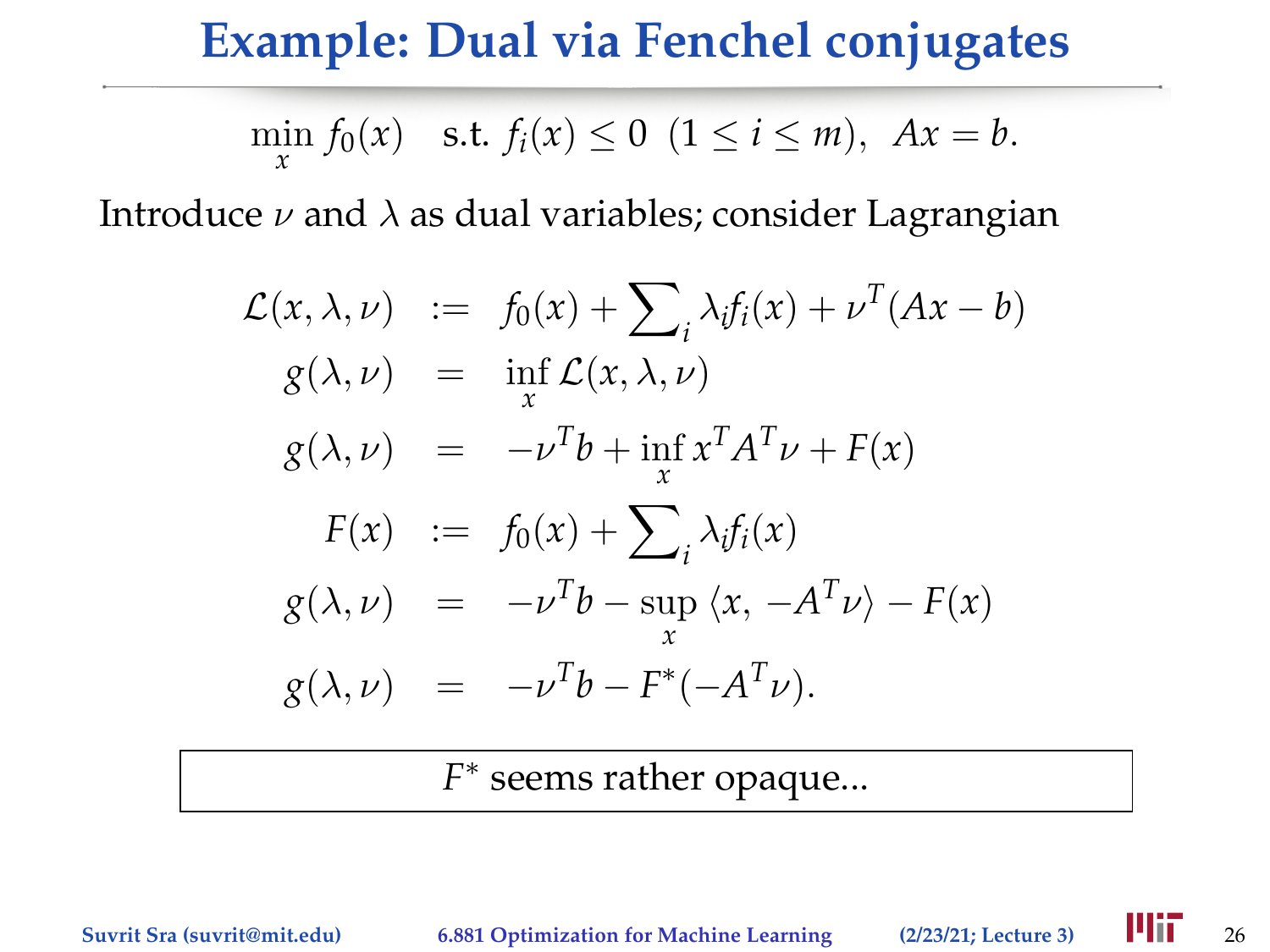$$
\min_{x} f_0(x)
$$
 s.t.  $f_i(x) \le 0$   $(1 \le i \le m)$ ,  $Ax = b$ .

Introduce  $\nu$  and  $\lambda$  as dual variables; consider Lagrangian

$$
\mathcal{L}(x, \lambda, \nu) := f_0(x) + \sum_i \lambda_i f_i(x) + \nu^T (Ax - b)
$$
  
\n
$$
g(\lambda, \nu) = \inf_x \mathcal{L}(x, \lambda, \nu)
$$
  
\n
$$
g(\lambda, \nu) = -\nu^T b + \inf_x x^T A^T \nu + F(x)
$$
  
\n
$$
F(x) := f_0(x) + \sum_i \lambda_i f_i(x)
$$
  
\n
$$
g(\lambda, \nu) = -\nu^T b - \sup_x \langle x, -A^T \nu \rangle - F(x)
$$
  
\n
$$
g(\lambda, \nu) = -\nu^T b - F^*(-A^T \nu).
$$

*F* ∗ seems rather opaque...

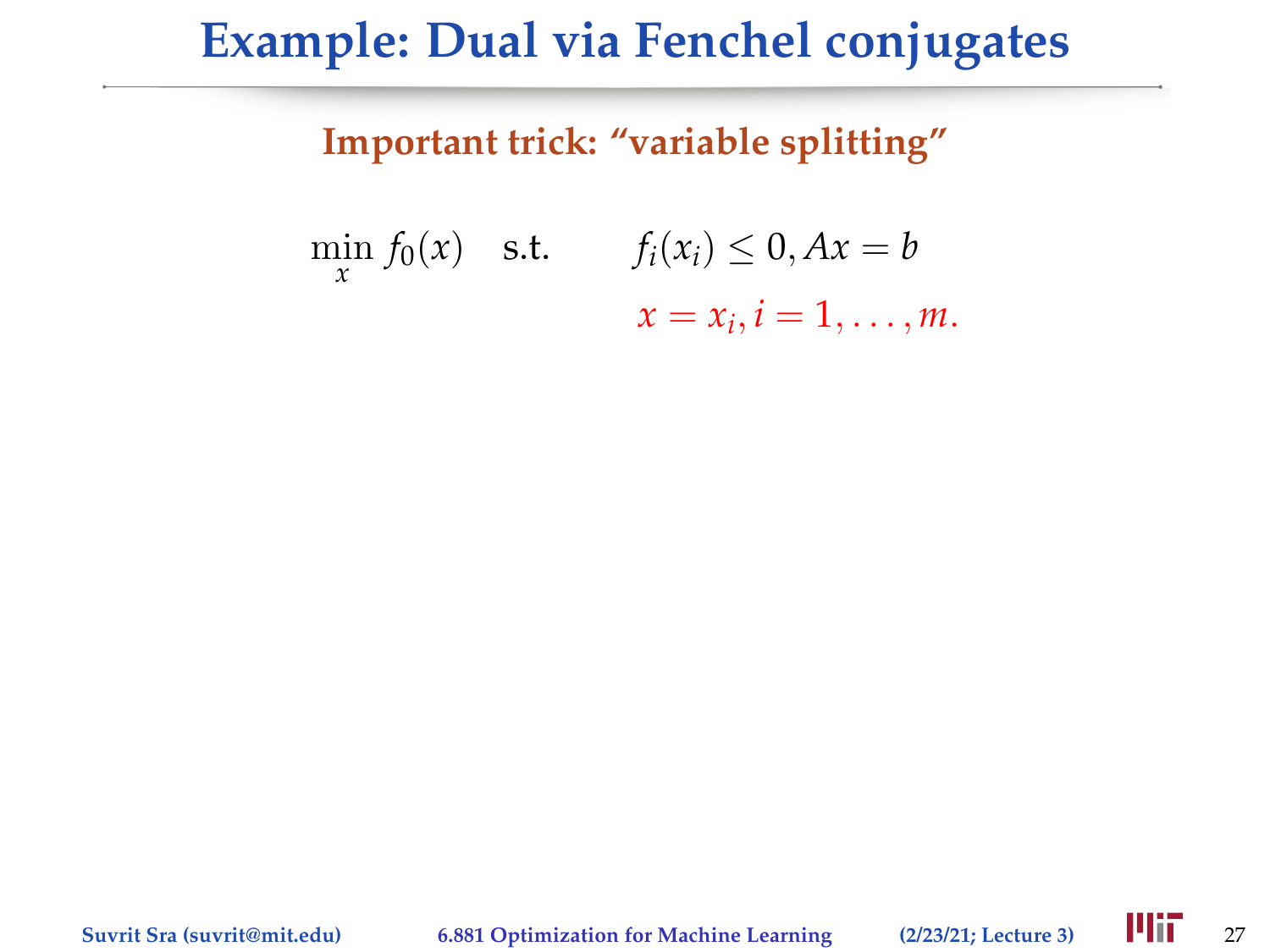#### **Important trick: "variable splitting"**

$$
\min_{x} f_0(x) \quad \text{s.t.} \qquad f_i(x_i) \leq 0, Ax = b
$$
\n
$$
x = x_i, i = 1, \dots, m.
$$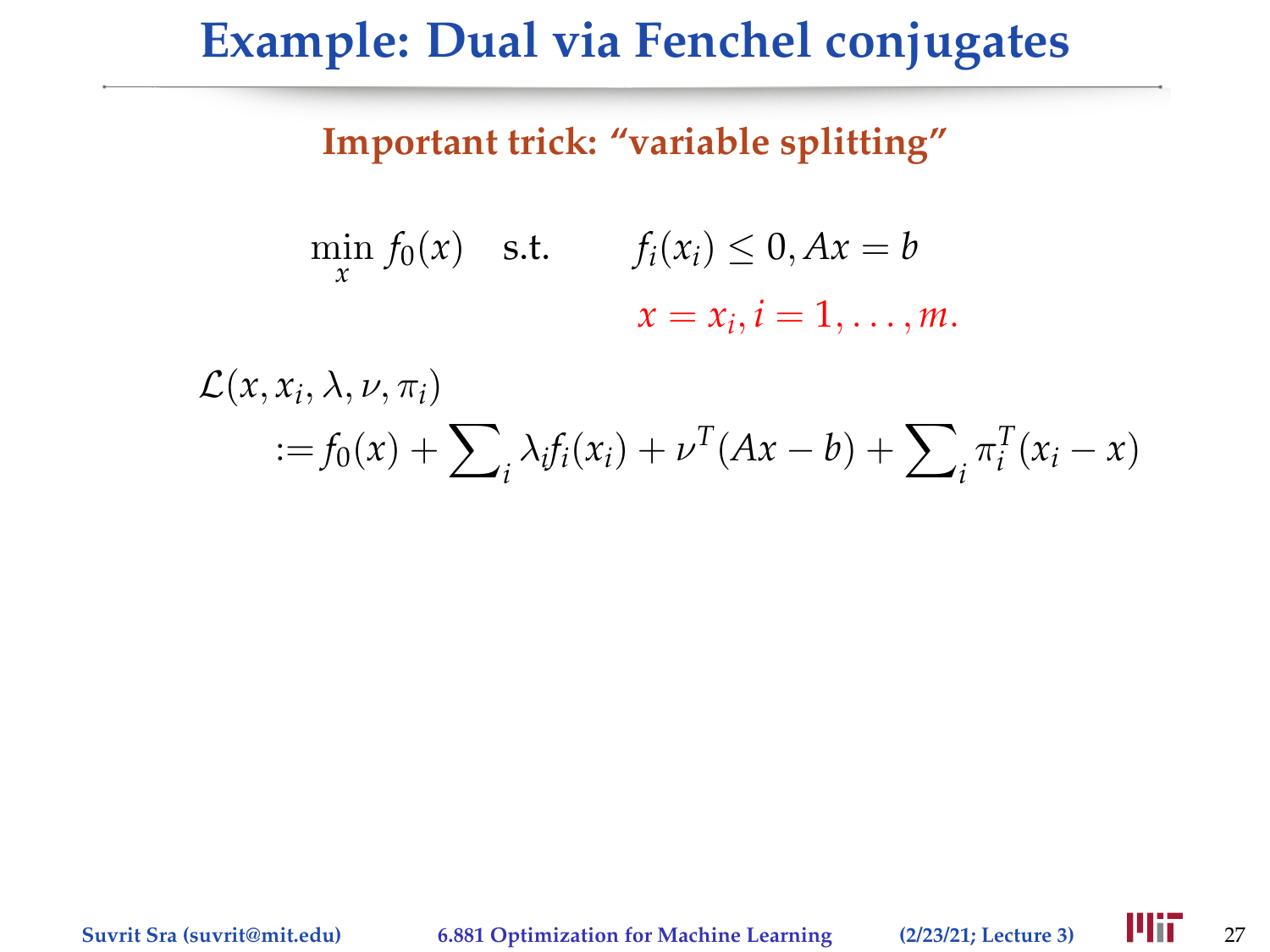#### **Important trick: "variable splitting"**

$$
\min_{x} f_0(x) \quad \text{s.t.} \qquad f_i(x_i) \leq 0, Ax = b
$$
\n
$$
x = x_i, i = 1, \dots, m.
$$

$$
\mathcal{L}(x, x_i, \lambda, \nu, \pi_i)
$$
  
 :=  $f_0(x) + \sum_i \lambda_i f_i(x_i) + \nu^T (Ax - b) + \sum_i \pi_i^T (x_i - x)$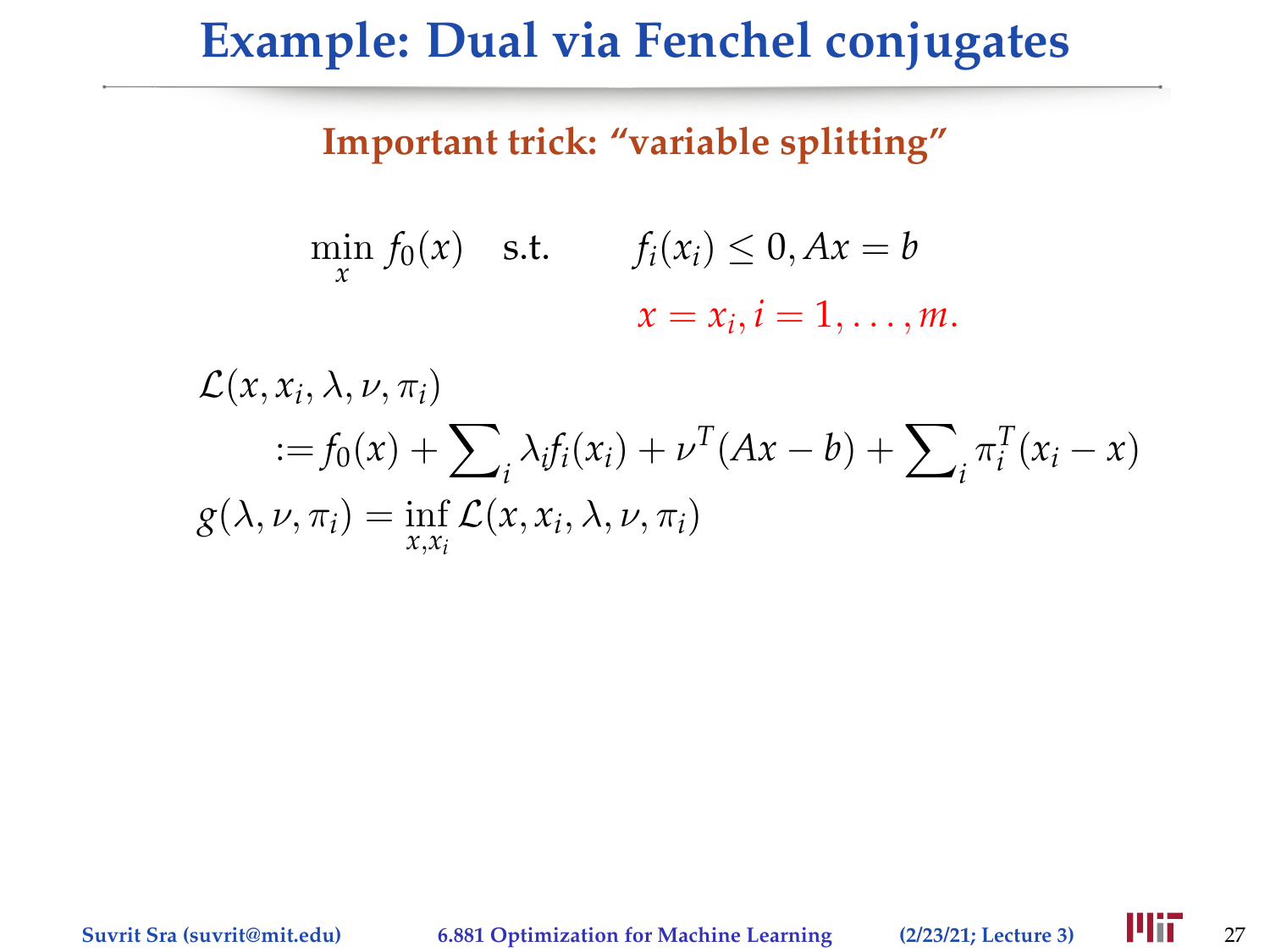#### **Important trick: "variable splitting"**

$$
\min_{x} f_0(x) \quad \text{s.t.} \qquad f_i(x_i) \leq 0, Ax = b
$$
\n
$$
x = x_i, i = 1, \dots, m.
$$

$$
\mathcal{L}(x, x_i, \lambda, \nu, \pi_i)
$$
  
 :=  $f_0(x) + \sum_i \lambda_i f_i(x_i) + \nu^T (Ax - b) + \sum_i \pi_i^T (x_i - x)$   
 $g(\lambda, \nu, \pi_i) = \inf_{x, x_i} \mathcal{L}(x, x_i, \lambda, \nu, \pi_i)$ 

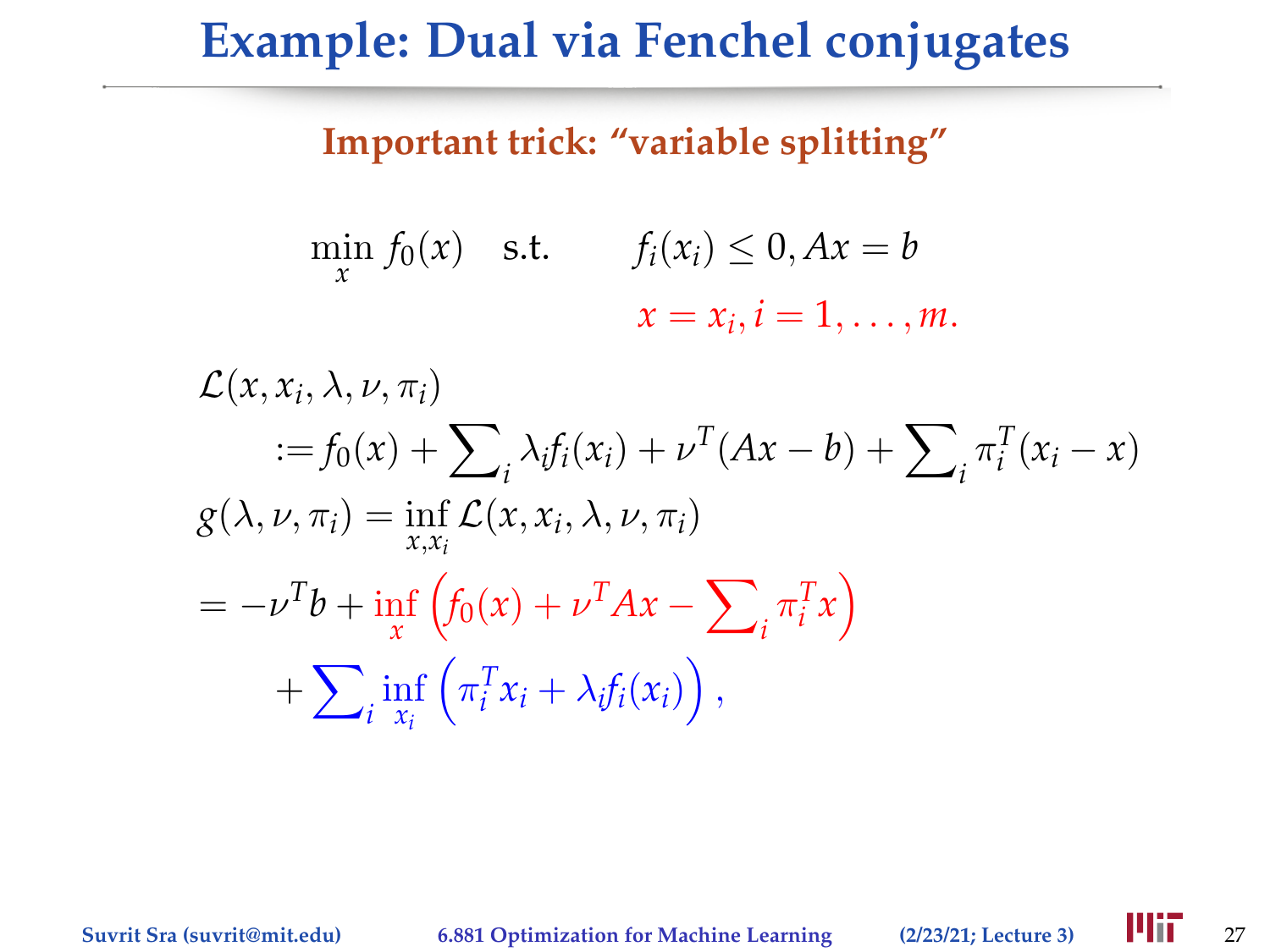#### **Important trick: "variable splitting"**

$$
\min_{x} f_0(x) \quad \text{s.t.} \qquad f_i(x_i) \leq 0, Ax = b
$$
\n
$$
x = x_i, i = 1, \dots, m.
$$

$$
\mathcal{L}(x, x_i, \lambda, \nu, \pi_i)
$$
  
\n
$$
:= f_0(x) + \sum_i \lambda_i f_i(x_i) + \nu^T (Ax - b) + \sum_i \pi_i^T (x_i - x)
$$
  
\n
$$
g(\lambda, \nu, \pi_i) = \inf_{x, x_i} \mathcal{L}(x, x_i, \lambda, \nu, \pi_i)
$$
  
\n
$$
= -\nu^T b + \inf_x \left( f_0(x) + \nu^T Ax - \sum_i \pi_i^T x \right)
$$
  
\n
$$
+ \sum_i \inf_{x_i} \left( \pi_i^T x_i + \lambda_i f_i(x_i) \right),
$$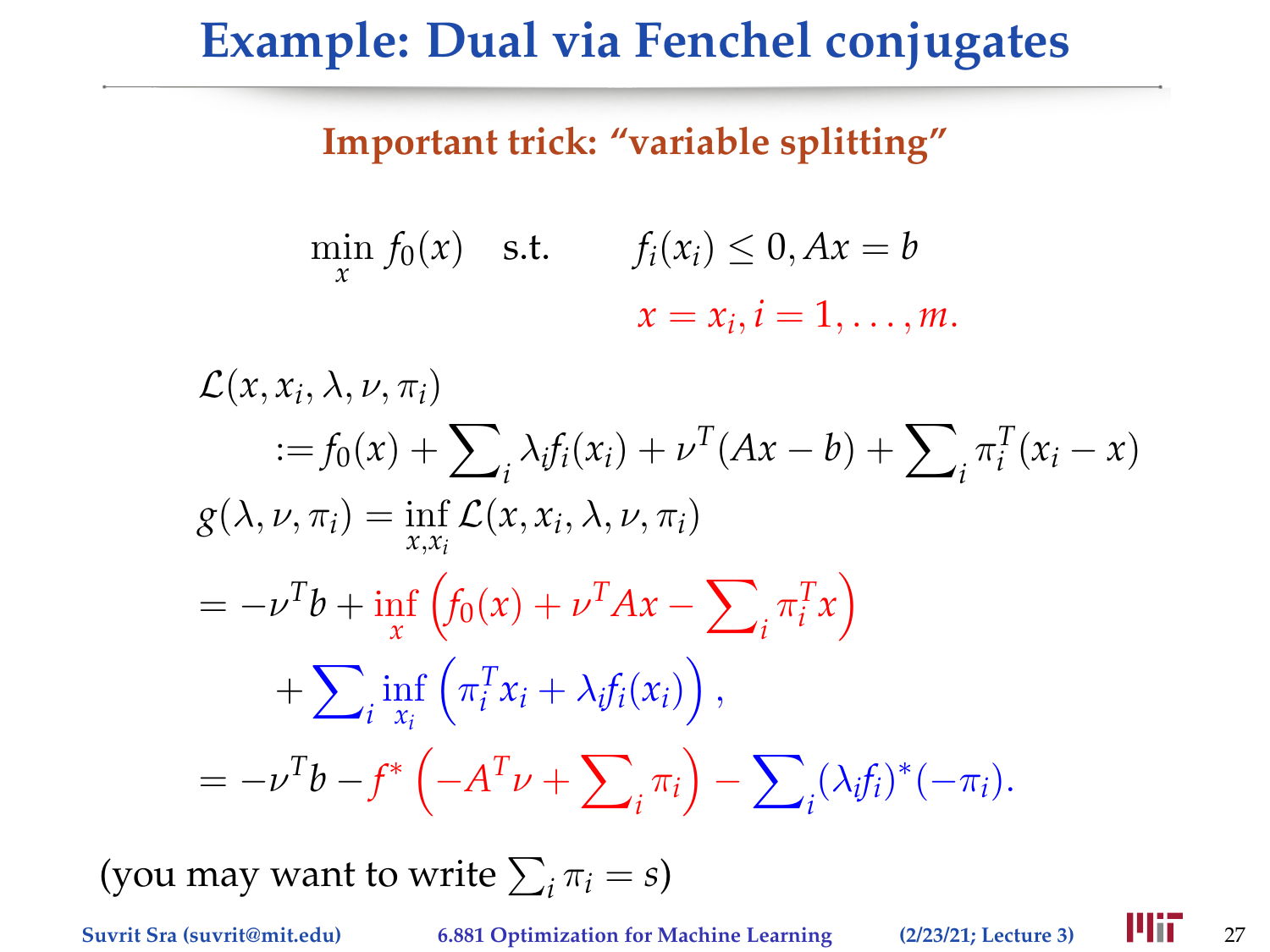### **Important trick: "variable splitting"**

$$
\min_{x} f_0(x) \quad \text{s.t.} \qquad f_i(x_i) \leq 0, Ax = b
$$
\n
$$
x = x_i, i = 1, \dots, m.
$$

$$
\mathcal{L}(x, x_i, \lambda, \nu, \pi_i)
$$
  
\n
$$
:= f_0(x) + \sum_i \lambda_i f_i(x_i) + \nu^T (Ax - b) + \sum_i \pi_i^T (x_i - x)
$$
  
\n
$$
g(\lambda, \nu, \pi_i) = \inf_{x, x_i} \mathcal{L}(x, x_i, \lambda, \nu, \pi_i)
$$
  
\n
$$
= -\nu^T b + \inf_x \left( f_0(x) + \nu^T Ax - \sum_i \pi_i^T x \right)
$$
  
\n
$$
+ \sum_i \inf_{x_i} \left( \pi_i^T x_i + \lambda_i f_i(x_i) \right),
$$
  
\n
$$
= -\nu^T b - f^* \left( -A^T \nu + \sum_i \pi_i \right) - \sum_i (\lambda_i f_i)^* (-\pi_i).
$$

(you may want to write  $\sum_i \pi_i = s$ )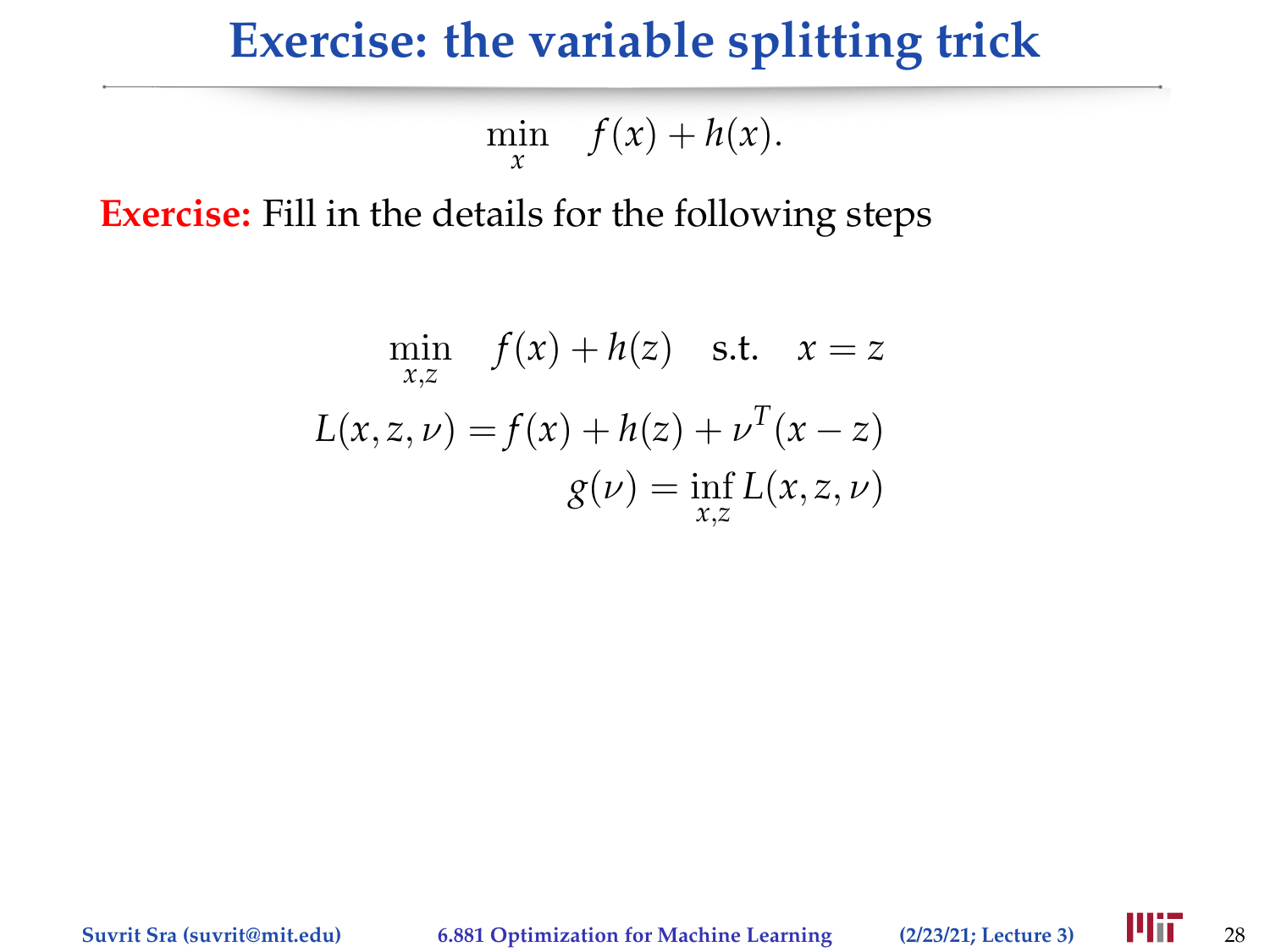### **Exercise: the variable splitting trick**

$$
\min_{x} \quad f(x) + h(x).
$$

**Exercise:** Fill in the details for the following steps

$$
\min_{x,z} f(x) + h(z) \quad \text{s.t.} \quad x = z
$$
\n
$$
L(x, z, \nu) = f(x) + h(z) + \nu^{T}(x - z)
$$
\n
$$
g(\nu) = \inf_{x,z} L(x, z, \nu)
$$

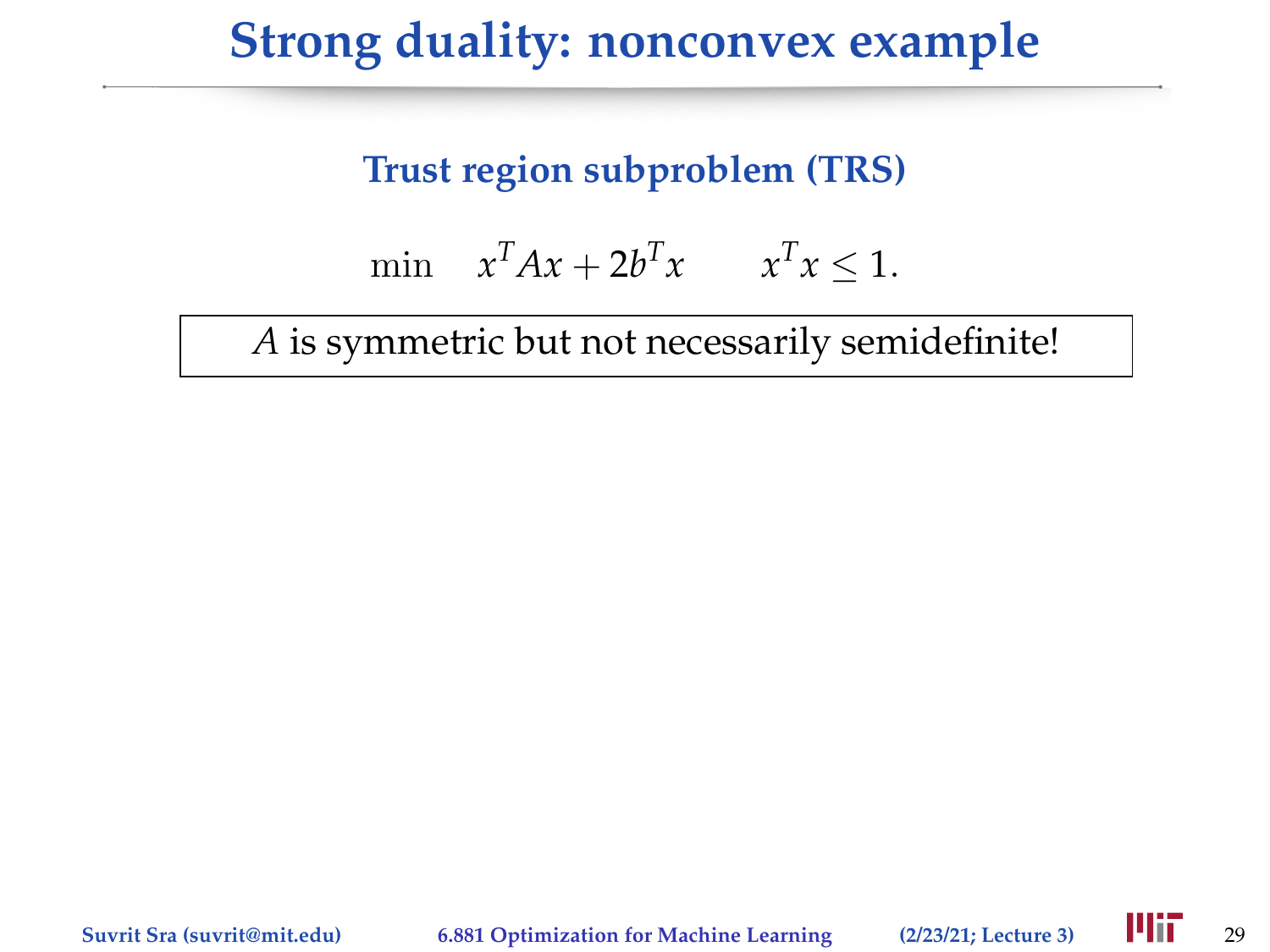## **Strong duality: nonconvex example**

### **Trust region subproblem (TRS)**

$$
\min \quad x^T A x + 2b^T x \qquad x^T x \le 1.
$$

*A* is symmetric but not necessarily semidefinite!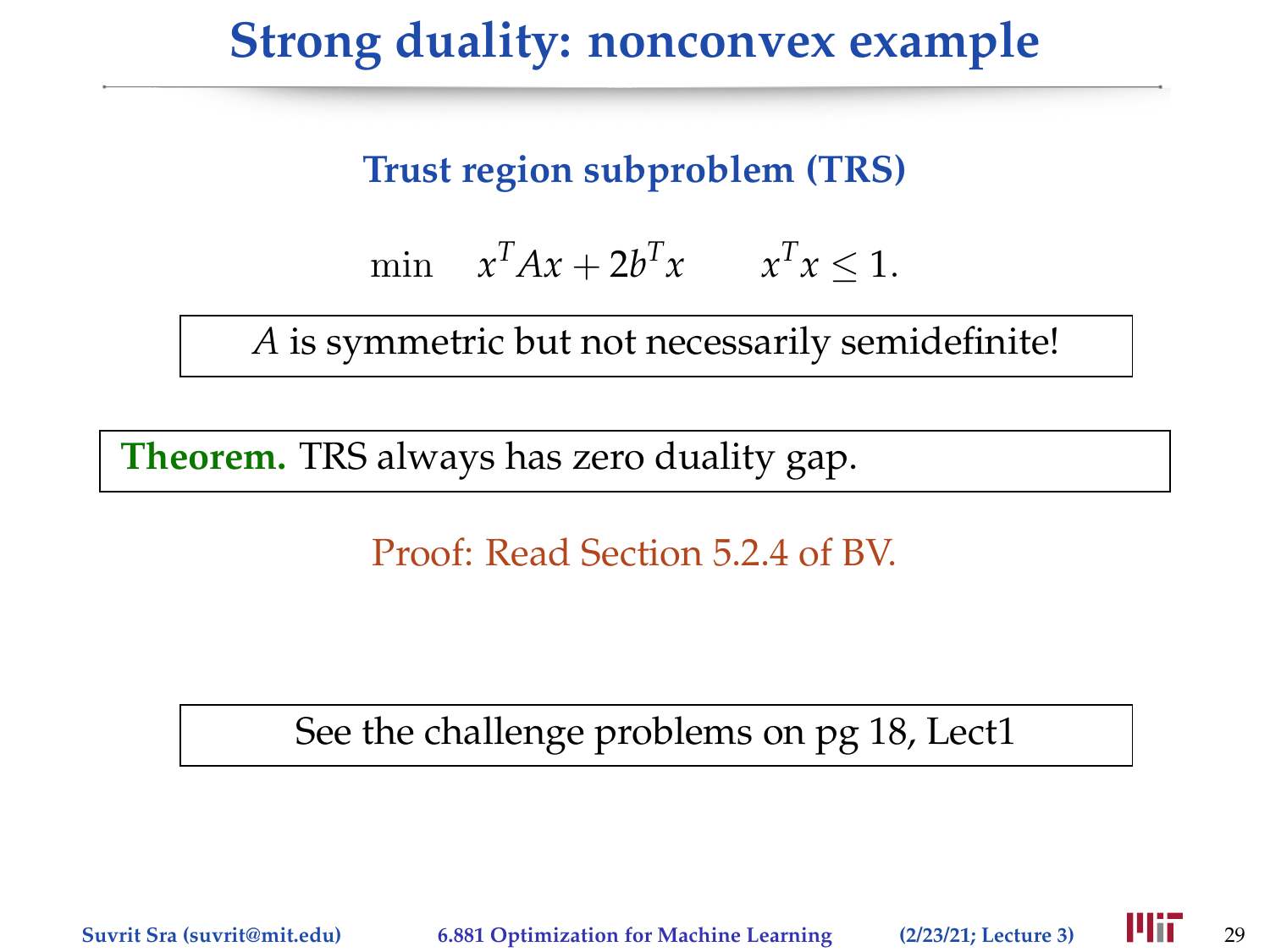# **Strong duality: nonconvex example**

### **Trust region subproblem (TRS)**

$$
\min \quad x^T A x + 2b^T x \qquad x^T x \le 1.
$$

*A* is symmetric but not necessarily semidefinite!

**Theorem.** TRS always has zero duality gap.

Proof: Read Section 5.2.4 of BV.

See the challenge problems on pg 18, Lect1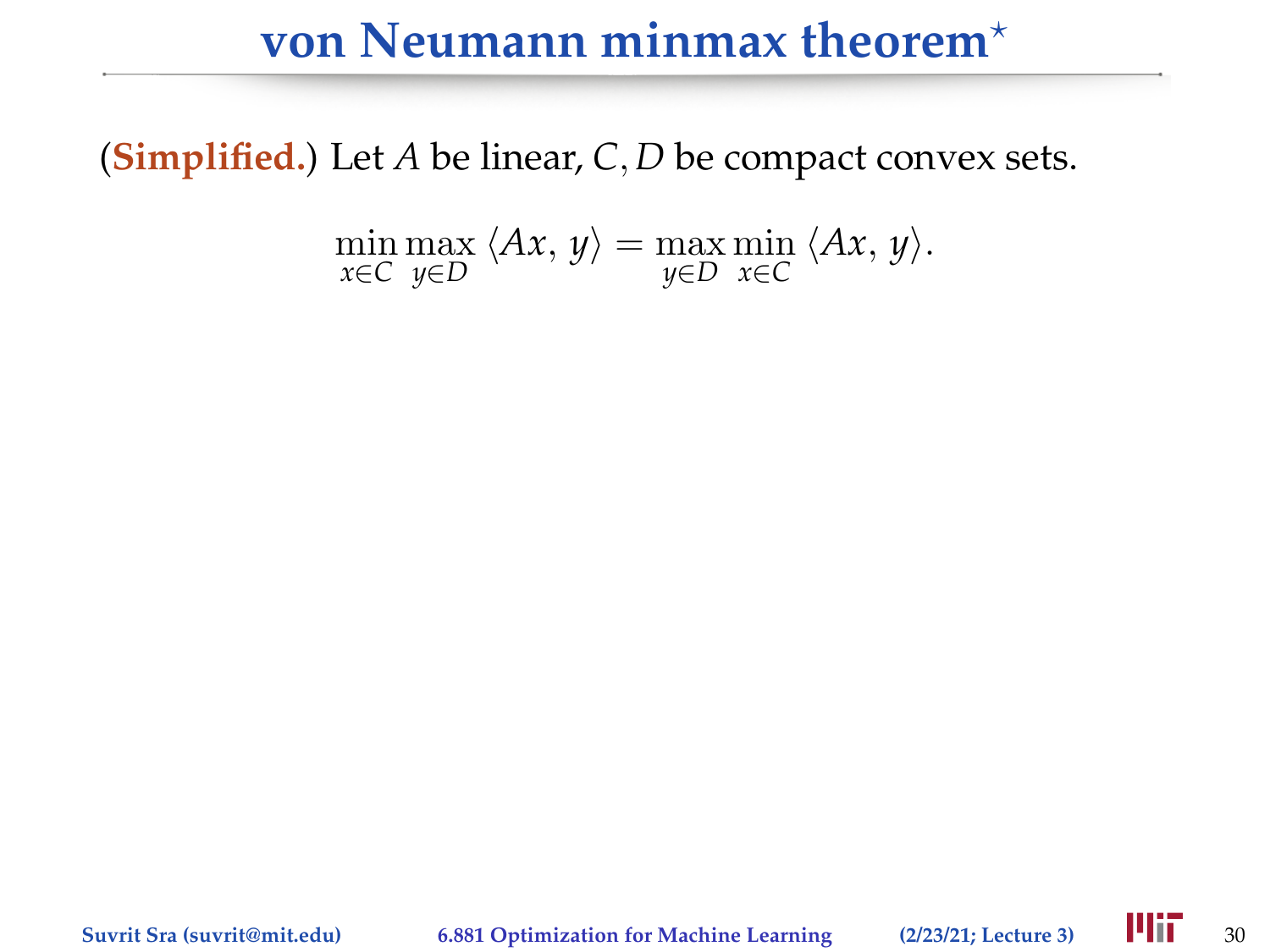## **von Neumann minmax theorem**?

(**Simplified.**) Let *A* be linear, *C*, *D* be compact convex sets.

$$
\min_{x \in C} \max_{y \in D} \langle Ax, y \rangle = \max_{y \in D} \min_{x \in C} \langle Ax, y \rangle.
$$